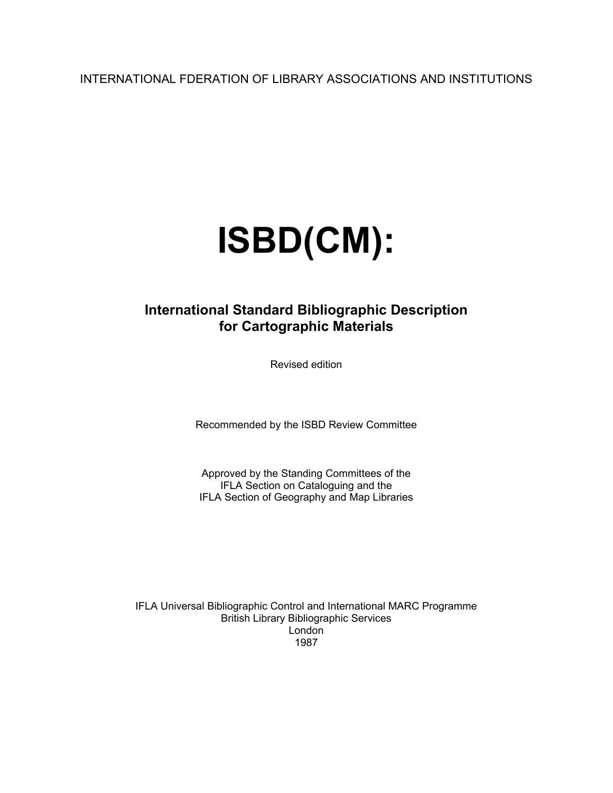INTERNATIONAL FDERATION OF LIBRARY ASSOCIATIONS AND INSTITUTIONS

# **ISBD(CM):**

# **International Standard Bibliographic Description for Cartographic Materials**

Revised edition

Recommended by the ISBD Review Committee

Approved by the Standing Committees of the IFLA Section on Cataloguing and the IFLA Section of Geography and Map Libraries

IFLA Universal Bibliographic Control and International MARC Programme British Library Bibliographic Services London 1987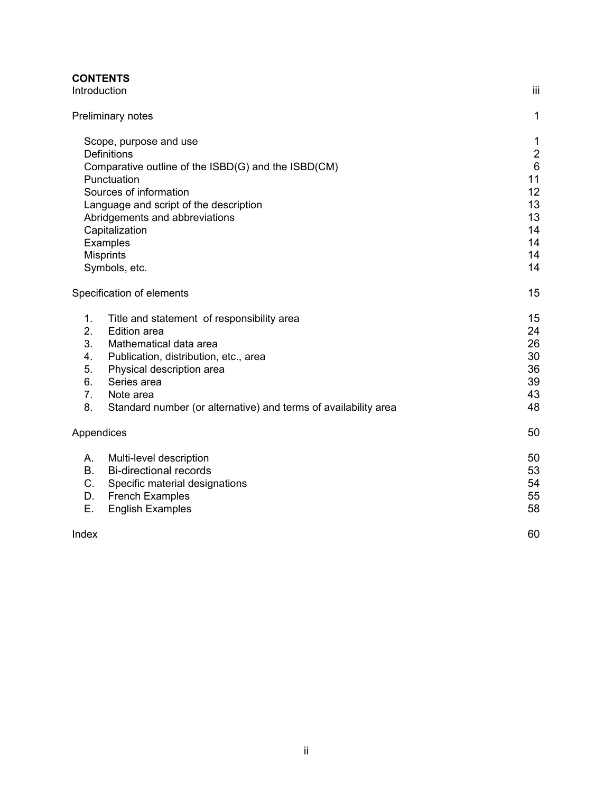# **CONTENTS**

| Introduction                                 |                                                                                                                                                                                                                                                                         | iii                                                                                   |
|----------------------------------------------|-------------------------------------------------------------------------------------------------------------------------------------------------------------------------------------------------------------------------------------------------------------------------|---------------------------------------------------------------------------------------|
|                                              | Preliminary notes                                                                                                                                                                                                                                                       | 1                                                                                     |
| <b>Misprints</b>                             | Scope, purpose and use<br><b>Definitions</b><br>Comparative outline of the ISBD(G) and the ISBD(CM)<br>Punctuation<br>Sources of information<br>Language and script of the description<br>Abridgements and abbreviations<br>Capitalization<br>Examples<br>Symbols, etc. | $\mathbf{1}$<br>$\sqrt{2}$<br>$\,6\,$<br>11<br>12<br>13<br>13<br>14<br>14<br>14<br>14 |
|                                              | Specification of elements                                                                                                                                                                                                                                               | 15                                                                                    |
| 1.<br>2.<br>3.<br>4.<br>5.<br>6.<br>7.<br>8. | Title and statement of responsibility area<br><b>Edition</b> area<br>Mathematical data area<br>Publication, distribution, etc., area<br>Physical description area<br>Series area<br>Note area<br>Standard number (or alternative) and terms of availability area        | 15<br>24<br>26<br>30<br>36<br>39<br>43<br>48                                          |
| Appendices                                   |                                                                                                                                                                                                                                                                         | 50                                                                                    |
| А.<br>В.<br>C.<br>D.<br>Ε.                   | Multi-level description<br><b>Bi-directional records</b><br>Specific material designations<br><b>French Examples</b><br><b>English Examples</b>                                                                                                                         | 50<br>53<br>54<br>55<br>58                                                            |
| Index                                        |                                                                                                                                                                                                                                                                         | 60                                                                                    |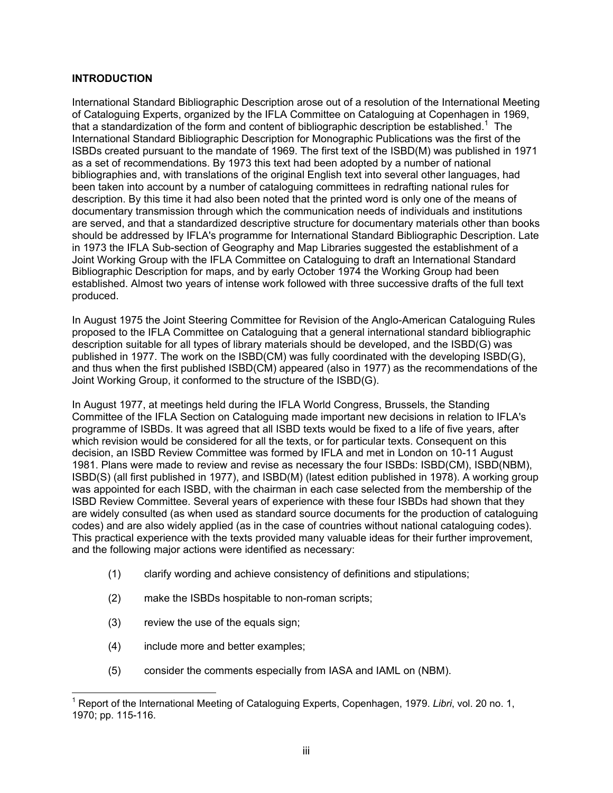#### <span id="page-2-0"></span>**INTRODUCTION**

International Standard Bibliographic Description arose out of a resolution of the International Meeting of Cataloguing Experts, organized by the IFLA Committee on Cataloguing at Copenhagen in 1969, that a standardization of the form and content of bibliographic description be established.<sup>[1](#page-2-1)</sup> The International Standard Bibliographic Description for Monographic Publications was the first of the ISBDs created pursuant to the mandate of 1969. The first text of the ISBD(M) was published in 1971 as a set of recommendations. By 1973 this text had been adopted by a number of national bibliographies and, with translations of the original English text into several other languages, had been taken into account by a number of cataloguing committees in redrafting national rules for description. By this time it had also been noted that the printed word is only one of the means of documentary transmission through which the communication needs of individuals and institutions are served, and that a standardized descriptive structure for documentary materials other than books should be addressed by IFLA's programme for International Standard Bibliographic Description. Late in 1973 the IFLA Sub-section of Geography and Map Libraries suggested the establishment of a Joint Working Group with the IFLA Committee on Cataloguing to draft an International Standard Bibliographic Description for maps, and by early October 1974 the Working Group had been established. Almost two years of intense work followed with three successive drafts of the full text produced.

In August 1975 the Joint Steering Committee for Revision of the Anglo-American Cataloguing Rules proposed to the IFLA Committee on Cataloguing that a general international standard bibliographic description suitable for all types of library materials should be developed, and the ISBD(G) was published in 1977. The work on the ISBD(CM) was fully coordinated with the developing ISBD(G), and thus when the first published ISBD(CM) appeared (also in 1977) as the recommendations of the Joint Working Group, it conformed to the structure of the ISBD(G).

In August 1977, at meetings held during the IFLA World Congress, Brussels, the Standing Committee of the IFLA Section on Cataloguing made important new decisions in relation to IFLA's programme of ISBDs. It was agreed that all ISBD texts would be fixed to a life of five years, after which revision would be considered for all the texts, or for particular texts. Consequent on this decision, an ISBD Review Committee was formed by IFLA and met in London on 10-11 August 1981. Plans were made to review and revise as necessary the four ISBDs: ISBD(CM), ISBD(NBM), ISBD(S) (all first published in 1977), and ISBD(M) (latest edition published in 1978). A working group was appointed for each ISBD, with the chairman in each case selected from the membership of the ISBD Review Committee. Several years of experience with these four ISBDs had shown that they are widely consulted (as when used as standard source documents for the production of cataloguing codes) and are also widely applied (as in the case of countries without national cataloguing codes). This practical experience with the texts provided many valuable ideas for their further improvement, and the following major actions were identified as necessary:

- (1) clarify wording and achieve consistency of definitions and stipulations;
- (2) make the ISBDs hospitable to non-roman scripts;
- (3) review the use of the equals sign;
- (4) include more and better examples;
- (5) consider the comments especially from IASA and IAML on (NBM).

<span id="page-2-1"></span> $\frac{1}{1}$  Report of the International Meeting of Cataloguing Experts, Copenhagen, 1979. *Libri*, vol. 20 no. 1, 1970; pp. 115-116.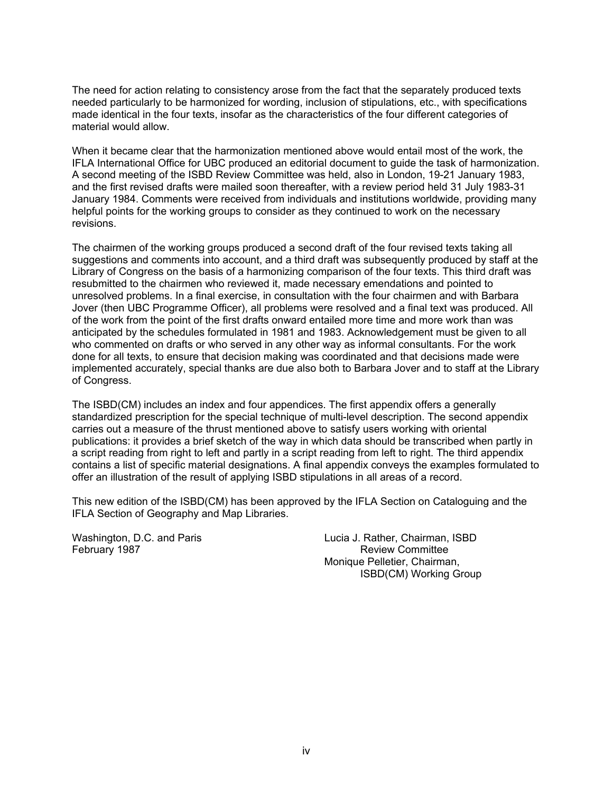The need for action relating to consistency arose from the fact that the separately produced texts needed particularly to be harmonized for wording, inclusion of stipulations, etc., with specifications made identical in the four texts, insofar as the characteristics of the four different categories of material would allow.

When it became clear that the harmonization mentioned above would entail most of the work, the IFLA International Office for UBC produced an editorial document to guide the task of harmonization. A second meeting of the ISBD Review Committee was held, also in London, 19-21 January 1983, and the first revised drafts were mailed soon thereafter, with a review period held 31 July 1983-31 January 1984. Comments were received from individuals and institutions worldwide, providing many helpful points for the working groups to consider as they continued to work on the necessary revisions.

The chairmen of the working groups produced a second draft of the four revised texts taking all suggestions and comments into account, and a third draft was subsequently produced by staff at the Library of Congress on the basis of a harmonizing comparison of the four texts. This third draft was resubmitted to the chairmen who reviewed it, made necessary emendations and pointed to unresolved problems. In a final exercise, in consultation with the four chairmen and with Barbara Jover (then UBC Programme Officer), all problems were resolved and a final text was produced. All of the work from the point of the first drafts onward entailed more time and more work than was anticipated by the schedules formulated in 1981 and 1983. Acknowledgement must be given to all who commented on drafts or who served in any other way as informal consultants. For the work done for all texts, to ensure that decision making was coordinated and that decisions made were implemented accurately, special thanks are due also both to Barbara Jover and to staff at the Library of Congress.

The ISBD(CM) includes an index and four appendices. The first appendix offers a generally standardized prescription for the special technique of multi-level description. The second appendix carries out a measure of the thrust mentioned above to satisfy users working with oriental publications: it provides a brief sketch of the way in which data should be transcribed when partly in a script reading from right to left and partly in a script reading from left to right. The third appendix contains a list of specific material designations. A final appendix conveys the examples formulated to offer an illustration of the result of applying ISBD stipulations in all areas of a record.

This new edition of the ISBD(CM) has been approved by the IFLA Section on Cataloguing and the IFLA Section of Geography and Map Libraries.

February 1987 **Review Committee Review Committee** 

Washington, D.C. and Paris **Lucia J. Rather, Chairman, ISBD** Monique Pelletier, Chairman, ISBD(CM) Working Group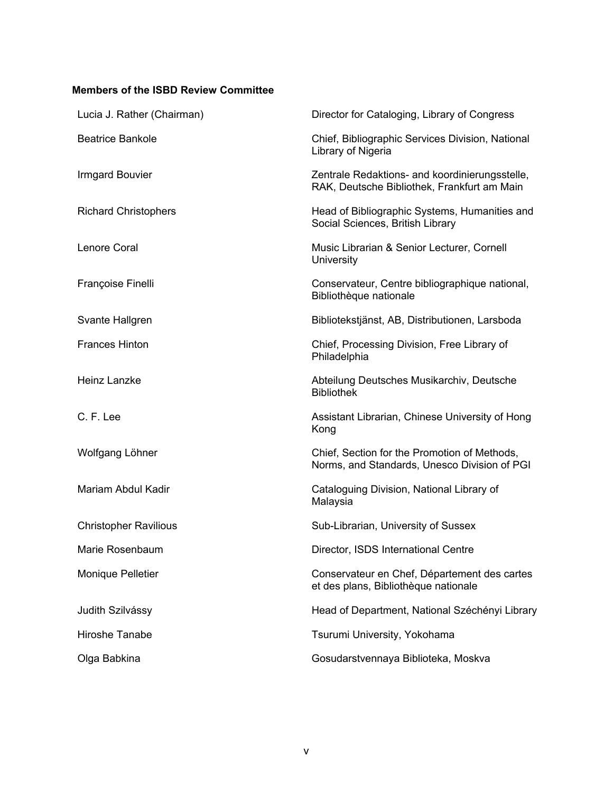# **Members of the ISBD Review Committee**

| Lucia J. Rather (Chairman)   | Director for Cataloging, Library of Congress                                                  |
|------------------------------|-----------------------------------------------------------------------------------------------|
| <b>Beatrice Bankole</b>      | Chief, Bibliographic Services Division, National<br>Library of Nigeria                        |
| <b>Irmgard Bouvier</b>       | Zentrale Redaktions- and koordinierungsstelle,<br>RAK, Deutsche Bibliothek, Frankfurt am Main |
| <b>Richard Christophers</b>  | Head of Bibliographic Systems, Humanities and<br>Social Sciences, British Library             |
| Lenore Coral                 | Music Librarian & Senior Lecturer, Cornell<br><b>University</b>                               |
| Françoise Finelli            | Conservateur, Centre bibliographique national,<br>Bibliothèque nationale                      |
| Svante Hallgren              | Bibliotekstjänst, AB, Distributionen, Larsboda                                                |
| <b>Frances Hinton</b>        | Chief, Processing Division, Free Library of<br>Philadelphia                                   |
| Heinz Lanzke                 | Abteilung Deutsches Musikarchiv, Deutsche<br><b>Bibliothek</b>                                |
| C. F. Lee                    | Assistant Librarian, Chinese University of Hong<br>Kong                                       |
| Wolfgang Löhner              | Chief, Section for the Promotion of Methods,<br>Norms, and Standards, Unesco Division of PGI  |
| Mariam Abdul Kadir           | Cataloguing Division, National Library of<br>Malaysia                                         |
| <b>Christopher Ravilious</b> | Sub-Librarian, University of Sussex                                                           |
| Marie Rosenbaum              | Director, ISDS International Centre                                                           |
| Monique Pelletier            | Conservateur en Chef, Département des cartes<br>et des plans, Bibliothèque nationale          |
| Judith Szilvássy             | Head of Department, National Széchényi Library                                                |
| <b>Hiroshe Tanabe</b>        | Tsurumi University, Yokohama                                                                  |
| Olga Babkina                 | Gosudarstvennaya Biblioteka, Moskva                                                           |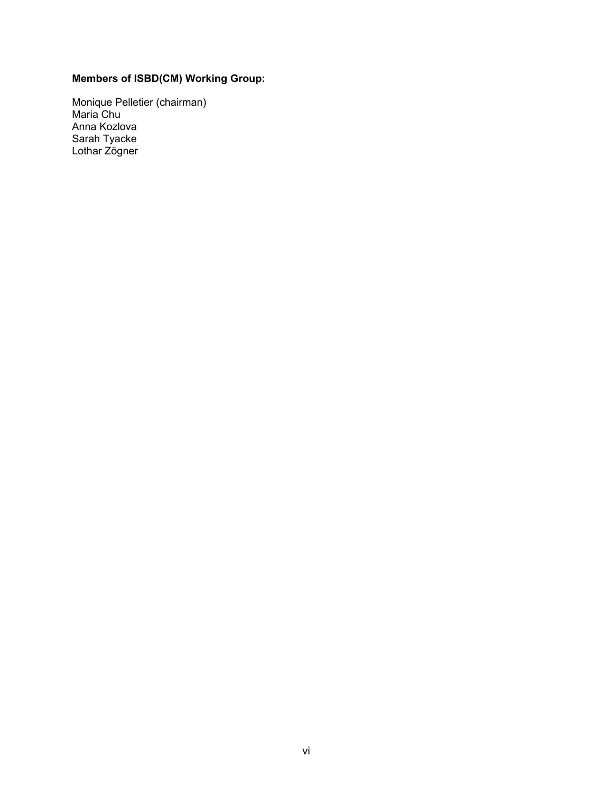# **Members of ISBD(CM) Working Group:**

Monique Pelletier (chairman) Maria Chu Anna Kozlova Sarah Tyacke Lothar Zögner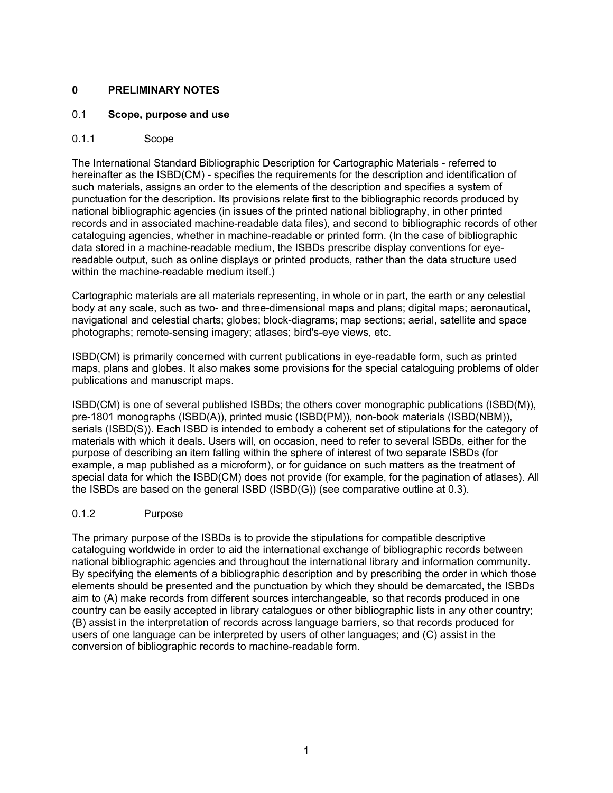# <span id="page-6-0"></span>**0 PRELIMINARY NOTES**

# 0.1 **Scope, purpose and use**

# 0.1.1 Scope

The International Standard Bibliographic Description for Cartographic Materials - referred to hereinafter as the ISBD(CM) - specifies the requirements for the description and identification of such materials, assigns an order to the elements of the description and specifies a system of punctuation for the description. Its provisions relate first to the bibliographic records produced by national bibliographic agencies (in issues of the printed national bibliography, in other printed records and in associated machine-readable data files), and second to bibliographic records of other cataloguing agencies, whether in machine-readable or printed form. (In the case of bibliographic data stored in a machine-readable medium, the ISBDs prescribe display conventions for eyereadable output, such as online displays or printed products, rather than the data structure used within the machine-readable medium itself.)

Cartographic materials are all materials representing, in whole or in part, the earth or any celestial body at any scale, such as two- and three-dimensional maps and plans; digital maps; aeronautical, navigational and celestial charts; globes; block-diagrams; map sections; aerial, satellite and space photographs; remote-sensing imagery; atlases; bird's-eye views, etc.

ISBD(CM) is primarily concerned with current publications in eye-readable form, such as printed maps, plans and globes. It also makes some provisions for the special cataloguing problems of older publications and manuscript maps.

ISBD(CM) is one of several published ISBDs; the others cover monographic publications (ISBD(M)), pre-1801 monographs (ISBD(A)), printed music (ISBD(PM)), non-book materials (ISBD(NBM)), serials (ISBD(S)). Each ISBD is intended to embody a coherent set of stipulations for the category of materials with which it deals. Users will, on occasion, need to refer to several ISBDs, either for the purpose of describing an item falling within the sphere of interest of two separate ISBDs (for example, a map published as a microform), or for guidance on such matters as the treatment of special data for which the ISBD(CM) does not provide (for example, for the pagination of atlases). All the ISBDs are based on the general ISBD (ISBD(G)) (see comparative outline at 0.3).

# 0.1.2 Purpose

The primary purpose of the ISBDs is to provide the stipulations for compatible descriptive cataloguing worldwide in order to aid the international exchange of bibliographic records between national bibliographic agencies and throughout the international library and information community. By specifying the elements of a bibliographic description and by prescribing the order in which those elements should be presented and the punctuation by which they should be demarcated, the ISBDs aim to (A) make records from different sources interchangeable, so that records produced in one country can be easily accepted in library catalogues or other bibliographic lists in any other country; (B) assist in the interpretation of records across language barriers, so that records produced for users of one language can be interpreted by users of other languages; and (C) assist in the conversion of bibliographic records to machine-readable form.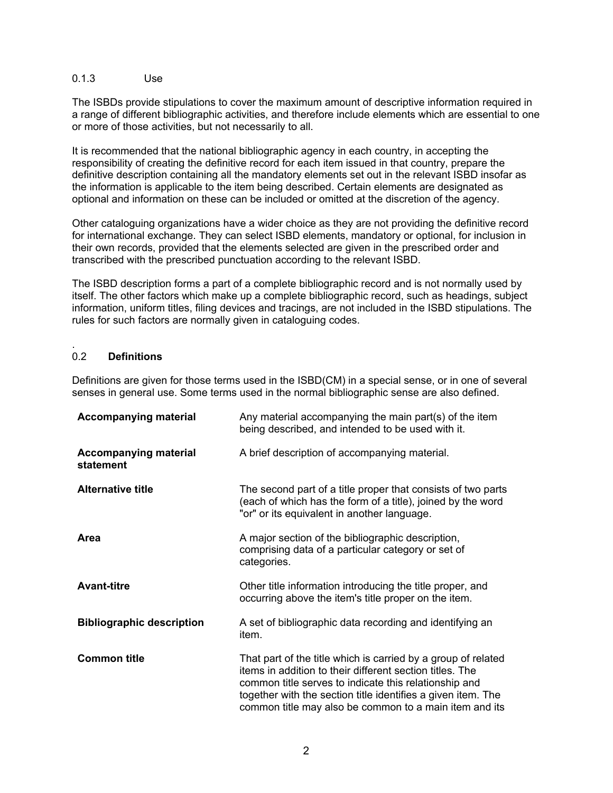#### <span id="page-7-0"></span>0.1.3 Use

The ISBDs provide stipulations to cover the maximum amount of descriptive information required in a range of different bibliographic activities, and therefore include elements which are essential to one or more of those activities, but not necessarily to all.

It is recommended that the national bibliographic agency in each country, in accepting the responsibility of creating the definitive record for each item issued in that country, prepare the definitive description containing all the mandatory elements set out in the relevant ISBD insofar as the information is applicable to the item being described. Certain elements are designated as optional and information on these can be included or omitted at the discretion of the agency.

Other cataloguing organizations have a wider choice as they are not providing the definitive record for international exchange. They can select ISBD elements, mandatory or optional, for inclusion in their own records, provided that the elements selected are given in the prescribed order and transcribed with the prescribed punctuation according to the relevant ISBD.

The ISBD description forms a part of a complete bibliographic record and is not normally used by itself. The other factors which make up a complete bibliographic record, such as headings, subject information, uniform titles, filing devices and tracings, are not included in the ISBD stipulations. The rules for such factors are normally given in cataloguing codes.

#### . 0.2 **Definitions**

Definitions are given for those terms used in the ISBD(CM) in a special sense, or in one of several senses in general use. Some terms used in the normal bibliographic sense are also defined.

| <b>Accompanying material</b>              | Any material accompanying the main part(s) of the item<br>being described, and intended to be used with it.                                                                                                                                                                                                  |
|-------------------------------------------|--------------------------------------------------------------------------------------------------------------------------------------------------------------------------------------------------------------------------------------------------------------------------------------------------------------|
| <b>Accompanying material</b><br>statement | A brief description of accompanying material.                                                                                                                                                                                                                                                                |
| <b>Alternative title</b>                  | The second part of a title proper that consists of two parts<br>(each of which has the form of a title), joined by the word<br>"or" or its equivalent in another language.                                                                                                                                   |
| <b>Area</b>                               | A major section of the bibliographic description,<br>comprising data of a particular category or set of<br>categories.                                                                                                                                                                                       |
| <b>Avant-titre</b>                        | Other title information introducing the title proper, and<br>occurring above the item's title proper on the item.                                                                                                                                                                                            |
| <b>Bibliographic description</b>          | A set of bibliographic data recording and identifying an<br>item.                                                                                                                                                                                                                                            |
| <b>Common title</b>                       | That part of the title which is carried by a group of related<br>items in addition to their different section titles. The<br>common title serves to indicate this relationship and<br>together with the section title identifies a given item. The<br>common title may also be common to a main item and its |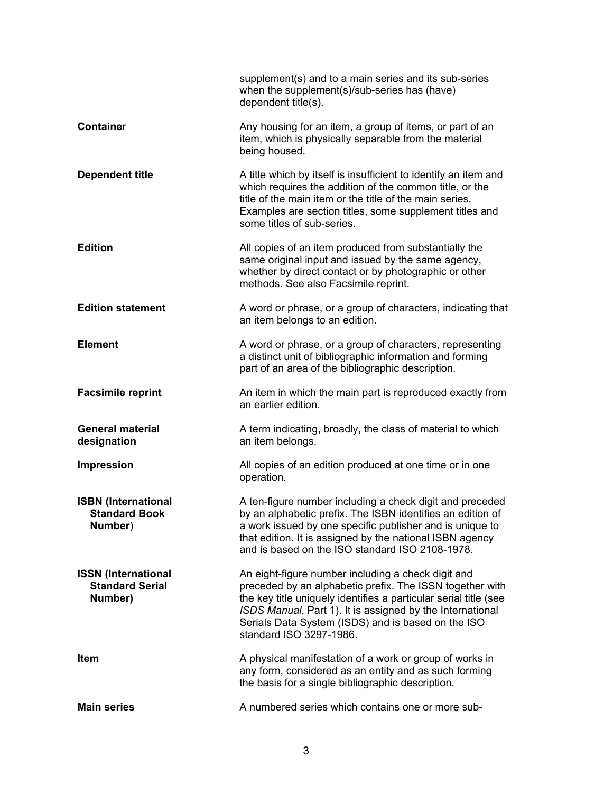|                                                                 | supplement(s) and to a main series and its sub-series<br>when the supplement(s)/sub-series has (have)<br>dependent title(s).                                                                                                                                                                                                     |
|-----------------------------------------------------------------|----------------------------------------------------------------------------------------------------------------------------------------------------------------------------------------------------------------------------------------------------------------------------------------------------------------------------------|
| <b>Container</b>                                                | Any housing for an item, a group of items, or part of an<br>item, which is physically separable from the material<br>being housed.                                                                                                                                                                                               |
| <b>Dependent title</b>                                          | A title which by itself is insufficient to identify an item and<br>which requires the addition of the common title, or the<br>title of the main item or the title of the main series.<br>Examples are section titles, some supplement titles and<br>some titles of sub-series.                                                   |
| <b>Edition</b>                                                  | All copies of an item produced from substantially the<br>same original input and issued by the same agency,<br>whether by direct contact or by photographic or other<br>methods. See also Facsimile reprint.                                                                                                                     |
| <b>Edition statement</b>                                        | A word or phrase, or a group of characters, indicating that<br>an item belongs to an edition.                                                                                                                                                                                                                                    |
| <b>Element</b>                                                  | A word or phrase, or a group of characters, representing<br>a distinct unit of bibliographic information and forming<br>part of an area of the bibliographic description.                                                                                                                                                        |
| <b>Facsimile reprint</b>                                        | An item in which the main part is reproduced exactly from<br>an earlier edition.                                                                                                                                                                                                                                                 |
| <b>General material</b><br>designation                          | A term indicating, broadly, the class of material to which<br>an item belongs.                                                                                                                                                                                                                                                   |
| Impression                                                      | All copies of an edition produced at one time or in one<br>operation.                                                                                                                                                                                                                                                            |
| <b>ISBN</b> (International<br><b>Standard Book</b><br>Number)   | A ten-figure number including a check digit and preceded<br>by an alphabetic prefix. The ISBN identifies an edition of<br>a work issued by one specific publisher and is unique to<br>that edition. It is assigned by the national ISBN agency<br>and is based on the ISO standard ISO 2108-1978.                                |
| <b>ISSN</b> (International<br><b>Standard Serial</b><br>Number) | An eight-figure number including a check digit and<br>preceded by an alphabetic prefix. The ISSN together with<br>the key title uniquely identifies a particular serial title (see<br>ISDS Manual, Part 1). It is assigned by the International<br>Serials Data System (ISDS) and is based on the ISO<br>standard ISO 3297-1986. |
| <b>Item</b>                                                     | A physical manifestation of a work or group of works in<br>any form, considered as an entity and as such forming<br>the basis for a single bibliographic description.                                                                                                                                                            |
| <b>Main series</b>                                              | A numbered series which contains one or more sub-                                                                                                                                                                                                                                                                                |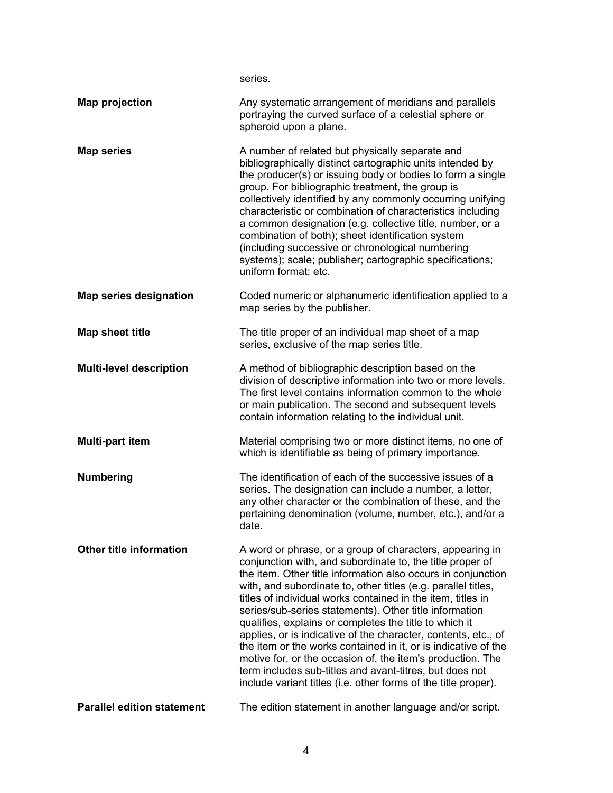|                                   | series.                                                                                                                                                                                                                                                                                                                                                                                                                                                                                                                                                                                                                                                                                                                                                                  |
|-----------------------------------|--------------------------------------------------------------------------------------------------------------------------------------------------------------------------------------------------------------------------------------------------------------------------------------------------------------------------------------------------------------------------------------------------------------------------------------------------------------------------------------------------------------------------------------------------------------------------------------------------------------------------------------------------------------------------------------------------------------------------------------------------------------------------|
| <b>Map projection</b>             | Any systematic arrangement of meridians and parallels<br>portraying the curved surface of a celestial sphere or<br>spheroid upon a plane.                                                                                                                                                                                                                                                                                                                                                                                                                                                                                                                                                                                                                                |
| <b>Map series</b>                 | A number of related but physically separate and<br>bibliographically distinct cartographic units intended by<br>the producer(s) or issuing body or bodies to form a single<br>group. For bibliographic treatment, the group is<br>collectively identified by any commonly occurring unifying<br>characteristic or combination of characteristics including<br>a common designation (e.g. collective title, number, or a<br>combination of both); sheet identification system<br>(including successive or chronological numbering<br>systems); scale; publisher; cartographic specifications;<br>uniform format; etc.                                                                                                                                                     |
| <b>Map series designation</b>     | Coded numeric or alphanumeric identification applied to a<br>map series by the publisher.                                                                                                                                                                                                                                                                                                                                                                                                                                                                                                                                                                                                                                                                                |
| <b>Map sheet title</b>            | The title proper of an individual map sheet of a map<br>series, exclusive of the map series title.                                                                                                                                                                                                                                                                                                                                                                                                                                                                                                                                                                                                                                                                       |
| <b>Multi-level description</b>    | A method of bibliographic description based on the<br>division of descriptive information into two or more levels.<br>The first level contains information common to the whole<br>or main publication. The second and subsequent levels<br>contain information relating to the individual unit.                                                                                                                                                                                                                                                                                                                                                                                                                                                                          |
| <b>Multi-part item</b>            | Material comprising two or more distinct items, no one of<br>which is identifiable as being of primary importance.                                                                                                                                                                                                                                                                                                                                                                                                                                                                                                                                                                                                                                                       |
| <b>Numbering</b>                  | The identification of each of the successive issues of a<br>series. The designation can include a number, a letter,<br>any other character or the combination of these, and the<br>pertaining denomination (volume, number, etc.), and/or a<br>date.                                                                                                                                                                                                                                                                                                                                                                                                                                                                                                                     |
| <b>Other title information</b>    | A word or phrase, or a group of characters, appearing in<br>conjunction with, and subordinate to, the title proper of<br>the item. Other title information also occurs in conjunction<br>with, and subordinate to, other titles (e.g. parallel titles,<br>titles of individual works contained in the item, titles in<br>series/sub-series statements). Other title information<br>qualifies, explains or completes the title to which it<br>applies, or is indicative of the character, contents, etc., of<br>the item or the works contained in it, or is indicative of the<br>motive for, or the occasion of, the item's production. The<br>term includes sub-titles and avant-titres, but does not<br>include variant titles (i.e. other forms of the title proper). |
| <b>Parallel edition statement</b> | The edition statement in another language and/or script.                                                                                                                                                                                                                                                                                                                                                                                                                                                                                                                                                                                                                                                                                                                 |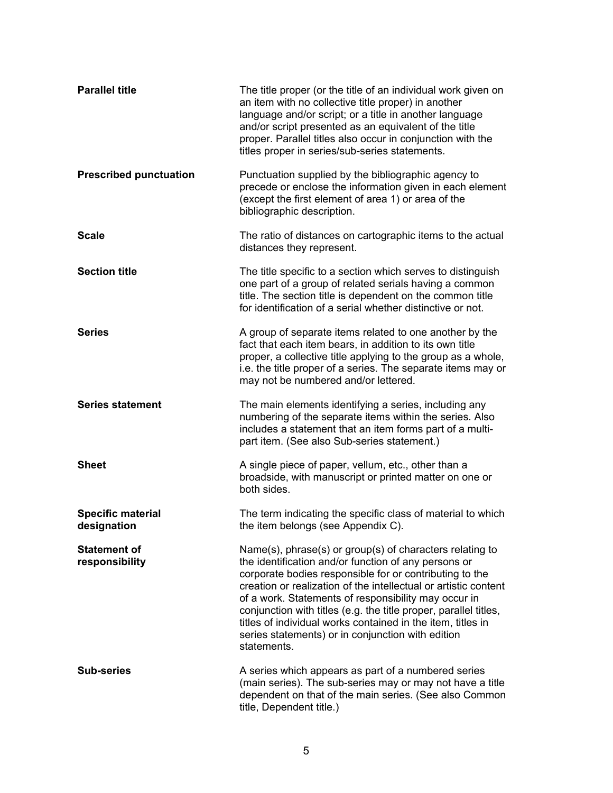| <b>Parallel title</b>                   | The title proper (or the title of an individual work given on<br>an item with no collective title proper) in another<br>language and/or script; or a title in another language<br>and/or script presented as an equivalent of the title<br>proper. Parallel titles also occur in conjunction with the<br>titles proper in series/sub-series statements.                                                                                                                                                       |
|-----------------------------------------|---------------------------------------------------------------------------------------------------------------------------------------------------------------------------------------------------------------------------------------------------------------------------------------------------------------------------------------------------------------------------------------------------------------------------------------------------------------------------------------------------------------|
| <b>Prescribed punctuation</b>           | Punctuation supplied by the bibliographic agency to<br>precede or enclose the information given in each element<br>(except the first element of area 1) or area of the<br>bibliographic description.                                                                                                                                                                                                                                                                                                          |
| <b>Scale</b>                            | The ratio of distances on cartographic items to the actual<br>distances they represent.                                                                                                                                                                                                                                                                                                                                                                                                                       |
| <b>Section title</b>                    | The title specific to a section which serves to distinguish<br>one part of a group of related serials having a common<br>title. The section title is dependent on the common title<br>for identification of a serial whether distinctive or not.                                                                                                                                                                                                                                                              |
| <b>Series</b>                           | A group of separate items related to one another by the<br>fact that each item bears, in addition to its own title<br>proper, a collective title applying to the group as a whole,<br>i.e. the title proper of a series. The separate items may or<br>may not be numbered and/or lettered.                                                                                                                                                                                                                    |
| <b>Series statement</b>                 | The main elements identifying a series, including any<br>numbering of the separate items within the series. Also<br>includes a statement that an item forms part of a multi-<br>part item. (See also Sub-series statement.)                                                                                                                                                                                                                                                                                   |
| <b>Sheet</b>                            | A single piece of paper, vellum, etc., other than a<br>broadside, with manuscript or printed matter on one or<br>both sides.                                                                                                                                                                                                                                                                                                                                                                                  |
| <b>Specific material</b><br>designation | The term indicating the specific class of material to which<br>the item belongs (see Appendix C).                                                                                                                                                                                                                                                                                                                                                                                                             |
| <b>Statement of</b><br>responsibility   | Name(s), phrase(s) or group(s) of characters relating to<br>the identification and/or function of any persons or<br>corporate bodies responsible for or contributing to the<br>creation or realization of the intellectual or artistic content<br>of a work. Statements of responsibility may occur in<br>conjunction with titles (e.g. the title proper, parallel titles,<br>titles of individual works contained in the item, titles in<br>series statements) or in conjunction with edition<br>statements. |
| <b>Sub-series</b>                       | A series which appears as part of a numbered series<br>(main series). The sub-series may or may not have a title<br>dependent on that of the main series. (See also Common<br>title, Dependent title.)                                                                                                                                                                                                                                                                                                        |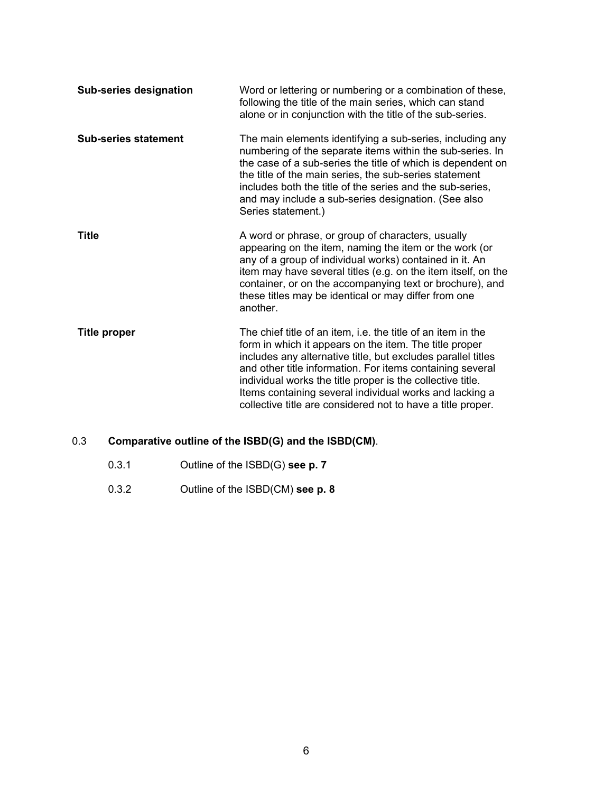<span id="page-11-0"></span>

| <b>Sub-series designation</b> | Word or lettering or numbering or a combination of these,<br>following the title of the main series, which can stand<br>alone or in conjunction with the title of the sub-series.                                                                                                                                                                                                                                                           |
|-------------------------------|---------------------------------------------------------------------------------------------------------------------------------------------------------------------------------------------------------------------------------------------------------------------------------------------------------------------------------------------------------------------------------------------------------------------------------------------|
| <b>Sub-series statement</b>   | The main elements identifying a sub-series, including any<br>numbering of the separate items within the sub-series. In<br>the case of a sub-series the title of which is dependent on<br>the title of the main series, the sub-series statement<br>includes both the title of the series and the sub-series,<br>and may include a sub-series designation. (See also<br>Series statement.)                                                   |
| <b>Title</b>                  | A word or phrase, or group of characters, usually<br>appearing on the item, naming the item or the work (or<br>any of a group of individual works) contained in it. An<br>item may have several titles (e.g. on the item itself, on the<br>container, or on the accompanying text or brochure), and<br>these titles may be identical or may differ from one<br>another.                                                                     |
| <b>Title proper</b>           | The chief title of an item, i.e. the title of an item in the<br>form in which it appears on the item. The title proper<br>includes any alternative title, but excludes parallel titles<br>and other title information. For items containing several<br>individual works the title proper is the collective title.<br>Items containing several individual works and lacking a<br>collective title are considered not to have a title proper. |

# 0.3 **Comparative outline of the ISBD(G) and the ISBD(CM)**.

- 0.3.1 Outline of the ISBD(G) **see p. 7**
- 0.3.2 Outline of the ISBD(CM) **see p. 8**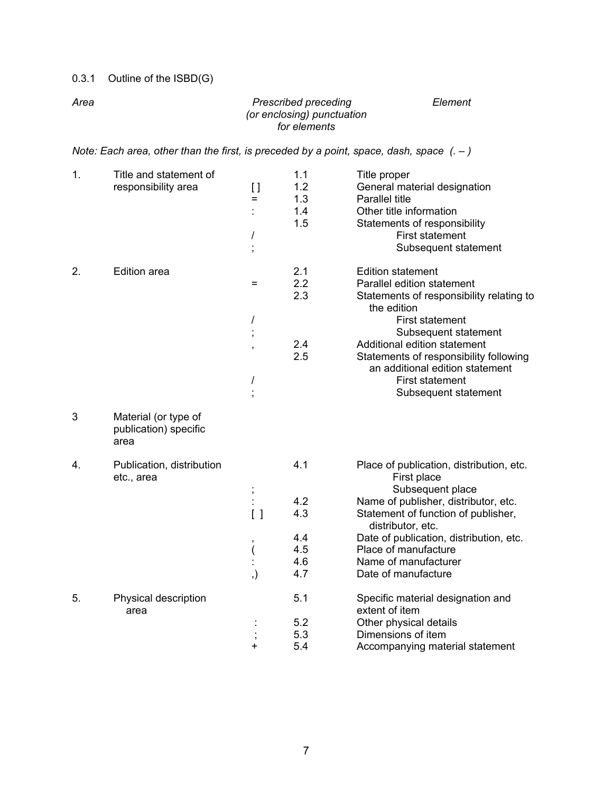# 0.3.1 Outline of the ISBD(G)

# *Area Prescribed preceding Element (or enclosing) punctuation for elements*

*Note: Each area, other than the first, is preceded by a point, space, dash, space (. – )* 

| 1. | Title and statement of<br>responsibility area         |                                 | 1.1<br>1.2 | Title proper<br>General material designation            |
|----|-------------------------------------------------------|---------------------------------|------------|---------------------------------------------------------|
|    |                                                       | $[ \ ]$<br>=                    | 1.3        | Parallel title                                          |
|    |                                                       |                                 | 1.4        | Other title information                                 |
|    |                                                       |                                 | 1.5        | Statements of responsibility                            |
|    |                                                       |                                 |            | <b>First statement</b>                                  |
|    |                                                       | $\prime$                        |            |                                                         |
|    |                                                       | $\overline{\phantom{a}}$        |            | Subsequent statement                                    |
| 2. | <b>Edition</b> area                                   |                                 | 2.1        | <b>Edition statement</b>                                |
|    |                                                       | Ξ                               | 2.2        | Parallel edition statement                              |
|    |                                                       |                                 | 2.3        | Statements of responsibility relating to<br>the edition |
|    |                                                       | $\prime$                        |            | First statement                                         |
|    |                                                       | $\,$                            |            | Subsequent statement                                    |
|    |                                                       |                                 | 2.4        | Additional edition statement                            |
|    |                                                       | $\pmb{\cdot}$                   | 2.5        | Statements of responsibility following                  |
|    |                                                       |                                 |            | an additional edition statement                         |
|    |                                                       | $\overline{I}$                  |            | First statement                                         |
|    |                                                       |                                 |            | Subsequent statement                                    |
|    |                                                       |                                 |            |                                                         |
| 3  | Material (or type of<br>publication) specific<br>area |                                 |            |                                                         |
| 4. | Publication, distribution                             |                                 | 4.1        | Place of publication, distribution, etc.                |
|    | etc., area                                            |                                 |            | First place                                             |
|    |                                                       | $\,$                            |            | Subsequent place                                        |
|    |                                                       |                                 | 4.2        | Name of publisher, distributor, etc.                    |
|    |                                                       | $\begin{bmatrix} \end{bmatrix}$ | 4.3        | Statement of function of publisher,                     |
|    |                                                       |                                 |            | distributor, etc.                                       |
|    |                                                       | $\,$                            | 4.4        | Date of publication, distribution, etc.                 |
|    |                                                       | (                               | 4.5        | Place of manufacture                                    |
|    |                                                       |                                 | 4.6        | Name of manufacturer                                    |
|    |                                                       | , )                             | 4.7        | Date of manufacture                                     |
| 5. | Physical description                                  |                                 | 5.1        | Specific material designation and                       |
|    | area                                                  |                                 |            | extent of item                                          |
|    |                                                       |                                 | 5.2        | Other physical details                                  |
|    |                                                       |                                 | 5.3        | Dimensions of item                                      |
|    |                                                       | $\ddot{}$                       | 5.4        | Accompanying material statement                         |
|    |                                                       |                                 |            |                                                         |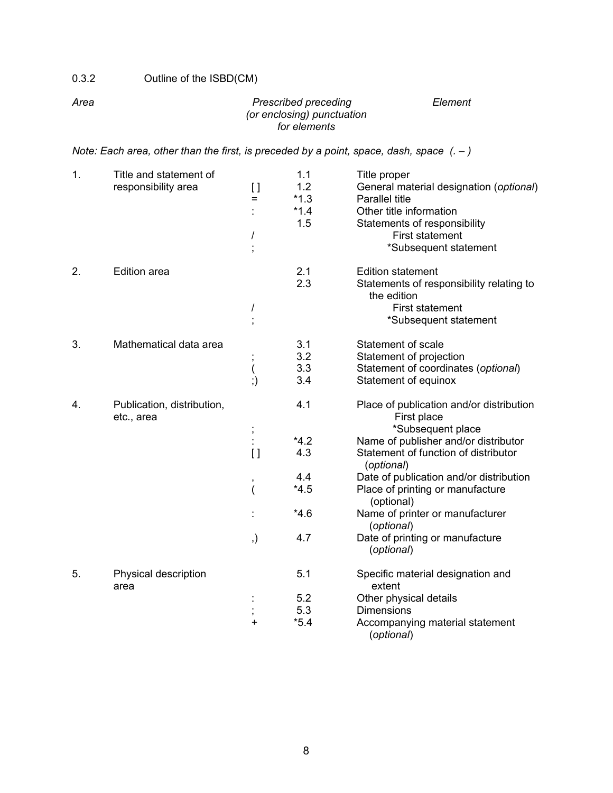# 0.3.2 Outline of the ISBD(CM)

# *Area Prescribed preceding Element (or enclosing) punctuation for elements*

*Note: Each area, other than the first, is preceded by a point, space, dash, space (. – )* 

| 1. | Title and statement of                   |                          | 1.1        | Title proper                                            |
|----|------------------------------------------|--------------------------|------------|---------------------------------------------------------|
|    | responsibility area                      | $\lceil$                 | 1.2        | General material designation (optional)                 |
|    |                                          | $=$                      | $*1.3$     | Parallel title                                          |
|    |                                          |                          | $*1.4$     | Other title information                                 |
|    |                                          |                          | 1.5        | Statements of responsibility                            |
|    |                                          | $\prime$                 |            | <b>First statement</b>                                  |
|    |                                          | $\overline{\phantom{a}}$ |            | *Subsequent statement                                   |
|    |                                          |                          |            |                                                         |
| 2. | <b>Edition</b> area                      |                          | 2.1        | <b>Edition statement</b>                                |
|    |                                          |                          | 2.3        | Statements of responsibility relating to                |
|    |                                          |                          |            | the edition                                             |
|    |                                          | I                        |            | First statement                                         |
|    |                                          |                          |            | *Subsequent statement                                   |
| 3. | Mathematical data area                   |                          | 3.1        | Statement of scale                                      |
|    |                                          |                          | 3.2        |                                                         |
|    |                                          | $\,$                     |            | Statement of projection                                 |
|    |                                          | (                        | 3.3<br>3.4 | Statement of coordinates (optional)                     |
|    |                                          | $;$ )                    |            | Statement of equinox                                    |
| 4. | Publication, distribution,<br>etc., area |                          | 4.1        | Place of publication and/or distribution<br>First place |
|    |                                          | $\,$                     |            | *Subsequent place                                       |
|    |                                          |                          | $*4.2$     | Name of publisher and/or distributor                    |
|    |                                          | $\overline{1}$           | 4.3        | Statement of function of distributor<br>(optional)      |
|    |                                          | $\,$                     | 4.4        | Date of publication and/or distribution                 |
|    |                                          | $\overline{\phantom{a}}$ | $*4.5$     | Place of printing or manufacture<br>(optional)          |
|    |                                          |                          | $*4.6$     | Name of printer or manufacturer                         |
|    |                                          |                          |            | (optional)                                              |
|    |                                          | .)                       | 4.7        | Date of printing or manufacture<br>(optional)           |
| 5. | Physical description                     |                          | 5.1        | Specific material designation and                       |
|    | area                                     |                          |            | extent                                                  |
|    |                                          |                          | 5.2        | Other physical details                                  |
|    |                                          | $\pmb{\cdot}$            | 5.3        | <b>Dimensions</b>                                       |
|    |                                          | $\ddot{}$                | $*5.4$     | Accompanying material statement<br>(optional)           |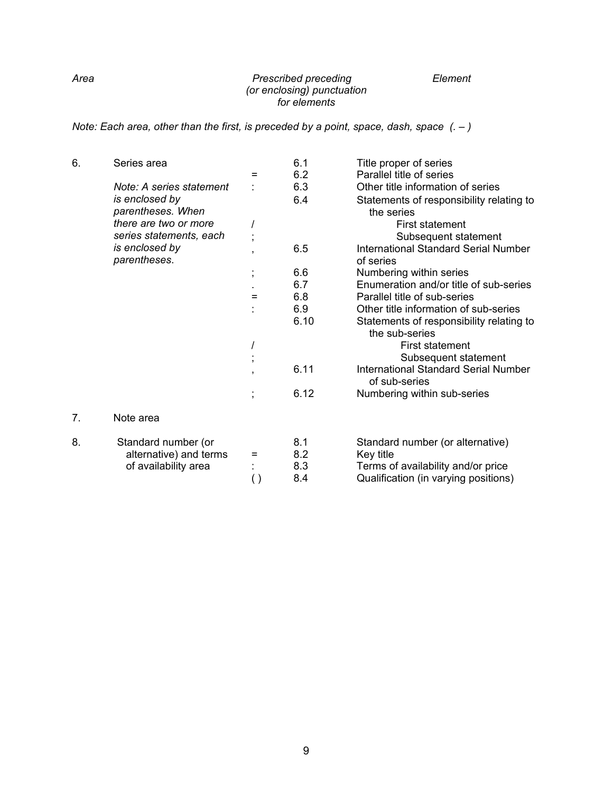#### *Area Prescribed preceding Element (or enclosing) punctuation for elements*

*Note: Each area, other than the first, is preceded by a point, space, dash, space (. – )* 

| 6. | Series area                         |                          | 6.1  | Title proper of series                                       |
|----|-------------------------------------|--------------------------|------|--------------------------------------------------------------|
|    |                                     | =                        | 6.2  | Parallel title of series                                     |
|    | Note: A series statement            |                          | 6.3  | Other title information of series                            |
|    | is enclosed by<br>parentheses. When |                          | 6.4  | Statements of responsibility relating to<br>the series       |
|    | there are two or more               |                          |      | First statement                                              |
|    | series statements, each             |                          |      | Subsequent statement                                         |
|    | is enclosed by<br>parentheses.      | $\overline{\phantom{a}}$ | 6.5  | <b>International Standard Serial Number</b><br>of series     |
|    |                                     | $\overline{\phantom{a}}$ | 6.6  | Numbering within series                                      |
|    |                                     |                          | 6.7  | Enumeration and/or title of sub-series                       |
|    |                                     | $=$                      | 6.8  | Parallel title of sub-series                                 |
|    |                                     |                          | 6.9  | Other title information of sub-series                        |
|    |                                     |                          | 6.10 | Statements of responsibility relating to<br>the sub-series   |
|    |                                     | 1                        |      | <b>First statement</b>                                       |
|    |                                     | $\overline{\phantom{a}}$ |      | Subsequent statement                                         |
|    |                                     | $\,$                     | 6.11 | <b>International Standard Serial Number</b><br>of sub-series |
|    |                                     | $\overline{\phantom{a}}$ | 6.12 | Numbering within sub-series                                  |
| 7. | Note area                           |                          |      |                                                              |
| 8. | Standard number (or                 |                          | 8.1  | Standard number (or alternative)                             |
|    | alternative) and terms              | =                        | 8.2  | Key title                                                    |
|    | of availability area                |                          | 8.3  | Terms of availability and/or price                           |
|    |                                     | $\left( \ \right)$       | 8.4  | Qualification (in varying positions)                         |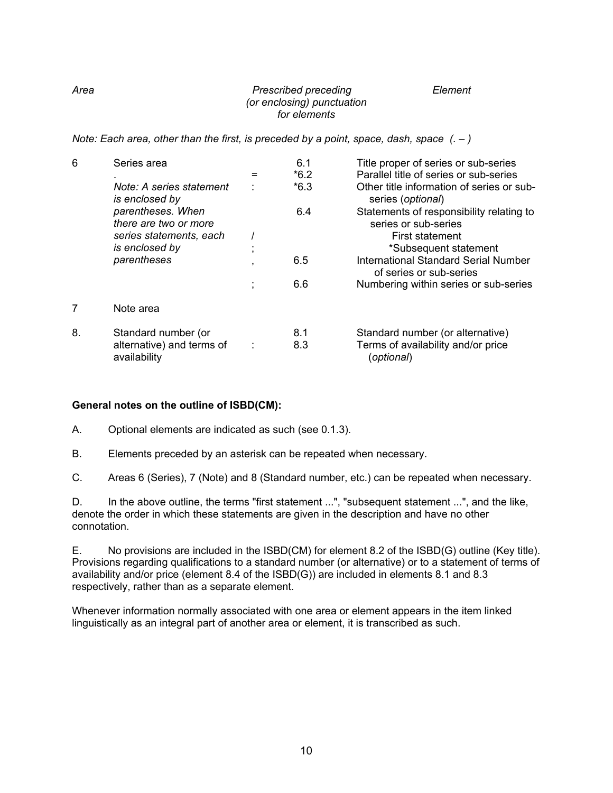#### *Area Prescribed preceding Element (or enclosing) punctuation for elements*

*Note: Each area, other than the first, is preceded by a point, space, dash, space (. – )* 

| 6  | Series area                                                                             | = | 6.1<br>$*6.2$ | Title proper of series or sub-series<br>Parallel title of series or sub-series                               |
|----|-----------------------------------------------------------------------------------------|---|---------------|--------------------------------------------------------------------------------------------------------------|
|    | Note: A series statement<br>is enclosed by                                              |   | $*6.3$        | Other title information of series or sub-<br>series (optional)                                               |
|    | parentheses. When<br>there are two or more<br>series statements, each<br>is enclosed by |   | 6.4           | Statements of responsibility relating to<br>series or sub-series<br>First statement<br>*Subsequent statement |
|    | parentheses                                                                             |   | 6.5           | International Standard Serial Number<br>of series or sub-series                                              |
|    |                                                                                         |   | 6.6           | Numbering within series or sub-series                                                                        |
| 7  | Note area                                                                               |   |               |                                                                                                              |
| 8. | Standard number (or<br>alternative) and terms of<br>availability                        |   | 8.1<br>8.3    | Standard number (or alternative)<br>Terms of availability and/or price<br>(optional)                         |

# **General notes on the outline of ISBD(CM):**

A. Optional elements are indicated as such (see 0.1.3).

B. Elements preceded by an asterisk can be repeated when necessary.

C. Areas 6 (Series), 7 (Note) and 8 (Standard number, etc.) can be repeated when necessary.

D. In the above outline, the terms "first statement ...", "subsequent statement ...", and the like, denote the order in which these statements are given in the description and have no other connotation.

E. No provisions are included in the ISBD(CM) for element 8.2 of the ISBD(G) outline (Key title). Provisions regarding qualifications to a standard number (or alternative) or to a statement of terms of availability and/or price (element 8.4 of the ISBD(G)) are included in elements 8.1 and 8.3 respectively, rather than as a separate element.

Whenever information normally associated with one area or element appears in the item linked linguistically as an integral part of another area or element, it is transcribed as such.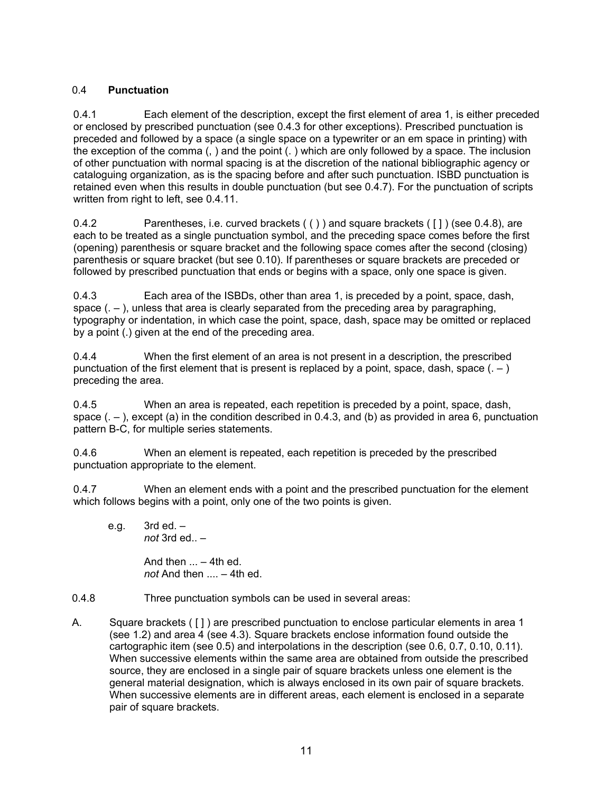# <span id="page-16-0"></span>0.4 **Punctuation**

0.4.1 Each element of the description, except the first element of area 1, is either preceded or enclosed by prescribed punctuation (see 0.4.3 for other exceptions). Prescribed punctuation is preceded and followed by a space (a single space on a typewriter or an em space in printing) with the exception of the comma (, ) and the point (. ) which are only followed by a space. The inclusion of other punctuation with normal spacing is at the discretion of the national bibliographic agency or cataloguing organization, as is the spacing before and after such punctuation. ISBD punctuation is retained even when this results in double punctuation (but see 0.4.7). For the punctuation of scripts written from right to left, see 0.4.11.

0.4.2 **Parentheses, i.e. curved brackets ( ( ) ) and square brackets ( [ ] ) (see 0.4.8), are** each to be treated as a single punctuation symbol, and the preceding space comes before the first (opening) parenthesis or square bracket and the following space comes after the second (closing) parenthesis or square bracket (but see 0.10). If parentheses or square brackets are preceded or followed by prescribed punctuation that ends or begins with a space, only one space is given.

0.4.3 Each area of the ISBDs, other than area 1, is preceded by a point, space, dash, space  $($ .  $-$  ), unless that area is clearly separated from the preceding area by paragraphing, typography or indentation, in which case the point, space, dash, space may be omitted or replaced by a point (.) given at the end of the preceding area.

0.4.4 When the first element of an area is not present in a description, the prescribed punctuation of the first element that is present is replaced by a point, space, dash, space  $(.-)$ preceding the area.

0.4.5 When an area is repeated, each repetition is preceded by a point, space, dash, space  $(.-)$ , except (a) in the condition described in 0.4.3, and (b) as provided in area 6, punctuation pattern B-C, for multiple series statements.

0.4.6 When an element is repeated, each repetition is preceded by the prescribed punctuation appropriate to the element.

0.4.7 When an element ends with a point and the prescribed punctuation for the element which follows begins with a point, only one of the two points is given.

e.g.  $3rd$  ed.  $$  *not* 3rd ed.. –

> And then  $\ldots$  – 4th ed. *not* And then .... – 4th ed.

- 0.4.8 Three punctuation symbols can be used in several areas:
- A. Square brackets ([]) are prescribed punctuation to enclose particular elements in area 1 (see 1.2) and area 4 (see 4.3). Square brackets enclose information found outside the cartographic item (see 0.5) and interpolations in the description (see 0.6, 0.7, 0.10, 0.11). When successive elements within the same area are obtained from outside the prescribed source, they are enclosed in a single pair of square brackets unless one element is the general material designation, which is always enclosed in its own pair of square brackets. When successive elements are in different areas, each element is enclosed in a separate pair of square brackets.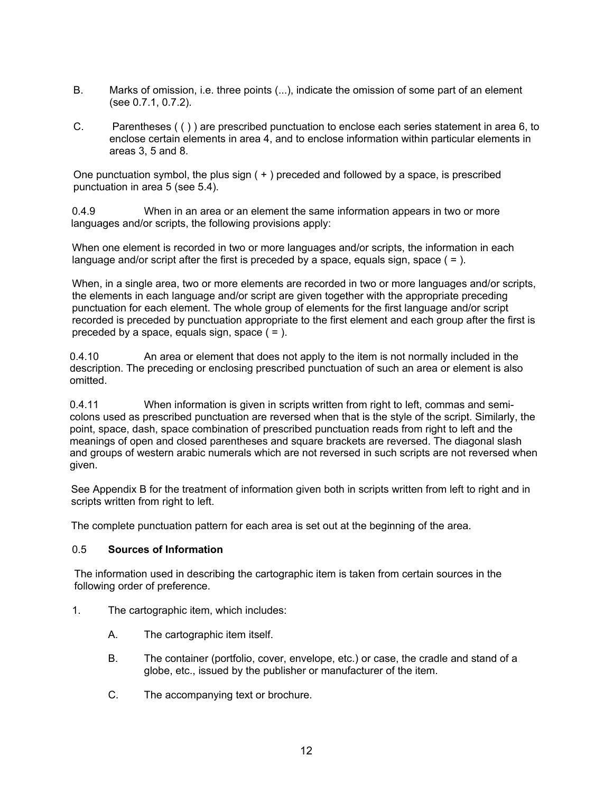- <span id="page-17-0"></span>B. Marks of omission, i.e. three points (...), indicate the omission of some part of an element (see 0.7.1, 0.7.2).
- C. Parentheses ( ( ) ) are prescribed punctuation to enclose each series statement in area 6, to enclose certain elements in area 4, and to enclose information within particular elements in areas 3, 5 and 8.

One punctuation symbol, the plus sign ( + ) preceded and followed by a space, is prescribed punctuation in area 5 (see 5.4).

0.4.9 When in an area or an element the same information appears in two or more languages and/or scripts, the following provisions apply:

When one element is recorded in two or more languages and/or scripts, the information in each language and/or script after the first is preceded by a space, equals sign, space  $( = ).$ 

When, in a single area, two or more elements are recorded in two or more languages and/or scripts, the elements in each language and/or script are given together with the appropriate preceding punctuation for each element. The whole group of elements for the first language and/or script recorded is preceded by punctuation appropriate to the first element and each group after the first is preceded by a space, equals sign, space  $( = ).$ 

0.4.10 An area or element that does not apply to the item is not normally included in the description. The preceding or enclosing prescribed punctuation of such an area or element is also omitted.

0.4.11 When information is given in scripts written from right to left, commas and semicolons used as prescribed punctuation are reversed when that is the style of the script. Similarly, the point, space, dash, space combination of prescribed punctuation reads from right to left and the meanings of open and closed parentheses and square brackets are reversed. The diagonal slash and groups of western arabic numerals which are not reversed in such scripts are not reversed when given.

See Appendix B for the treatment of information given both in scripts written from left to right and in scripts written from right to left.

The complete punctuation pattern for each area is set out at the beginning of the area.

#### 0.5 **Sources of Information**

The information used in describing the cartographic item is taken from certain sources in the following order of preference.

- 1. The cartographic item, which includes:
	- A. The cartographic item itself.
	- B. The container (portfolio, cover, envelope, etc.) or case, the cradle and stand of a globe, etc., issued by the publisher or manufacturer of the item.
	- C. The accompanying text or brochure.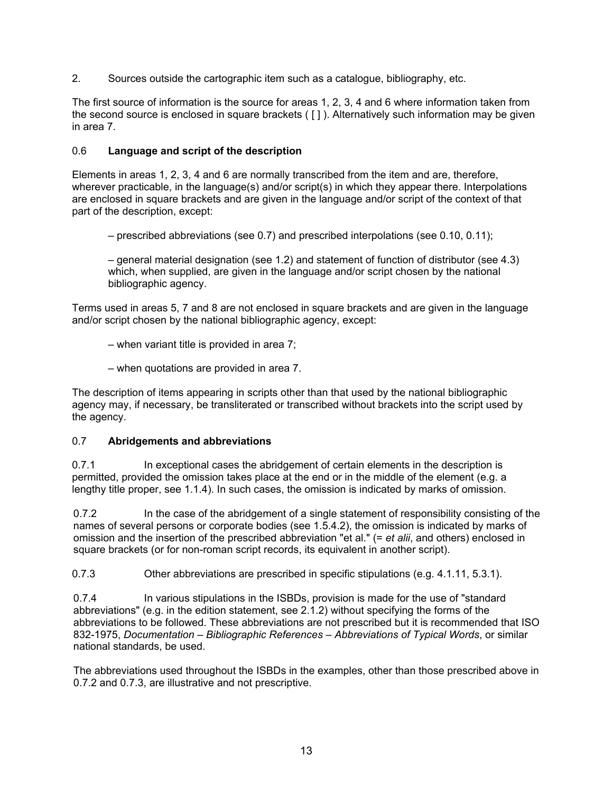<span id="page-18-0"></span>2. Sources outside the cartographic item such as a catalogue, bibliography, etc.

The first source of information is the source for areas 1, 2, 3, 4 and 6 where information taken from the second source is enclosed in square brackets ( [ ] ). Alternatively such information may be given in area 7.

# 0.6 **Language and script of the description**

Elements in areas 1, 2, 3, 4 and 6 are normally transcribed from the item and are, therefore, wherever practicable, in the language(s) and/or script(s) in which they appear there. Interpolations are enclosed in square brackets and are given in the language and/or script of the context of that part of the description, except:

– prescribed abbreviations (see 0.7) and prescribed interpolations (see 0.10, 0.11);

– general material designation (see 1.2) and statement of function of distributor (see 4.3) which, when supplied, are given in the language and/or script chosen by the national bibliographic agency.

Terms used in areas 5, 7 and 8 are not enclosed in square brackets and are given in the language and/or script chosen by the national bibliographic agency, except:

– when variant title is provided in area 7;

– when quotations are provided in area 7.

The description of items appearing in scripts other than that used by the national bibliographic agency may, if necessary, be transliterated or transcribed without brackets into the script used by the agency.

#### 0.7 **Abridgements and abbreviations**

0.7.1 In exceptional cases the abridgement of certain elements in the description is permitted, provided the omission takes place at the end or in the middle of the element (e.g. a lengthy title proper, see 1.1.4). In such cases, the omission is indicated by marks of omission.

0.7.2In the case of the abridgement of a single statement of responsibility consisting of the names of several persons or corporate bodies (see 1.5.4.2), the omission is indicated by marks of omission and the insertion of the prescribed abbreviation "et al." (= *et alii*, and others) enclosed in square brackets (or for non-roman script records, its equivalent in another script).

0.7.3 Other abbreviations are prescribed in specific stipulations (e.g. 4.1.11, 5.3.1).

0.7.4 In various stipulations in the ISBDs, provision is made for the use of "standard" abbreviations" (e.g. in the edition statement, see 2.1.2) without specifying the forms of the abbreviations to be followed. These abbreviations are not prescribed but it is recommended that ISO 832-1975, *Documentation – Bibliographic References – Abbreviations of Typical Words*, or similar national standards, be used.

The abbreviations used throughout the ISBDs in the examples, other than those prescribed above in 0.7.2 and 0.7.3, are illustrative and not prescriptive.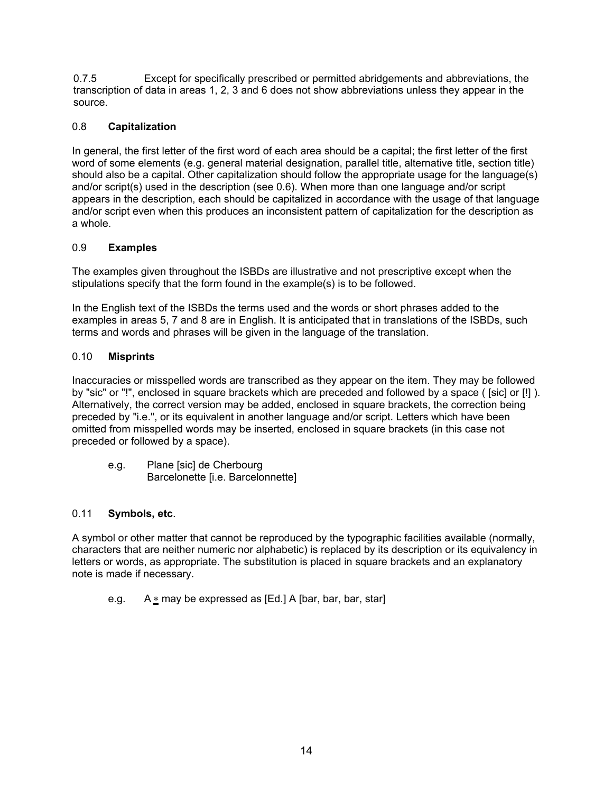<span id="page-19-0"></span>0.7.5 Except for specifically prescribed or permitted abridgements and abbreviations, the transcription of data in areas 1, 2, 3 and 6 does not show abbreviations unless they appear in the source.

# 0.8 **Capitalization**

In general, the first letter of the first word of each area should be a capital; the first letter of the first word of some elements (e.g. general material designation, parallel title, alternative title, section title) should also be a capital. Other capitalization should follow the appropriate usage for the language(s) and/or script(s) used in the description (see 0.6). When more than one language and/or script appears in the description, each should be capitalized in accordance with the usage of that language and/or script even when this produces an inconsistent pattern of capitalization for the description as a whole.

# 0.9 **Examples**

The examples given throughout the ISBDs are illustrative and not prescriptive except when the stipulations specify that the form found in the example(s) is to be followed.

In the English text of the ISBDs the terms used and the words or short phrases added to the examples in areas 5, 7 and 8 are in English. It is anticipated that in translations of the ISBDs, such terms and words and phrases will be given in the language of the translation.

# 0.10 **Misprints**

Inaccuracies or misspelled words are transcribed as they appear on the item. They may be followed by "sic" or "!", enclosed in square brackets which are preceded and followed by a space ( [sic] or [!] ). Alternatively, the correct version may be added, enclosed in square brackets, the correction being preceded by "i.e.", or its equivalent in another language and/or script. Letters which have been omitted from misspelled words may be inserted, enclosed in square brackets (in this case not preceded or followed by a space).

e.g. Plane [sic] de Cherbourg Barcelonette [i.e. Barcelonnette]

#### 0.11 **Symbols, etc**.

A symbol or other matter that cannot be reproduced by the typographic facilities available (normally, characters that are neither numeric nor alphabetic) is replaced by its description or its equivalency in letters or words, as appropriate. The substitution is placed in square brackets and an explanatory note is made if necessary.

e.g.  $A \triangleq$  may be expressed as [Ed.] A [bar, bar, bar, star]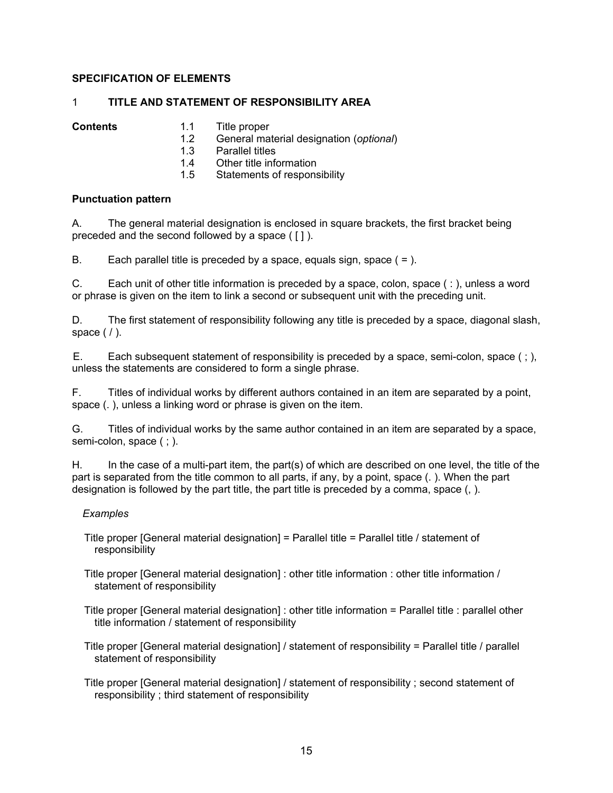# <span id="page-20-0"></span>**SPECIFICATION OF ELEMENTS**

# 1 **TITLE AND STATEMENT OF RESPONSIBILITY AREA**

- **Contents** 1.1 Title proper
	- 1.2 General material designation (*optional*)
	- 1.3 Parallel titles
	- 1.4 Other title information
	- 1.5 Statements of responsibility

# **Punctuation pattern**

A. The general material designation is enclosed in square brackets, the first bracket being preceded and the second followed by a space ( [ ] ).

B. Each parallel title is preceded by a space, equals sign, space ( = ).

C. Each unit of other title information is preceded by a space, colon, space  $( : )$ , unless a word or phrase is given on the item to link a second or subsequent unit with the preceding unit.

D. The first statement of responsibility following any title is preceded by a space, diagonal slash, space  $( / )$ .

E. Each subsequent statement of responsibility is preceded by a space, semi-colon, space ( ; ), unless the statements are considered to form a single phrase.

F. Titles of individual works by different authors contained in an item are separated by a point, space (. ), unless a linking word or phrase is given on the item.

G. Titles of individual works by the same author contained in an item are separated by a space, semi-colon, space (; ).

H. In the case of a multi-part item, the part(s) of which are described on one level, the title of the part is separated from the title common to all parts, if any, by a point, space (. ). When the part designation is followed by the part title, the part title is preceded by a comma, space (, ).

#### *Examples*

Title proper [General material designation] = Parallel title = Parallel title / statement of responsibility

Title proper [General material designation] : other title information : other title information / statement of responsibility

Title proper [General material designation] : other title information = Parallel title : parallel other title information / statement of responsibility

Title proper [General material designation] / statement of responsibility = Parallel title / parallel statement of responsibility

Title proper [General material designation] / statement of responsibility ; second statement of responsibility ; third statement of responsibility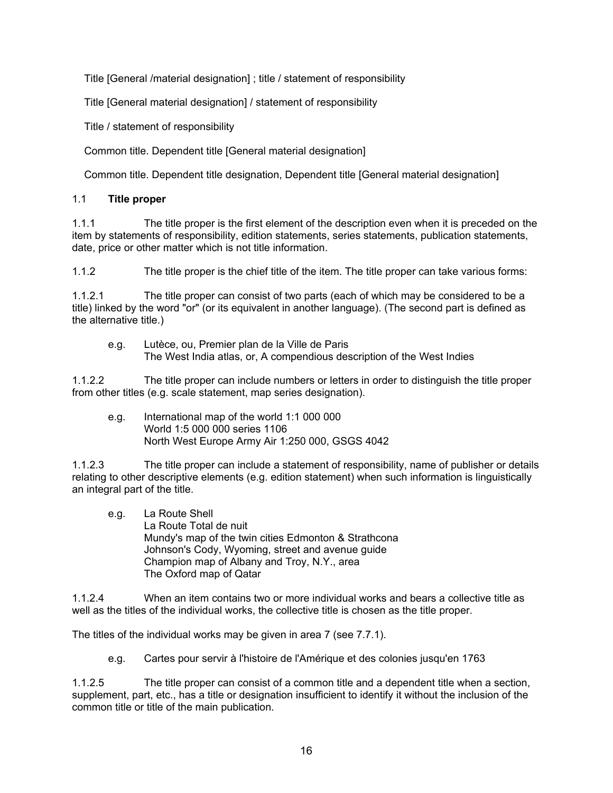Title [General /material designation] ; title / statement of responsibility

Title [General material designation] / statement of responsibility

Title / statement of responsibility

Common title. Dependent title [General material designation]

Common title. Dependent title designation, Dependent title [General material designation]

# 1.1 **Title proper**

1.1.1 The title proper is the first element of the description even when it is preceded on the item by statements of responsibility, edition statements, series statements, publication statements, date, price or other matter which is not title information.

1.1.2 The title proper is the chief title of the item. The title proper can take various forms:

1.1.2.1 The title proper can consist of two parts (each of which may be considered to be a title) linked by the word "or" (or its equivalent in another language). (The second part is defined as the alternative title.)

e.g. Lutèce, ou, Premier plan de la Ville de Paris The West India atlas, or, A compendious description of the West Indies

1.1.2.2 The title proper can include numbers or letters in order to distinguish the title proper from other titles (e.g. scale statement, map series designation).

e.g. International map of the world 1:1 000 000 World 1:5 000 000 series 1106 North West Europe Army Air 1:250 000, GSGS 4042

1.1.2.3 The title proper can include a statement of responsibility, name of publisher or details relating to other descriptive elements (e.g. edition statement) when such information is linguistically an integral part of the title.

e.g. La Route Shell La Route Total de nuit Mundy's map of the twin cities Edmonton & Strathcona Johnson's Cody, Wyoming, street and avenue guide Champion map of Albany and Troy, N.Y., area The Oxford map of Qatar

1.1.2.4 When an item contains two or more individual works and bears a collective title as well as the titles of the individual works, the collective title is chosen as the title proper.

The titles of the individual works may be given in area 7 (see 7.7.1).

e.g. Cartes pour servir à l'histoire de l'Amérique et des colonies jusqu'en 1763

1.1.2.5 The title proper can consist of a common title and a dependent title when a section, supplement, part, etc., has a title or designation insufficient to identify it without the inclusion of the common title or title of the main publication.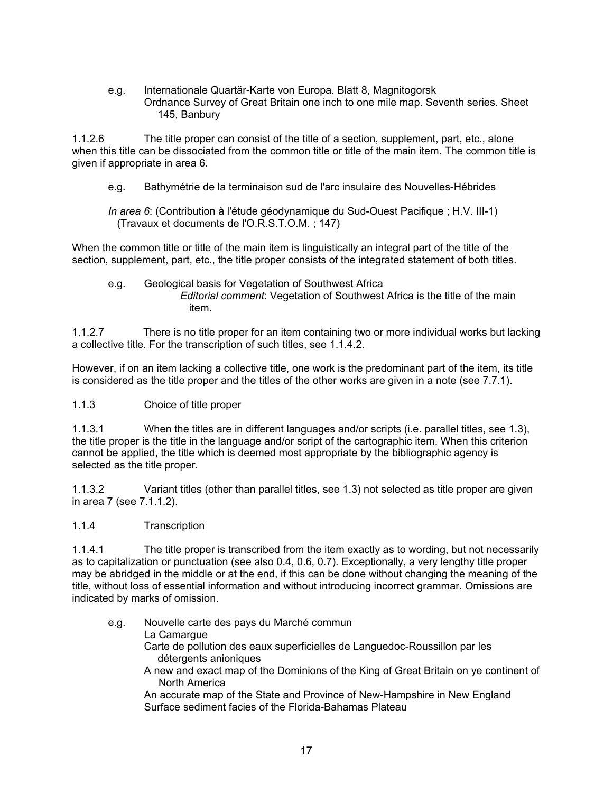e.g. Internationale Quartär-Karte von Europa. Blatt 8, Magnitogorsk Ordnance Survey of Great Britain one inch to one mile map. Seventh series. Sheet 145, Banbury

1.1.2.6 The title proper can consist of the title of a section, supplement, part, etc., alone when this title can be dissociated from the common title or title of the main item. The common title is given if appropriate in area 6.

e.g. Bathymétrie de la terminaison sud de l'arc insulaire des Nouvelles-Hébrides

*In area 6*: (Contribution à l'étude géodynamique du Sud-Ouest Pacifique ; H.V. III-1) (Travaux et documents de l'O.R.S.T.O.M. ; 147)

When the common title or title of the main item is linguistically an integral part of the title of the section, supplement, part, etc., the title proper consists of the integrated statement of both titles.

e.g. Geological basis for Vegetation of Southwest Africa *Editorial comment*: Vegetation of Southwest Africa is the title of the main item.

1.1.2.7 There is no title proper for an item containing two or more individual works but lacking a collective title. For the transcription of such titles, see 1.1.4.2.

However, if on an item lacking a collective title, one work is the predominant part of the item, its title is considered as the title proper and the titles of the other works are given in a note (see 7.7.1).

# 1.1.3 Choice of title proper

1.1.3.1 When the titles are in different languages and/or scripts (i.e. parallel titles, see 1.3), the title proper is the title in the language and/or script of the cartographic item. When this criterion cannot be applied, the title which is deemed most appropriate by the bibliographic agency is selected as the title proper.

1.1.3.2 Variant titles (other than parallel titles, see 1.3) not selected as title proper are given in area 7 (see 7.1.1.2).

#### 1.1.4 Transcription

1.1.4.1 The title proper is transcribed from the item exactly as to wording, but not necessarily as to capitalization or punctuation (see also 0.4, 0.6, 0.7). Exceptionally, a very lengthy title proper may be abridged in the middle or at the end, if this can be done without changing the meaning of the title, without loss of essential information and without introducing incorrect grammar. Omissions are indicated by marks of omission.

- e.g. Nouvelle carte des pays du Marché commun
	- La Camargue

Carte de pollution des eaux superficielles de Languedoc-Roussillon par les détergents anioniques

A new and exact map of the Dominions of the King of Great Britain on ye continent of North America

An accurate map of the State and Province of New-Hampshire in New England Surface sediment facies of the Florida-Bahamas Plateau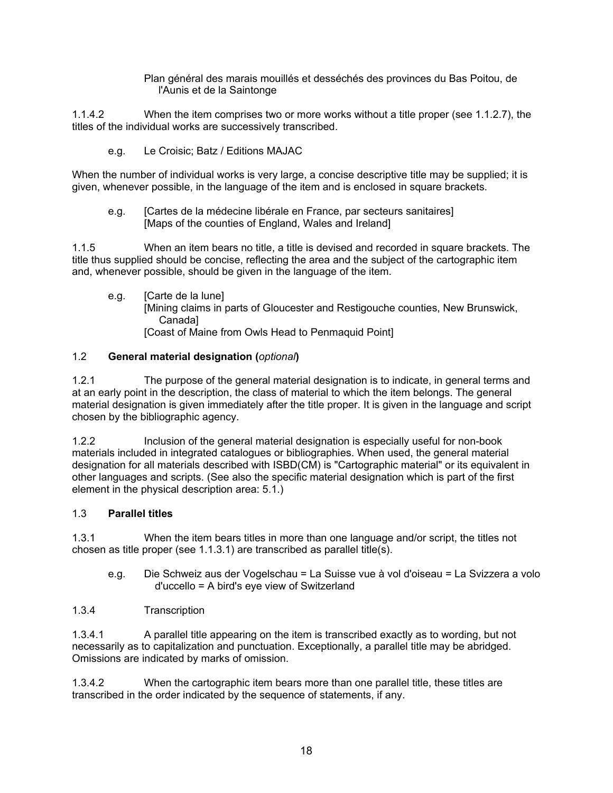Plan général des marais mouillés et desséchés des provinces du Bas Poitou, de l'Aunis et de la Saintonge

1.1.4.2 When the item comprises two or more works without a title proper (see 1.1.2.7), the titles of the individual works are successively transcribed.

e.g. Le Croisic; Batz / Editions MAJAC

When the number of individual works is very large, a concise descriptive title may be supplied; it is given, whenever possible, in the language of the item and is enclosed in square brackets.

e.g. [Cartes de la médecine libérale en France, par secteurs sanitaires] [Maps of the counties of England, Wales and Ireland]

1.1.5 When an item bears no title, a title is devised and recorded in square brackets. The title thus supplied should be concise, reflecting the area and the subject of the cartographic item and, whenever possible, should be given in the language of the item.

e.g. [Carte de la lune] [Mining claims in parts of Gloucester and Restigouche counties, New Brunswick, Canada] [Coast of Maine from Owls Head to Penmaquid Point]

# 1.2 **General material designation (***optional***)**

1.2.1 The purpose of the general material designation is to indicate, in general terms and at an early point in the description, the class of material to which the item belongs. The general material designation is given immediately after the title proper. It is given in the language and script chosen by the bibliographic agency.

1.2.2 Inclusion of the general material designation is especially useful for non-book materials included in integrated catalogues or bibliographies. When used, the general material designation for all materials described with ISBD(CM) is "Cartographic material" or its equivalent in other languages and scripts. (See also the specific material designation which is part of the first element in the physical description area: 5.1.)

#### 1.3 **Parallel titles**

1.3.1 When the item bears titles in more than one language and/or script, the titles not chosen as title proper (see 1.1.3.1) are transcribed as parallel title(s).

- e.g. Die Schweiz aus der Vogelschau = La Suisse vue à vol d'oiseau = La Svizzera a volo d'uccello = A bird's eye view of Switzerland
- 1.3.4 Transcription

1.3.4.1 A parallel title appearing on the item is transcribed exactly as to wording, but not necessarily as to capitalization and punctuation. Exceptionally, a parallel title may be abridged. Omissions are indicated by marks of omission.

1.3.4.2 When the cartographic item bears more than one parallel title, these titles are transcribed in the order indicated by the sequence of statements, if any.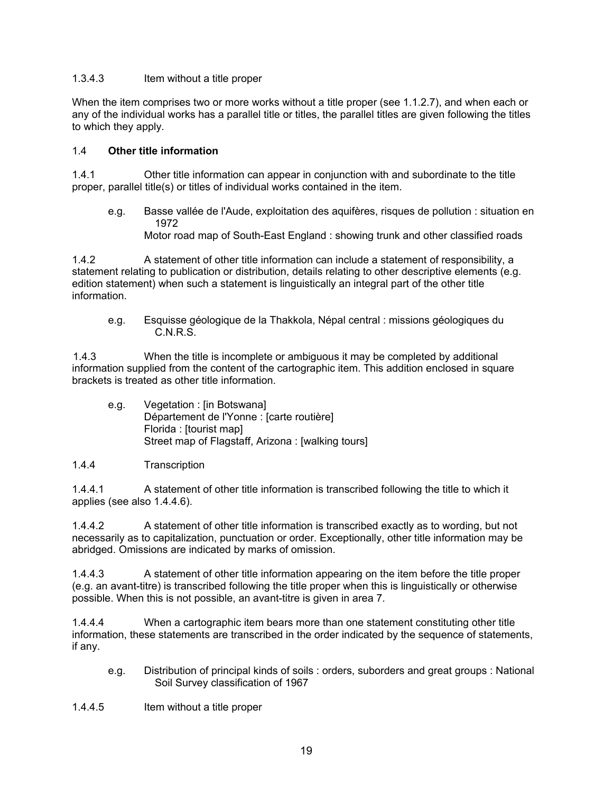#### 1.3.4.3 Item without a title proper

When the item comprises two or more works without a title proper (see 1.1.2.7), and when each or any of the individual works has a parallel title or titles, the parallel titles are given following the titles to which they apply.

# 1.4 **Other title information**

1.4.1 Other title information can appear in conjunction with and subordinate to the title proper, parallel title(s) or titles of individual works contained in the item.

e.g. Basse vallée de l'Aude, exploitation des aquifères, risques de pollution : situation en 1972

Motor road map of South-East England : showing trunk and other classified roads

1.4.2 A statement of other title information can include a statement of responsibility, a statement relating to publication or distribution, details relating to other descriptive elements (e.g. edition statement) when such a statement is linguistically an integral part of the other title information.

e.g. Esquisse géologique de la Thakkola, Népal central : missions géologiques du C.N.R.S.

1.4.3 When the title is incomplete or ambiguous it may be completed by additional information supplied from the content of the cartographic item. This addition enclosed in square brackets is treated as other title information.

e.g. Vegetation : [in Botswana] Département de l'Yonne : [carte routière] Florida : [tourist map] Street map of Flagstaff, Arizona : [walking tours]

# 1.4.4 Transcription

1.4.4.1 A statement of other title information is transcribed following the title to which it applies (see also 1.4.4.6).

1.4.4.2 A statement of other title information is transcribed exactly as to wording, but not necessarily as to capitalization, punctuation or order. Exceptionally, other title information may be abridged. Omissions are indicated by marks of omission.

1.4.4.3 A statement of other title information appearing on the item before the title proper (e.g. an avant-titre) is transcribed following the title proper when this is linguistically or otherwise possible. When this is not possible, an avant-titre is given in area 7.

1.4.4.4 When a cartographic item bears more than one statement constituting other title information, these statements are transcribed in the order indicated by the sequence of statements, if any.

- e.g. Distribution of principal kinds of soils : orders, suborders and great groups : National Soil Survey classification of 1967
- 1.4.4.5 Item without a title proper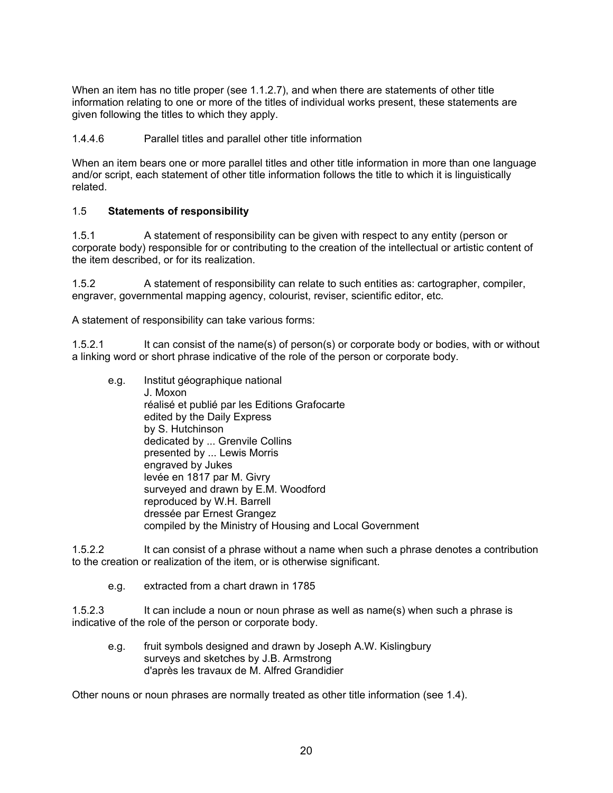When an item has no title proper (see 1.1.2.7), and when there are statements of other title information relating to one or more of the titles of individual works present, these statements are given following the titles to which they apply.

1.4.4.6 Parallel titles and parallel other title information

When an item bears one or more parallel titles and other title information in more than one language and/or script, each statement of other title information follows the title to which it is linguistically related.

# 1.5 **Statements of responsibility**

1.5.1 A statement of responsibility can be given with respect to any entity (person or corporate body) responsible for or contributing to the creation of the intellectual or artistic content of the item described, or for its realization.

1.5.2 A statement of responsibility can relate to such entities as: cartographer, compiler, engraver, governmental mapping agency, colourist, reviser, scientific editor, etc.

A statement of responsibility can take various forms:

1.5.2.1 It can consist of the name(s) of person(s) or corporate body or bodies, with or without a linking word or short phrase indicative of the role of the person or corporate body.

e.g. Institut géographique national J. Moxon réalisé et publié par les Editions Grafocarte edited by the Daily Express by S. Hutchinson dedicated by ... Grenvile Collins presented by ... Lewis Morris engraved by Jukes levée en 1817 par M. Givry surveyed and drawn by E.M. Woodford reproduced by W.H. Barrell dressée par Ernest Grangez compiled by the Ministry of Housing and Local Government

1.5.2.2 It can consist of a phrase without a name when such a phrase denotes a contribution to the creation or realization of the item, or is otherwise significant.

e.g. extracted from a chart drawn in 1785

1.5.2.3 It can include a noun or noun phrase as well as name(s) when such a phrase is indicative of the role of the person or corporate body.

e.g. fruit symbols designed and drawn by Joseph A.W. Kislingbury surveys and sketches by J.B. Armstrong d'après les travaux de M. Alfred Grandidier

Other nouns or noun phrases are normally treated as other title information (see 1.4).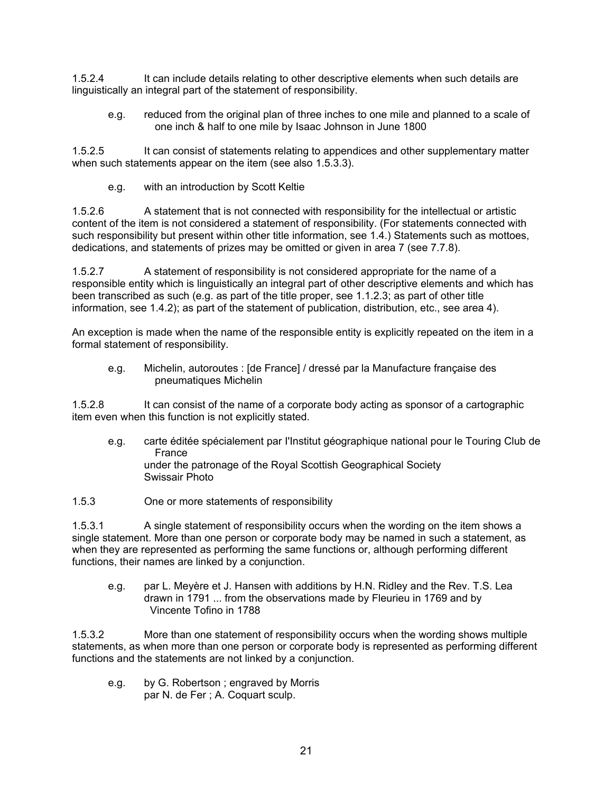1.5.2.4 It can include details relating to other descriptive elements when such details are linguistically an integral part of the statement of responsibility.

e.g. reduced from the original plan of three inches to one mile and planned to a scale of one inch & half to one mile by Isaac Johnson in June 1800

1.5.2.5 It can consist of statements relating to appendices and other supplementary matter when such statements appear on the item (see also 1.5.3.3).

e.g. with an introduction by Scott Keltie

1.5.2.6 A statement that is not connected with responsibility for the intellectual or artistic content of the item is not considered a statement of responsibility. (For statements connected with such responsibility but present within other title information, see 1.4.) Statements such as mottoes, dedications, and statements of prizes may be omitted or given in area 7 (see 7.7.8).

1.5.2.7 A statement of responsibility is not considered appropriate for the name of a responsible entity which is linguistically an integral part of other descriptive elements and which has been transcribed as such (e.g. as part of the title proper, see 1.1.2.3; as part of other title information, see 1.4.2); as part of the statement of publication, distribution, etc., see area 4).

An exception is made when the name of the responsible entity is explicitly repeated on the item in a formal statement of responsibility.

e.g. Michelin, autoroutes : [de France] / dressé par la Manufacture française des pneumatiques Michelin

1.5.2.8 It can consist of the name of a corporate body acting as sponsor of a cartographic item even when this function is not explicitly stated.

- e.g. carte éditée spécialement par I'Institut géographique national pour le Touring Club de France under the patronage of the Royal Scottish Geographical Society Swissair Photo
- 1.5.3 One or more statements of responsibility

1.5.3.1 A single statement of responsibility occurs when the wording on the item shows a single statement. More than one person or corporate body may be named in such a statement, as when they are represented as performing the same functions or, although performing different functions, their names are linked by a conjunction.

e.g. par L. Meyère et J. Hansen with additions by H.N. Ridley and the Rev. T.S. Lea drawn in 1791 ... from the observations made by Fleurieu in 1769 and by Vincente Tofino in 1788

1.5.3.2 More than one statement of responsibility occurs when the wording shows multiple statements, as when more than one person or corporate body is represented as performing different functions and the statements are not linked by a conjunction.

e.g. by G. Robertson ; engraved by Morris par N. de Fer ; A. Coquart sculp.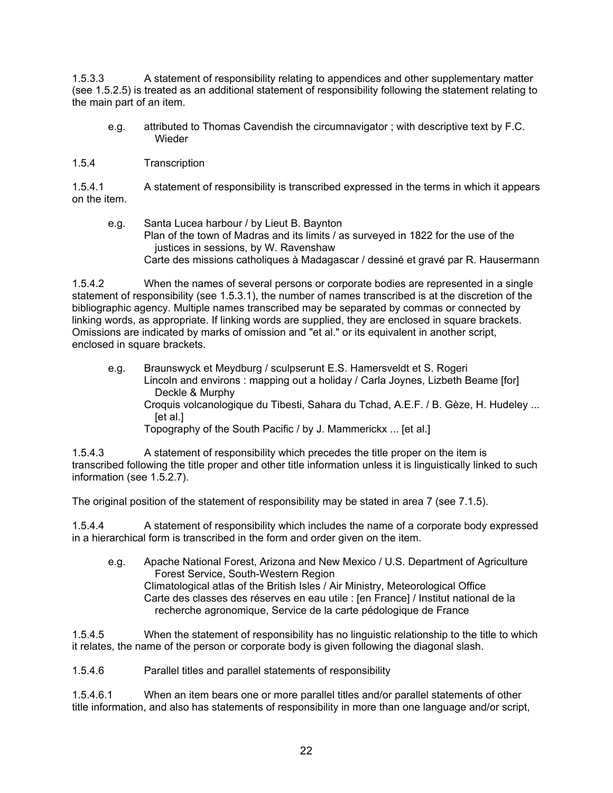1.5.3.3 A statement of responsibility relating to appendices and other supplementary matter (see 1.5.2.5) is treated as an additional statement of responsibility following the statement relating to the main part of an item.

- e.g. attributed to Thomas Cavendish the circumnavigator ; with descriptive text by F.C. Wieder
- 1.5.4 Transcription

1.5.4.1 A statement of responsibility is transcribed expressed in the terms in which it appears on the item.

e.g. Santa Lucea harbour / by Lieut B. Baynton Plan of the town of Madras and its limits / as surveyed in 1822 for the use of the justices in sessions, by W. Ravenshaw Carte des missions catholiques à Madagascar / dessiné et gravé par R. Hausermann

1.5.4.2 When the names of several persons or corporate bodies are represented in a single statement of responsibility (see 1.5.3.1), the number of names transcribed is at the discretion of the bibliographic agency. Multiple names transcribed may be separated by commas or connected by linking words, as appropriate. If linking words are supplied, they are enclosed in square brackets. Omissions are indicated by marks of omission and "et al." or its equivalent in another script, enclosed in square brackets.

e.g. Braunswyck et Meydburg / sculpserunt E.S. Hamersveldt et S. Rogeri Lincoln and environs : mapping out a holiday / Carla Joynes, Lizbeth Beame [for] Deckle & Murphy Croquis volcanologique du Tibesti, Sahara du Tchad, A.E.F. / B. Gèze, H. Hudeley ... let al.1

Topography of the South Pacific / by J. Mammerickx ... [et al.]

1.5.4.3 A statement of responsibility which precedes the title proper on the item is transcribed following the title proper and other title information unless it is linguistically linked to such information (see 1.5.2.7).

The original position of the statement of responsibility may be stated in area 7 (see 7.1.5).

1.5.4.4 A statement of responsibility which includes the name of a corporate body expressed in a hierarchical form is transcribed in the form and order given on the item.

e.g. Apache National Forest, Arizona and New Mexico / U.S. Department of Agriculture Forest Service, South-Western Region Climatological atlas of the British Isles / Air Ministry, Meteorological Office Carte des classes des réserves en eau utile : [en France] / Institut national de la recherche agronomique, Service de la carte pédologique de France

1.5.4.5 When the statement of responsibility has no linguistic relationship to the title to which it relates, the name of the person or corporate body is given following the diagonal slash.

1.5.4.6 Parallel titles and parallel statements of responsibility

1.5.4.6.1 When an item bears one or more parallel titles and/or parallel statements of other title information, and also has statements of responsibility in more than one language and/or script,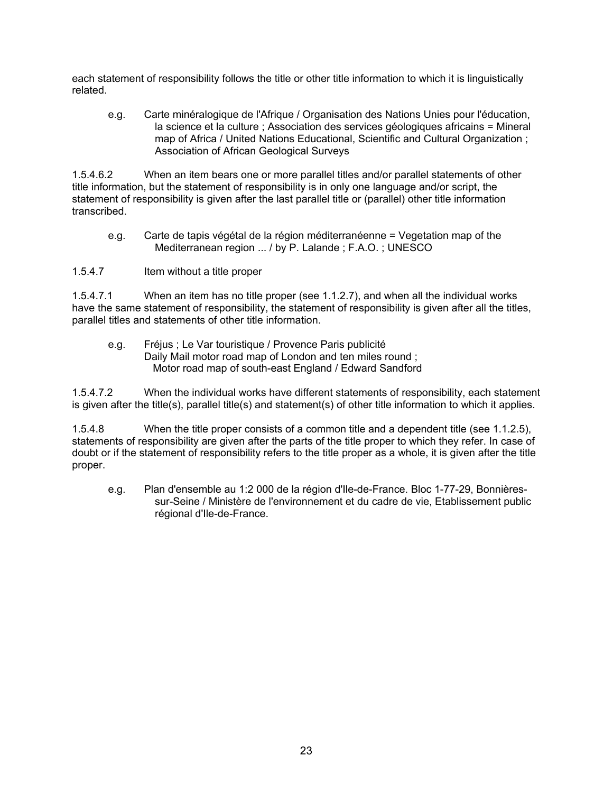each statement of responsibility follows the title or other title information to which it is linguistically related.

e.g. Carte minéralogique de l'Afrique / Organisation des Nations Unies pour l'éducation, la science et la culture ; Association des services géologiques africains = Mineral map of Africa / United Nations Educational, Scientific and Cultural Organization ; Association of African Geological Surveys

1.5.4.6.2 When an item bears one or more parallel titles and/or parallel statements of other title information, but the statement of responsibility is in only one language and/or script, the statement of responsibility is given after the last parallel title or (parallel) other title information transcribed.

- e.g. Carte de tapis végétal de la région méditerranéenne = Vegetation map of the Mediterranean region ... / by P. Lalande ; F.A.O. ; UNESCO
- 1.5.4.7 Item without a title proper

1.5.4.7.1 When an item has no title proper (see 1.1.2.7), and when all the individual works have the same statement of responsibility, the statement of responsibility is given after all the titles, parallel titles and statements of other title information.

e.g. Fréjus ; Le Var touristique / Provence Paris publicité Daily Mail motor road map of London and ten miles round ; Motor road map of south-east England / Edward Sandford

1.5.4.7.2 When the individual works have different statements of responsibility, each statement is given after the title(s), parallel title(s) and statement(s) of other title information to which it applies.

1.5.4.8 When the title proper consists of a common title and a dependent title (see 1.1.2.5), statements of responsibility are given after the parts of the title proper to which they refer. In case of doubt or if the statement of responsibility refers to the title proper as a whole, it is given after the title proper.

e.g. Plan d'ensemble au 1:2 000 de la région d'Ile-de-France. Bloc 1-77-29, Bonnièressur-Seine / Ministère de l'environnement et du cadre de vie, Etablissement public régional d'Ile-de-France.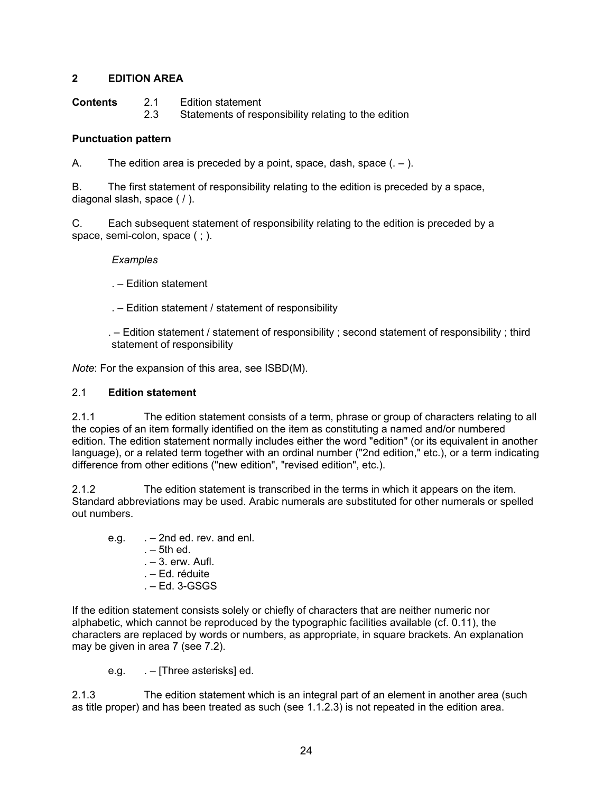# <span id="page-29-0"></span>**2 EDITION AREA**

**Contents** 2.1 Edition statement

2.3 Statements of responsibility relating to the edition

# **Punctuation pattern**

A. The edition area is preceded by a point, space, dash, space  $(.-).$ 

B. The first statement of responsibility relating to the edition is preceded by a space, diagonal slash, space ( / ).

C. Each subsequent statement of responsibility relating to the edition is preceded by a space, semi-colon, space (; ).

*Examples* 

. – Edition statement

. – Edition statement / statement of responsibility

. – Edition statement / statement of responsibility ; second statement of responsibility ; third statement of responsibility

*Note*: For the expansion of this area, see ISBD(M).

# 2.1 **Edition statement**

2.1.1 The edition statement consists of a term, phrase or group of characters relating to all the copies of an item formally identified on the item as constituting a named and/or numbered edition. The edition statement normally includes either the word "edition" (or its equivalent in another language), or a related term together with an ordinal number ("2nd edition," etc.), or a term indicating difference from other editions ("new edition", "revised edition", etc.).

2.1.2 The edition statement is transcribed in the terms in which it appears on the item. Standard abbreviations may be used. Arabic numerals are substituted for other numerals or spelled out numbers.

e.g. . – 2nd ed. rev. and enl. . – 5th ed. . – 3. erw. Aufl. . – Ed. réduite . – Ed. 3-GSGS

If the edition statement consists solely or chiefly of characters that are neither numeric nor alphabetic, which cannot be reproduced by the typographic facilities available (cf. 0.11), the characters are replaced by words or numbers, as appropriate, in square brackets. An explanation may be given in area 7 (see 7.2).

e.g. . – [Three asterisks] ed.

2.1.3 The edition statement which is an integral part of an element in another area (such as title proper) and has been treated as such (see 1.1.2.3) is not repeated in the edition area.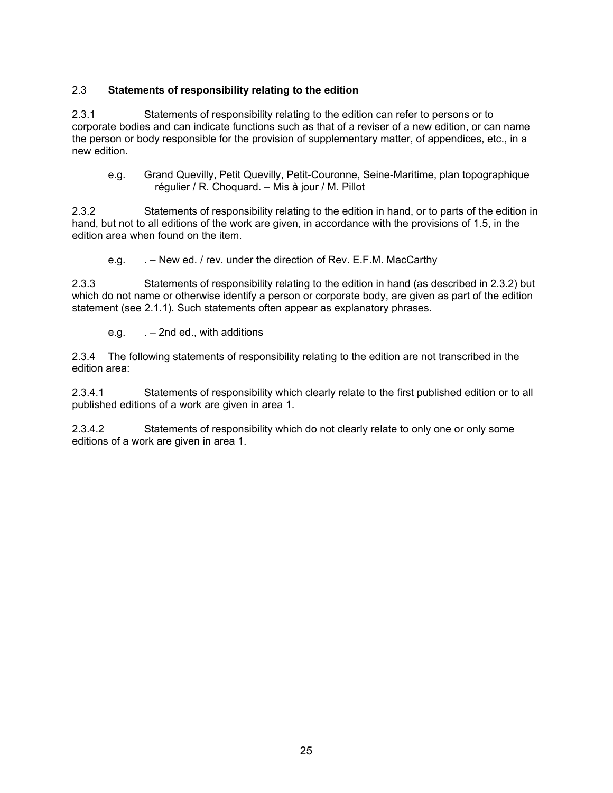# 2.3 **Statements of responsibility relating to the edition**

2.3.1 Statements of responsibility relating to the edition can refer to persons or to corporate bodies and can indicate functions such as that of a reviser of a new edition, or can name the person or body responsible for the provision of supplementary matter, of appendices, etc., in a new edition.

e.g. Grand Quevilly, Petit Quevilly, Petit-Couronne, Seine-Maritime, plan topographique régulier / R. Choquard. – Mis à jour / M. Pillot

2.3.2 Statements of responsibility relating to the edition in hand, or to parts of the edition in hand, but not to all editions of the work are given, in accordance with the provisions of 1.5, in the edition area when found on the item.

e.g.  $\ldots$  – New ed. / rev. under the direction of Rev. E.F.M. MacCarthy

2.3.3 Statements of responsibility relating to the edition in hand (as described in 2.3.2) but which do not name or otherwise identify a person or corporate body, are given as part of the edition statement (see 2.1.1). Such statements often appear as explanatory phrases.

e.g. . – 2nd ed., with additions

2.3.4 The following statements of responsibility relating to the edition are not transcribed in the edition area:

2.3.4.1 Statements of responsibility which clearly relate to the first published edition or to all published editions of a work are given in area 1.

2.3.4.2 Statements of responsibility which do not clearly relate to only one or only some editions of a work are given in area 1.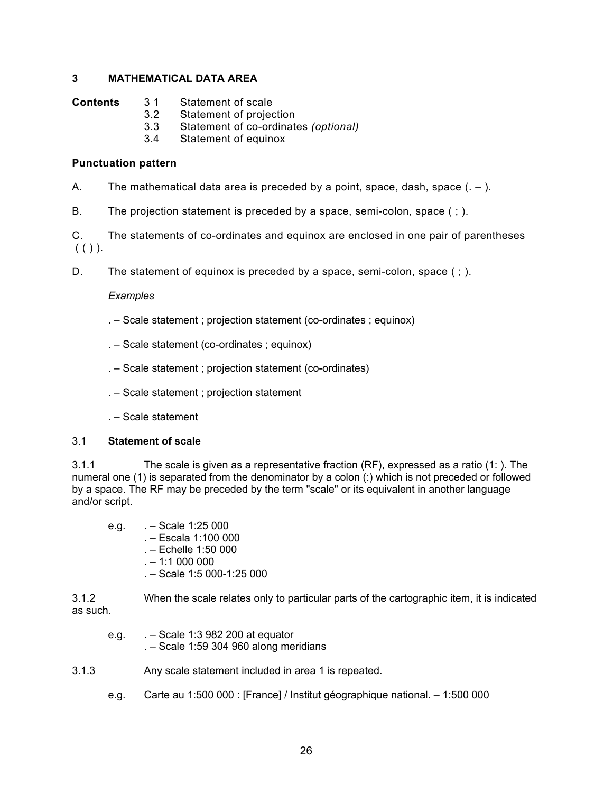# <span id="page-31-0"></span>**3 MATHEMATICAL DATA AREA**

#### **Contents** 3 1 Statement of scale

- 
- 3.2 Statement of projection<br>3.3 Statement of co-ordinate 3.3 Statement of co-ordinates *(optional)*
- 3.4 Statement of equinox

# **Punctuation pattern**

- A. The mathematical data area is preceded by a point, space, dash, space  $(.-).$
- B. The projection statement is preceded by a space, semi-colon, space ( ; ).

C. The statements of co-ordinates and equinox are enclosed in one pair of parentheses  $( () ).$ 

D. The statement of equinox is preceded by a space, semi-colon, space (; ).

#### *Examples*

- . Scale statement ; projection statement (co-ordinates ; equinox)
- . Scale statement (co-ordinates ; equinox)
- . Scale statement ; projection statement (co-ordinates)
- . Scale statement ; projection statement
- . Scale statement

#### 3.1 **Statement of scale**

3.1.1 The scale is given as a representative fraction (RF), expressed as a ratio (1: ). The numeral one (1) is separated from the denominator by a colon (:) which is not preceded or followed by a space. The RF may be preceded by the term "scale" or its equivalent in another language and/or script.

e.g. . – Scale 1:25 000 . – Escala 1:100 000 . – Echelle 1:50 000  $. - 1:1000000$ . – Scale 1:5 000-1:25 000

3.1.2 When the scale relates only to particular parts of the cartographic item, it is indicated as such.

- e.g. . Scale 1:3 982 200 at equator . – Scale 1:59 304 960 along meridians
- 3.1.3 Any scale statement included in area 1 is repeated.
	- e.g. Carte au 1:500 000 : [France] / Institut géographique national. 1:500 000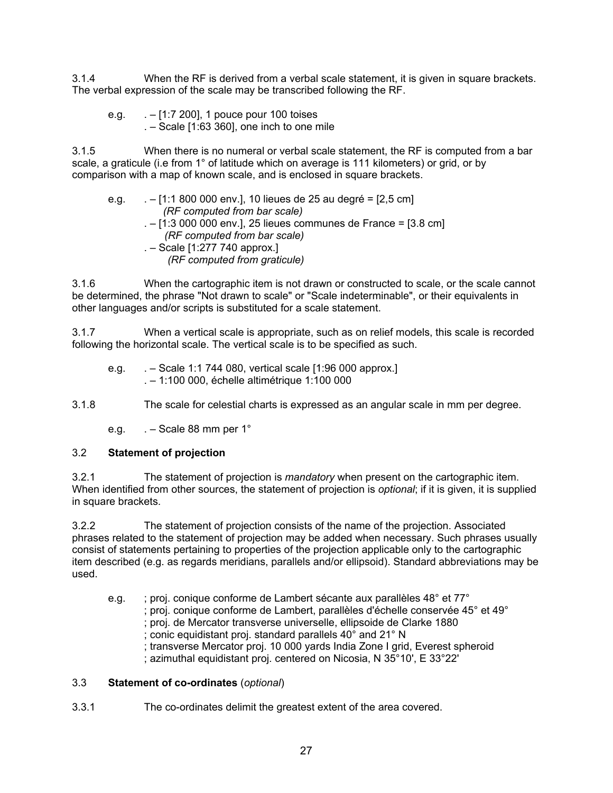3.1.4 When the RF is derived from a verbal scale statement, it is given in square brackets. The verbal expression of the scale may be transcribed following the RF.

e.g. . – [1:7 200], 1 pouce pour 100 toises . – Scale [1:63 360], one inch to one mile

3.1.5 When there is no numeral or verbal scale statement, the RF is computed from a bar scale, a graticule (i.e from 1° of latitude which on average is 111 kilometers) or grid, or by comparison with a map of known scale, and is enclosed in square brackets.

e.g. . – [1:1 800 000 env.], 10 lieues de 25 au degré = [2,5 cm] *(RF computed from bar scale)*  . – [1:3 000 000 env.], 25 lieues communes de France = [3.8 cm] *(RF computed from bar scale)*  . – Scale [1:277 740 approx.] *(RF computed from graticule)* 

3.1.6 When the cartographic item is not drawn or constructed to scale, or the scale cannot be determined, the phrase "Not drawn to scale" or "Scale indeterminable", or their equivalents in other languages and/or scripts is substituted for a scale statement.

3.1.7 When a vertical scale is appropriate, such as on relief models, this scale is recorded following the horizontal scale. The vertical scale is to be specified as such.

e.g. . – Scale 1:1 744 080, vertical scale [1:96 000 approx.] . – 1:100 000, échelle altimétrique 1:100 000

3.1.8 The scale for celestial charts is expressed as an angular scale in mm per degree.

e.g. . – Scale 88 mm per 1°

#### 3.2 **Statement of projection**

3.2.1 The statement of projection is *mandatory* when present on the cartographic item. When identified from other sources, the statement of projection is *optional*; if it is given, it is supplied in square brackets.

3.2.2 The statement of projection consists of the name of the projection. Associated phrases related to the statement of projection may be added when necessary. Such phrases usually consist of statements pertaining to properties of the projection applicable only to the cartographic item described (e.g. as regards meridians, parallels and/or ellipsoid). Standard abbreviations may be used.

e.g. ; proj. conique conforme de Lambert sécante aux parallèles 48° et 77° ; proj. conique conforme de Lambert, parallèles d'échelle conservée 45° et 49° ; proj. de Mercator transverse universelle, ellipsoide de Clarke 1880 ; conic equidistant proj. standard parallels 40 $^{\circ}$  and 21 $^{\circ}$  N ; transverse Mercator proj. 10 000 yards India Zone I grid, Everest spheroid ; azimuthal equidistant proj. centered on Nicosia, N 35°10', E 33°22'

# 3.3 **Statement of co-ordinates** (*optional*)

3.3.1 The co-ordinates delimit the greatest extent of the area covered.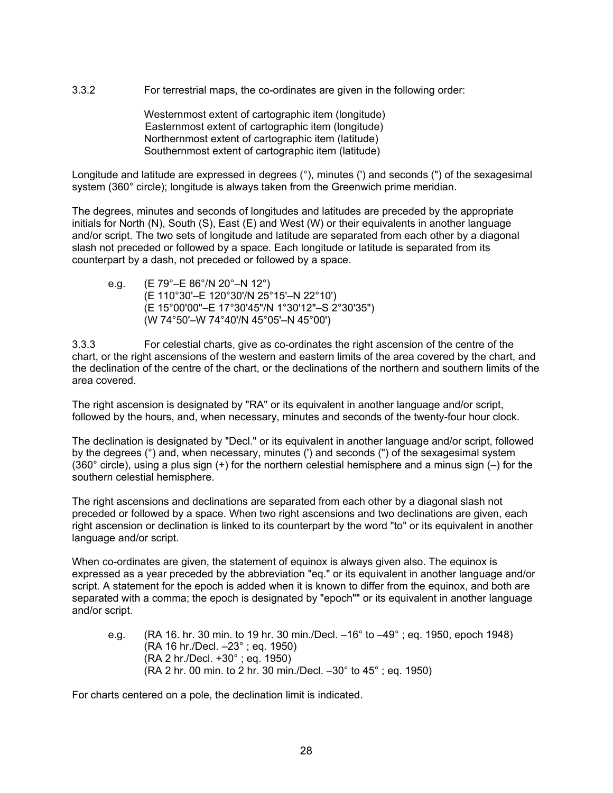3.3.2 For terrestrial maps, the co-ordinates are given in the following order:

Westernmost extent of cartographic item (longitude) Easternmost extent of cartographic item (longitude) Northernmost extent of cartographic item (latitude) Southernmost extent of cartographic item (latitude)

Longitude and latitude are expressed in degrees (°), minutes (') and seconds (") of the sexagesimal system (360° circle); longitude is always taken from the Greenwich prime meridian.

The degrees, minutes and seconds of longitudes and latitudes are preceded by the appropriate initials for North (N), South (S), East (E) and West (W) or their equivalents in another language and/or script. The two sets of longitude and latitude are separated from each other by a diagonal slash not preceded or followed by a space. Each longitude or latitude is separated from its counterpart by a dash, not preceded or followed by a space.

e.g. (E 79°–E 86°/N 20°–N 12°) (E 110°30'–E 120°30'/N 25°15'–N 22°10') (E 15°00'00"–E 17°30'45"/N 1°30'12"–S 2°30'35") (W 74°50'–W 74°40'/N 45°05'–N 45°00')

3.3.3 For celestial charts, give as co-ordinates the right ascension of the centre of the chart, or the right ascensions of the western and eastern limits of the area covered by the chart, and the declination of the centre of the chart, or the declinations of the northern and southern limits of the area covered.

The right ascension is designated by "RA" or its equivalent in another language and/or script, followed by the hours, and, when necessary, minutes and seconds of the twenty-four hour clock.

The declination is designated by "Decl." or its equivalent in another language and/or script, followed by the degrees (°) and, when necessary, minutes (') and seconds (") of the sexagesimal system  $(360^{\circ}$  circle), using a plus sign  $(+)$  for the northern celestial hemisphere and a minus sign  $(-)$  for the southern celestial hemisphere.

The right ascensions and declinations are separated from each other by a diagonal slash not preceded or followed by a space. When two right ascensions and two declinations are given, each right ascension or declination is linked to its counterpart by the word "to" or its equivalent in another language and/or script.

When co-ordinates are given, the statement of equinox is always given also. The equinox is expressed as a year preceded by the abbreviation "eq." or its equivalent in another language and/or script. A statement for the epoch is added when it is known to differ from the equinox, and both are separated with a comma; the epoch is designated by "epoch"" or its equivalent in another language and/or script.

e.g. (RA 16. hr. 30 min. to 19 hr. 30 min./Decl. –16° to –49° ; eq. 1950, epoch 1948) (RA 16 hr./Decl. –23° ; eq. 1950) (RA 2 hr./Decl. +30° ; eq. 1950) (RA 2 hr. 00 min. to 2 hr. 30 min./Decl. –30° to 45° ; eq. 1950)

For charts centered on a pole, the declination limit is indicated.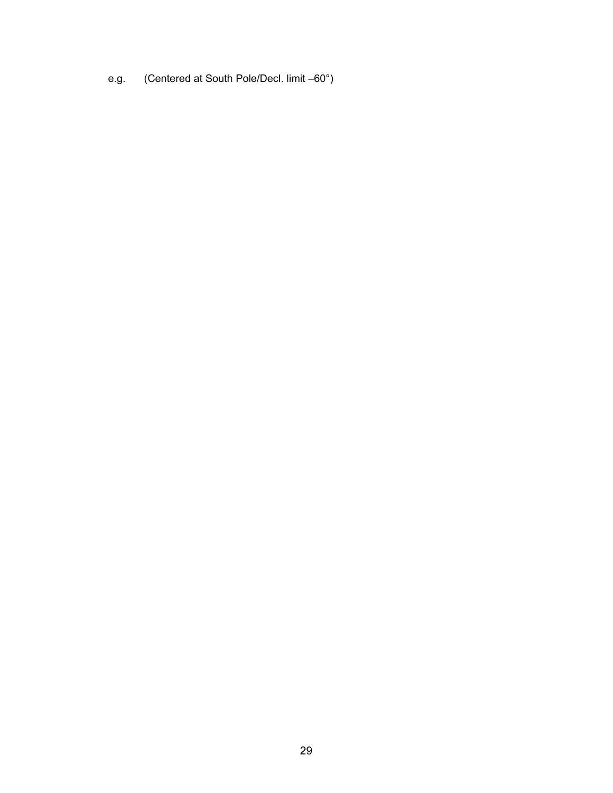e.g. (Centered at South Pole/Decl. limit –60°)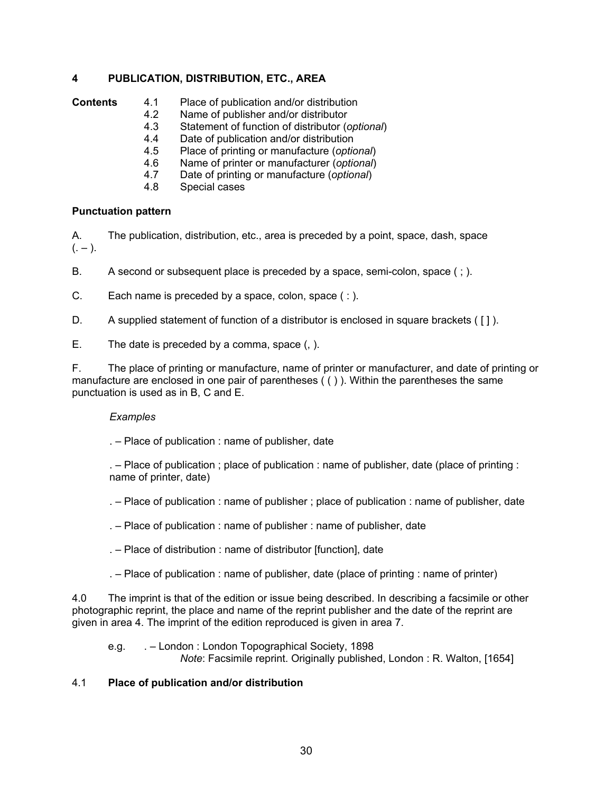# <span id="page-35-0"></span>**4 PUBLICATION, DISTRIBUTION, ETC., AREA**

# **Contents** 4.1 Place of publication and/or distribution

- 4.2 Name of publisher and/or distributor<br>4.3 Statement of function of distributor (c
- 4.3 Statement of function of distributor (*optional*)
- 4.4 Date of publication and/or distribution
- 4.5 Place of printing or manufacture (*optional*)
- 4.6 Name of printer or manufacturer (*optional*)
- 4.7 Date of printing or manufacture (*optional*)
- 4.8 Special cases

# **Punctuation pattern**

A. The publication, distribution, etc., area is preceded by a point, space, dash, space  $(.-).$ 

B. A second or subsequent place is preceded by a space, semi-colon, space ( ; ).

- C. Each name is preceded by a space, colon, space ( : ).
- D. A supplied statement of function of a distributor is enclosed in square brackets ([1]).

E. The date is preceded by a comma, space (, ).

F. The place of printing or manufacture, name of printer or manufacturer, and date of printing or manufacture are enclosed in one pair of parentheses ( ( ) ). Within the parentheses the same punctuation is used as in B, C and E.

# *Examples*

. – Place of publication : name of publisher, date

. – Place of publication ; place of publication : name of publisher, date (place of printing : name of printer, date)

. – Place of publication : name of publisher ; place of publication : name of publisher, date

. – Place of publication : name of publisher : name of publisher, date

- . Place of distribution : name of distributor [function], date
- . Place of publication : name of publisher, date (place of printing : name of printer)

4.0 The imprint is that of the edition or issue being described. In describing a facsimile or other photographic reprint, the place and name of the reprint publisher and the date of the reprint are given in area 4. The imprint of the edition reproduced is given in area 7.

e.g. . – London : London Topographical Society, 1898 *Note*: Facsimile reprint. Originally published, London : R. Walton, [1654]

# 4.1 **Place of publication and/or distribution**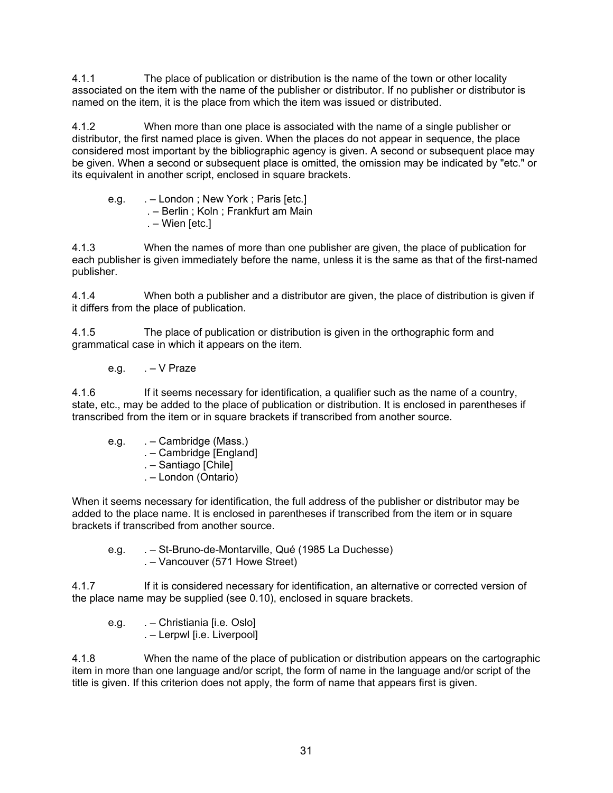4.1.1 The place of publication or distribution is the name of the town or other locality associated on the item with the name of the publisher or distributor. If no publisher or distributor is named on the item, it is the place from which the item was issued or distributed.

4.1.2 When more than one place is associated with the name of a single publisher or distributor, the first named place is given. When the places do not appear in sequence, the place considered most important by the bibliographic agency is given. A second or subsequent place may be given. When a second or subsequent place is omitted, the omission may be indicated by "etc." or its equivalent in another script, enclosed in square brackets.

e.g. . – London ; New York ; Paris [etc.] . – Berlin ; Koln ; Frankfurt am Main . – Wien [etc.]

4.1.3 When the names of more than one publisher are given, the place of publication for each publisher is given immediately before the name, unless it is the same as that of the first-named publisher.

4.1.4 When both a publisher and a distributor are given, the place of distribution is given if it differs from the place of publication.

4.1.5 The place of publication or distribution is given in the orthographic form and grammatical case in which it appears on the item.

e.g. . – V Praze

4.1.6 If it seems necessary for identification, a qualifier such as the name of a country, state, etc., may be added to the place of publication or distribution. It is enclosed in parentheses if transcribed from the item or in square brackets if transcribed from another source.

- e.g. . Cambridge (Mass.)
	- . Cambridge [England]
	- . Santiago [Chile]
	- . London (Ontario)

When it seems necessary for identification, the full address of the publisher or distributor may be added to the place name. It is enclosed in parentheses if transcribed from the item or in square brackets if transcribed from another source.

e.g. . – St-Bruno-de-Montarville, Qué (1985 La Duchesse) . – Vancouver (571 Howe Street)

4.1.7 If it is considered necessary for identification, an alternative or corrected version of the place name may be supplied (see 0.10), enclosed in square brackets.

e.g. . – Christiania [i.e. Oslo] . – Lerpwl [i.e. Liverpool]

4.1.8 When the name of the place of publication or distribution appears on the cartographic item in more than one language and/or script, the form of name in the language and/or script of the title is given. If this criterion does not apply, the form of name that appears first is given.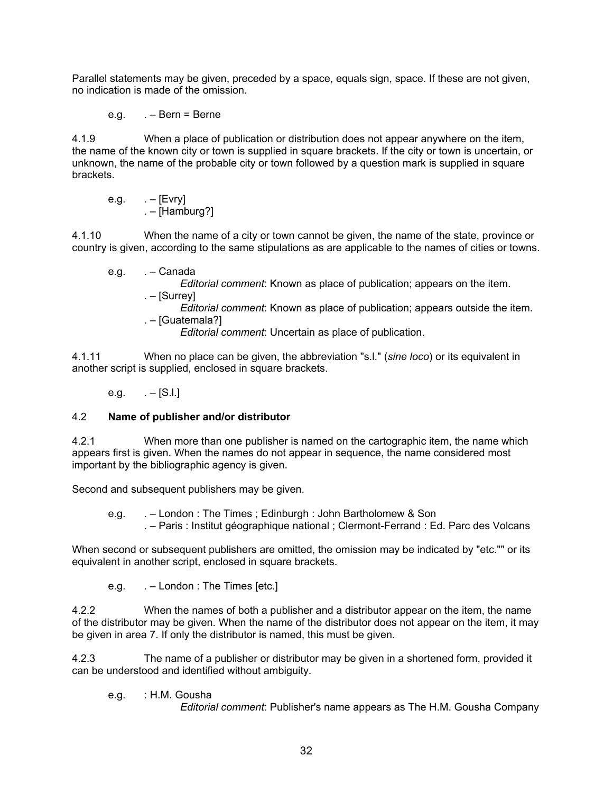Parallel statements may be given, preceded by a space, equals sign, space. If these are not given, no indication is made of the omission.

e.g. . – Bern = Berne

4.1.9 When a place of publication or distribution does not appear anywhere on the item, the name of the known city or town is supplied in square brackets. If the city or town is uncertain, or unknown, the name of the probable city or town followed by a question mark is supplied in square brackets.

e.g.  $-$  [Evry] . – [Hamburg?]

4.1.10 When the name of a city or town cannot be given, the name of the state, province or country is given, according to the same stipulations as are applicable to the names of cities or towns.

e.g. . – Canada

*Editorial comment*: Known as place of publication; appears on the item.

. – [Surrey]

*Editorial comment*: Known as place of publication; appears outside the item. . – [Guatemala?]

*Editorial comment*: Uncertain as place of publication.

4.1.11 When no place can be given, the abbreviation "s.l." (*sine loco*) or its equivalent in another script is supplied, enclosed in square brackets.

e.g.  $-$  [S.I.]

# 4.2 **Name of publisher and/or distributor**

4.2.1 When more than one publisher is named on the cartographic item, the name which appears first is given. When the names do not appear in sequence, the name considered most important by the bibliographic agency is given.

Second and subsequent publishers may be given.

e.g. . – London : The Times ; Edinburgh : John Bartholomew & Son . – Paris : Institut géographique national ; Clermont-Ferrand : Ed. Parc des Volcans

When second or subsequent publishers are omitted, the omission may be indicated by "etc."" or its equivalent in another script, enclosed in square brackets.

e.g. . – London : The Times [etc.]

4.2.2 When the names of both a publisher and a distributor appear on the item, the name of the distributor may be given. When the name of the distributor does not appear on the item, it may be given in area 7. If only the distributor is named, this must be given.

4.2.3 The name of a publisher or distributor may be given in a shortened form, provided it can be understood and identified without ambiguity.

e.g. : H.M. Gousha

*Editorial comment*: Publisher's name appears as The H.M. Gousha Company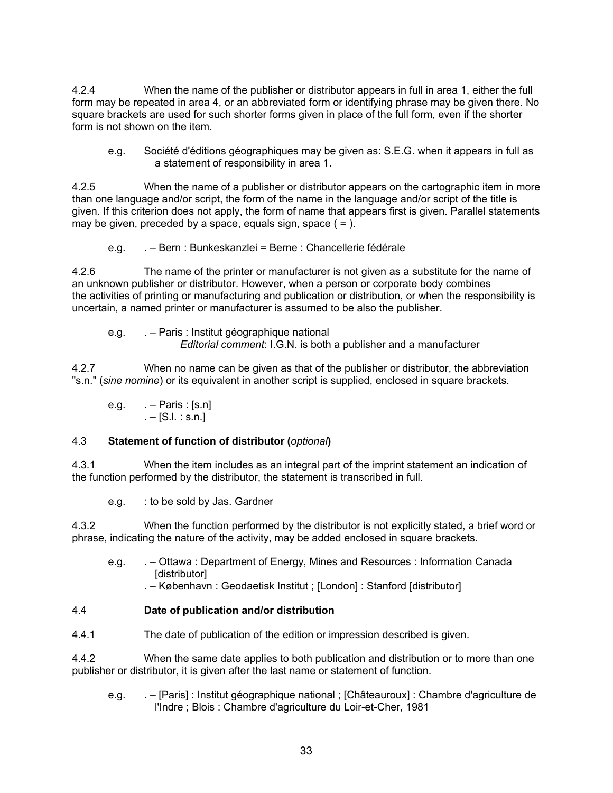4.2.4 When the name of the publisher or distributor appears in full in area 1, either the full form may be repeated in area 4, or an abbreviated form or identifying phrase may be given there. No square brackets are used for such shorter forms given in place of the full form, even if the shorter form is not shown on the item.

e.g. Société d'éditions géographiques may be given as: S.E.G. when it appears in full as a statement of responsibility in area 1.

4.2.5 When the name of a publisher or distributor appears on the cartographic item in more than one language and/or script, the form of the name in the language and/or script of the title is given. If this criterion does not apply, the form of name that appears first is given. Parallel statements may be given, preceded by a space, equals sign, space  $( = ).$ 

e.g. . – Bern : Bunkeskanzlei = Berne : Chancellerie fédérale

4.2.6 The name of the printer or manufacturer is not given as a substitute for the name of an unknown publisher or distributor. However, when a person or corporate body combines the activities of printing or manufacturing and publication or distribution, or when the responsibility is uncertain, a named printer or manufacturer is assumed to be also the publisher.

e.g. . – Paris : Institut géographique national *Editorial comment*: I.G.N. is both a publisher and a manufacturer

4.2.7 When no name can be given as that of the publisher or distributor, the abbreviation "s.n." (*sine nomine*) or its equivalent in another script is supplied, enclosed in square brackets.

e.g.  $-$  Paris :  $[s.n]$ . –  $[S.1. : S.n.]$ 

# 4.3 **Statement of function of distributor (***optional***)**

4.3.1 When the item includes as an integral part of the imprint statement an indication of the function performed by the distributor, the statement is transcribed in full.

e.g. : to be sold by Jas. Gardner

4.3.2 When the function performed by the distributor is not explicitly stated, a brief word or phrase, indicating the nature of the activity, may be added enclosed in square brackets.

e.g. . – Ottawa : Department of Energy, Mines and Resources : Information Canada [distributor]

. – København : Geodaetisk Institut ; [London] : Stanford [distributor]

# 4.4 **Date of publication and/or distribution**

4.4.1 The date of publication of the edition or impression described is given.

4.4.2 When the same date applies to both publication and distribution or to more than one publisher or distributor, it is given after the last name or statement of function.

e.g. . – [Paris] : Institut géographique national ; [Châteauroux] : Chambre d'agriculture de l'Indre ; Blois : Chambre d'agriculture du Loir-et-Cher, 1981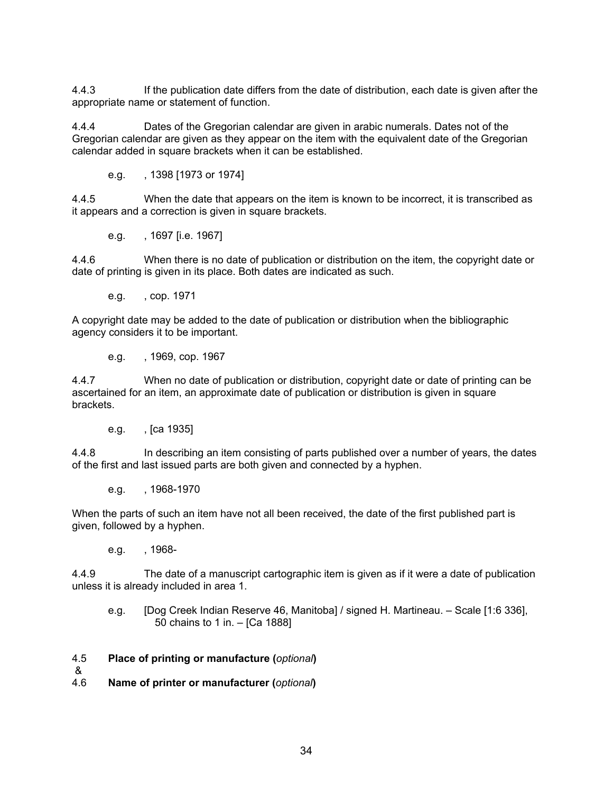4.4.3 If the publication date differs from the date of distribution, each date is given after the appropriate name or statement of function.

4.4.4 Dates of the Gregorian calendar are given in arabic numerals. Dates not of the Gregorian calendar are given as they appear on the item with the equivalent date of the Gregorian calendar added in square brackets when it can be established.

e.g. , 1398 [1973 or 1974]

4.4.5 When the date that appears on the item is known to be incorrect, it is transcribed as it appears and a correction is given in square brackets.

e.g. , 1697 [i.e. 1967]

4.4.6 When there is no date of publication or distribution on the item, the copyright date or date of printing is given in its place. Both dates are indicated as such.

e.g. , cop. 1971

A copyright date may be added to the date of publication or distribution when the bibliographic agency considers it to be important.

e.g. , 1969, cop. 1967

4.4.7 When no date of publication or distribution, copyright date or date of printing can be ascertained for an item, an approximate date of publication or distribution is given in square brackets.

e.g. , [ca 1935]

4.4.8 In describing an item consisting of parts published over a number of years, the dates of the first and last issued parts are both given and connected by a hyphen.

e.g. , 1968-1970

When the parts of such an item have not all been received, the date of the first published part is given, followed by a hyphen.

e.g. , 1968-

&

4.4.9 The date of a manuscript cartographic item is given as if it were a date of publication unless it is already included in area 1.

e.g. [Dog Creek Indian Reserve 46, Manitoba] / signed H. Martineau. – Scale [1:6 336], 50 chains to 1 in. – [Ca 1888]

#### 4.5 **Place of printing or manufacture (***optional***)**

4.6 **Name of printer or manufacturer (***optional***)**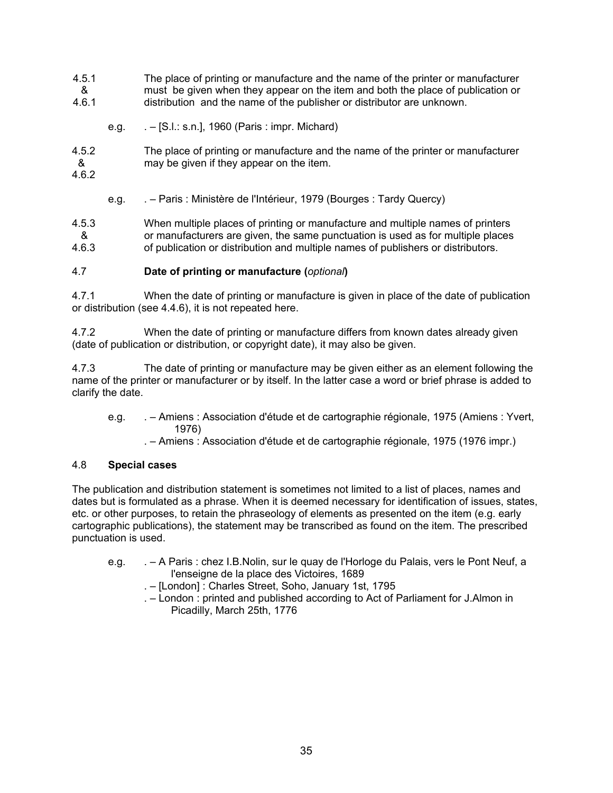- 4.5.1 The place of printing or manufacture and the name of the printer or manufacturer &mustbe given when they appear on the item and both the place of publication or 4.6.1distribution and the name of the publisher or distributor are unknown.
	- e.g. . [S.l.: s.n.], 1960 (Paris : impr. Michard)
- 4.5.2 The place of printing or manufacture and the name of the printer or manufacturer & may be given if they appear on the item.
- 4.6.2

e.g. . – Paris : Ministère de l'Intérieur, 1979 (Bourges : Tardy Quercy)

4.5.3 When multiple places of printing or manufacture and multiple names of printers 8 or manufacturers are given, the same punctuation is used as for multiple places<br>4.6.3 of publication or distribution and multiple names of publishers or distributors. of publication or distribution and multiple names of publishers or distributors.

# 4.7 **Date of printing or manufacture (***optional***)**

4.7.1 When the date of printing or manufacture is given in place of the date of publication or distribution (see 4.4.6), it is not repeated here.

4.7.2 When the date of printing or manufacture differs from known dates already given (date of publication or distribution, or copyright date), it may also be given.

4.7.3 The date of printing or manufacture may be given either as an element following the name of the printer or manufacturer or by itself. In the latter case a word or brief phrase is added to clarify the date.

e.g. . – Amiens : Association d'étude et de cartographie régionale, 1975 (Amiens : Yvert, 1976)

. – Amiens : Association d'étude et de cartographie régionale, 1975 (1976 impr.)

#### 4.8 **Special cases**

The publication and distribution statement is sometimes not limited to a list of places, names and dates but is formulated as a phrase. When it is deemed necessary for identification of issues, states, etc. or other purposes, to retain the phraseology of elements as presented on the item (e.g. early cartographic publications), the statement may be transcribed as found on the item. The prescribed punctuation is used.

- e.g. . A Paris : chez I.B.Nolin, sur le quay de l'Horloge du Palais, vers le Pont Neuf, a l'enseigne de la place des Victoires, 1689
	- . [London] : Charles Street, Soho, January 1st, 1795
	- . London : printed and published according to Act of Parliament for J.Almon in Picadilly, March 25th, 1776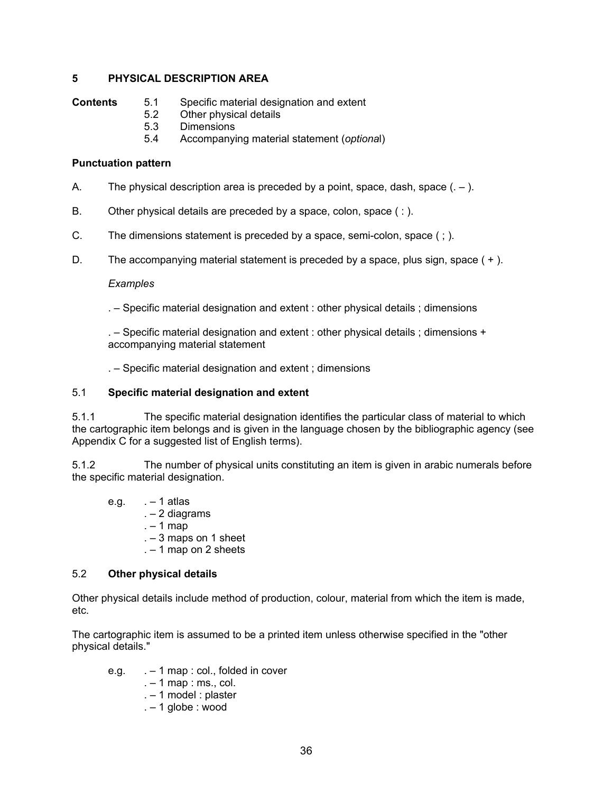# <span id="page-41-0"></span>**5 PHYSICAL DESCRIPTION AREA**

**Contents** 5.1 Specific material designation and extent

- 5.2 Other physical details<br>5.3 Dimensions
- **Dimensions**
- 5.4 Accompanying material statement (*optiona*l)

# **Punctuation pattern**

- A. The physical description area is preceded by a point, space, dash, space  $(.-).$
- B. Other physical details are preceded by a space, colon, space ( : ).
- C. The dimensions statement is preceded by a space, semi-colon, space ( ; ).
- D. The accompanying material statement is preceded by a space, plus sign, space ( + ).

# *Examples*

. – Specific material designation and extent : other physical details ; dimensions

 $-$  Specific material designation and extent : other physical details ; dimensions  $+$ accompanying material statement

. – Specific material designation and extent ; dimensions

# 5.1 **Specific material designation and extent**

5.1.1 The specific material designation identifies the particular class of material to which the cartographic item belongs and is given in the language chosen by the bibliographic agency (see Appendix C for a suggested list of English terms).

5.1.2 The number of physical units constituting an item is given in arabic numerals before the specific material designation.

e.g.  $-1$  atlas . – 2 diagrams  $. - 1$  map . – 3 maps on 1 sheet . – 1 map on 2 sheets

# 5.2 **Other physical details**

Other physical details include method of production, colour, material from which the item is made, etc.

The cartographic item is assumed to be a printed item unless otherwise specified in the "other physical details."

- e.g. . 1 map : col., folded in cover
	- . 1 map : ms., col.
	- . 1 model : plaster
	- $. 1$  globe : wood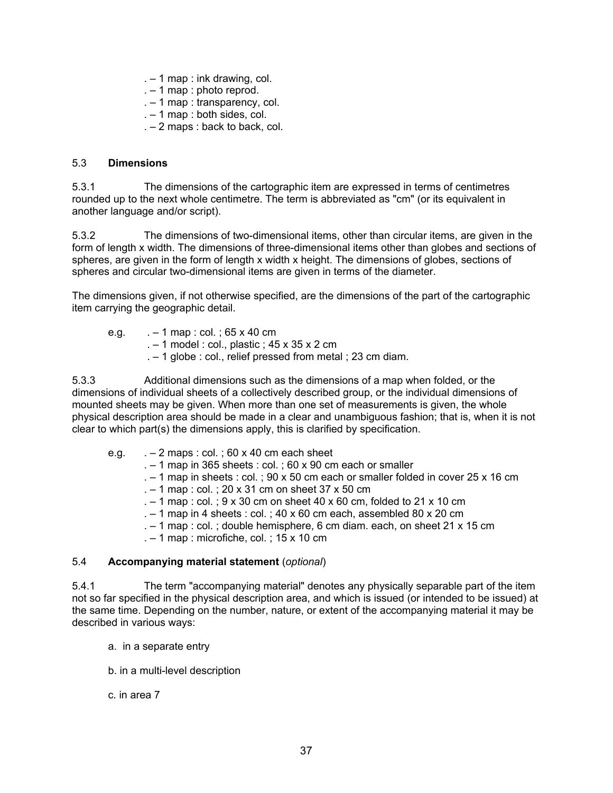- $. 1$  map : ink drawing, col.
- . 1 map : photo reprod.
- . 1 map : transparency, col.
- . 1 map : both sides, col.
- . 2 maps : back to back, col.

#### 5.3 **Dimensions**

5.3.1 The dimensions of the cartographic item are expressed in terms of centimetres rounded up to the next whole centimetre. The term is abbreviated as "cm" (or its equivalent in another language and/or script).

5.3.2 The dimensions of two-dimensional items, other than circular items, are given in the form of length x width. The dimensions of three-dimensional items other than globes and sections of spheres, are given in the form of length x width x height. The dimensions of globes, sections of spheres and circular two-dimensional items are given in terms of the diameter.

The dimensions given, if not otherwise specified, are the dimensions of the part of the cartographic item carrying the geographic detail.

- e.g.  $-1$  map : col. ; 65 x 40 cm
	- . 1 model : col., plastic ; 45 x 35 x 2 cm
	- . 1 globe : col., relief pressed from metal ; 23 cm diam.

5.3.3 Additional dimensions such as the dimensions of a map when folded, or the dimensions of individual sheets of a collectively described group, or the individual dimensions of mounted sheets may be given. When more than one set of measurements is given, the whole physical description area should be made in a clear and unambiguous fashion; that is, when it is not clear to which part(s) the dimensions apply, this is clarified by specification.

- e.g.  $-2$  maps : col. ; 60 x 40 cm each sheet
	- $-1$  map in 365 sheets : col. : 60 x 90 cm each or smaller
	- $. -1$  map in sheets : col. ; 90 x 50 cm each or smaller folded in cover 25 x 16 cm
	- $-1$  map : col. ; 20 x 31 cm on sheet 37 x 50 cm
	- $-1$  map : col. ; 9 x 30 cm on sheet 40 x 60 cm, folded to 21 x 10 cm
	- $. 1$  map in 4 sheets : col. ; 40 x 60 cm each, assembled 80 x 20 cm
	- . 1 map : col. ; double hemisphere, 6 cm diam. each, on sheet 21 x 15 cm
	- $. 1$  map : microfiche, col. ; 15 x 10 cm

#### 5.4 **Accompanying material statement** (*optional*)

5.4.1 The term "accompanying material" denotes any physically separable part of the item not so far specified in the physical description area, and which is issued (or intended to be issued) at the same time. Depending on the number, nature, or extent of the accompanying material it may be described in various ways:

- a. in a separate entry
- b. in a multi-level description

c. in area 7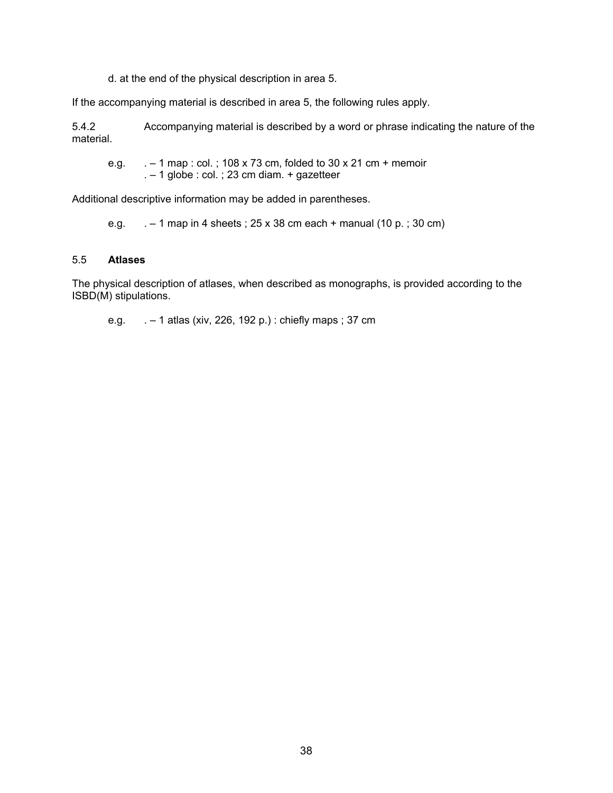d. at the end of the physical description in area 5.

If the accompanying material is described in area 5, the following rules apply.

5.4.2 Accompanying material is described by a word or phrase indicating the nature of the material.

e.g. . – 1 map : col. ; 108 x 73 cm, folded to 30 x 21 cm + memoir  $. - 1$  globe : col. ; 23 cm diam.  $+$  gazetteer

Additional descriptive information may be added in parentheses.

e.g.  $-1$  map in 4 sheets;  $25 \times 38$  cm each + manual (10 p.; 30 cm)

#### 5.5 **Atlases**

The physical description of atlases, when described as monographs, is provided according to the ISBD(M) stipulations.

e.g. . – 1 atlas (xiv, 226, 192 p.) : chiefly maps ; 37 cm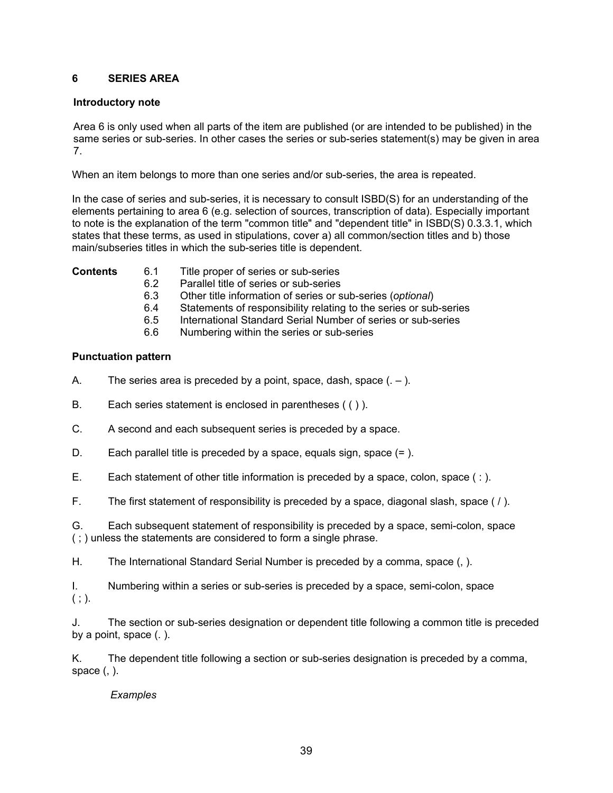# <span id="page-44-0"></span>**6 SERIES AREA**

# **Introductory note**

Area 6 is only used when all parts of the item are published (or are intended to be published) in the same series or sub-series. In other cases the series or sub-series statement(s) may be given in area 7.

When an item belongs to more than one series and/or sub-series, the area is repeated.

In the case of series and sub-series, it is necessary to consult ISBD(S) for an understanding of the elements pertaining to area 6 (e.g. selection of sources, transcription of data). Especially important to note is the explanation of the term "common title" and "dependent title" in ISBD(S) 0.3.3.1, which states that these terms, as used in stipulations, cover a) all common/section titles and b) those main/subseries titles in which the sub-series title is dependent.

#### **Contents** 6.1 Title proper of series or sub-series

- 6.2 Parallel title of series or sub-series
- 6.3 Other title information of series or sub-series (*optional*)
- 6.4 Statements of responsibility relating to the series or sub-series
- 6.5 International Standard Serial Number of series or sub-series
- 6.6 Numbering within the series or sub-series

#### **Punctuation pattern**

- A. The series area is preceded by a point, space, dash, space  $(.-).$
- B. Each series statement is enclosed in parentheses ( ( ) ).
- C. A second and each subsequent series is preceded by a space.
- D. Each parallel title is preceded by a space, equals sign, space  $(=$  ).
- E. Each statement of other title information is preceded by a space, colon, space ( : ).
- F. The first statement of responsibility is preceded by a space, diagonal slash, space (1).

G. Each subsequent statement of responsibility is preceded by a space, semi-colon, space ( ; ) unless the statements are considered to form a single phrase.

H. The International Standard Serial Number is preceded by a comma, space (, ).

I. Numbering within a series or sub-series is preceded by a space, semi-colon, space  $( ; ).$ 

J. The section or sub-series designation or dependent title following a common title is preceded by a point, space (. ).

K. The dependent title following a section or sub-series designation is preceded by a comma, space  $($ ,  $).$ 

*Examples*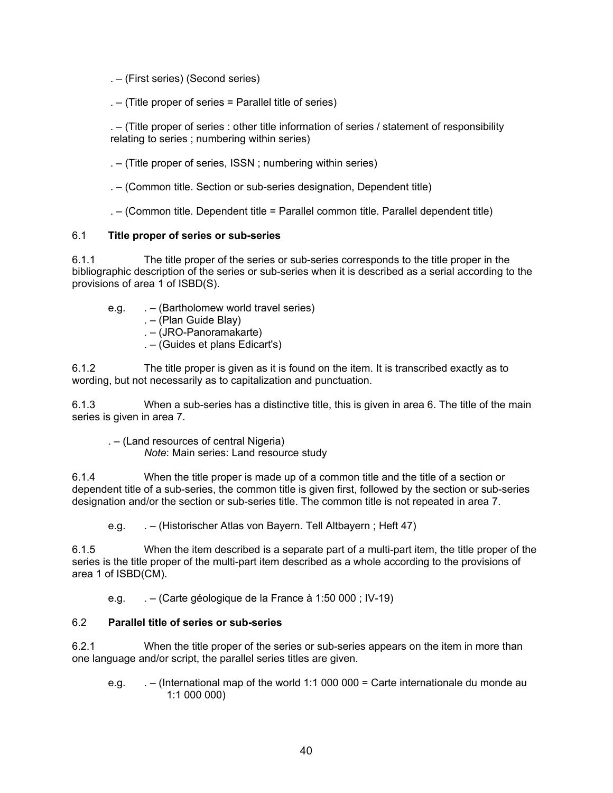. – (First series) (Second series)

 $-$  (Title proper of series = Parallel title of series)

. – (Title proper of series : other title information of series / statement of responsibility relating to series ; numbering within series)

. – (Title proper of series, ISSN ; numbering within series)

. – (Common title. Section or sub-series designation, Dependent title)

. – (Common title. Dependent title = Parallel common title. Parallel dependent title)

#### 6.1 **Title proper of series or sub-series**

6.1.1 The title proper of the series or sub-series corresponds to the title proper in the bibliographic description of the series or sub-series when it is described as a serial according to the provisions of area 1 of ISBD(S).

- e.g. . (Bartholomew world travel series)
	- . (Plan Guide Blay)
	- . (JRO-Panoramakarte)
	- . (Guides et plans Edicart's)

6.1.2 The title proper is given as it is found on the item. It is transcribed exactly as to wording, but not necessarily as to capitalization and punctuation.

6.1.3 When a sub-series has a distinctive title, this is given in area 6. The title of the main series is given in area 7.

. – (Land resources of central Nigeria)

*Note*: Main series: Land resource study

6.1.4 When the title proper is made up of a common title and the title of a section or dependent title of a sub-series, the common title is given first, followed by the section or sub-series designation and/or the section or sub-series title. The common title is not repeated in area 7.

e.g. . – (Historischer Atlas von Bayern. Tell Altbayern ; Heft 47)

6.1.5 When the item described is a separate part of a multi-part item, the title proper of the series is the title proper of the multi-part item described as a whole according to the provisions of area 1 of ISBD(CM).

e.g. . – (Carte géologique de la France à 1:50 000 ; IV-19)

#### 6.2 **Parallel title of series or sub-series**

6.2.1 When the title proper of the series or sub-series appears on the item in more than one language and/or script, the parallel series titles are given.

e.g. . – (International map of the world 1:1 000 000 = Carte internationale du monde au 1:1 000 000)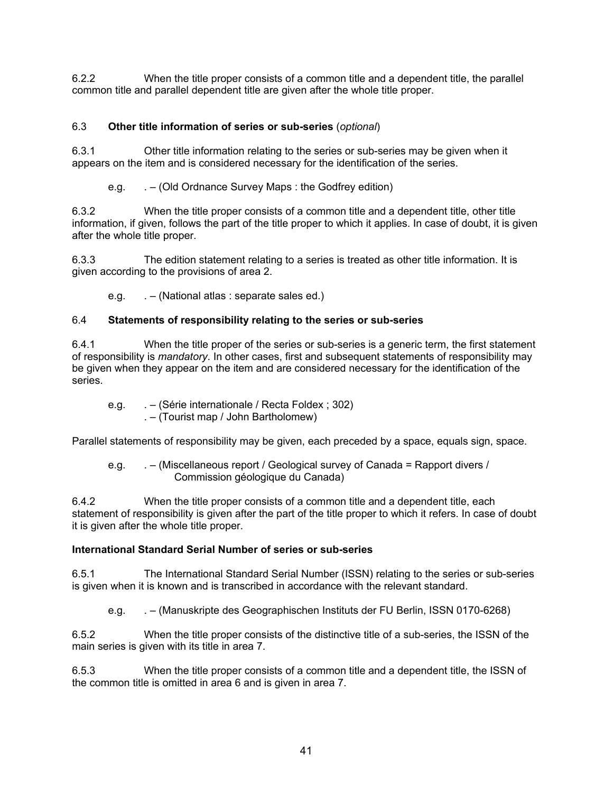6.2.2 When the title proper consists of a common title and a dependent title, the parallel common title and parallel dependent title are given after the whole title proper.

# 6.3 **Other title information of series or sub-series** (*optional*)

6.3.1 Other title information relating to the series or sub-series may be given when it appears on the item and is considered necessary for the identification of the series.

e.g. . – (Old Ordnance Survey Maps : the Godfrey edition)

6.3.2 When the title proper consists of a common title and a dependent title, other title information, if given, follows the part of the title proper to which it applies. In case of doubt, it is given after the whole title proper.

6.3.3 The edition statement relating to a series is treated as other title information. It is given according to the provisions of area 2.

e.g. . – (National atlas : separate sales ed.)

# 6.4 **Statements of responsibility relating to the series or sub-series**

6.4.1 When the title proper of the series or sub-series is a generic term, the first statement of responsibility is *mandatory*. In other cases, first and subsequent statements of responsibility may be given when they appear on the item and are considered necessary for the identification of the series.

e.g. . – (Série internationale / Recta Foldex ; 302) . – (Tourist map / John Bartholomew)

Parallel statements of responsibility may be given, each preceded by a space, equals sign, space.

e.g. . – (Miscellaneous report / Geological survey of Canada = Rapport divers / Commission géologique du Canada)

6.4.2 When the title proper consists of a common title and a dependent title, each statement of responsibility is given after the part of the title proper to which it refers. In case of doubt it is given after the whole title proper.

# **International Standard Serial Number of series or sub-series**

6.5.1 The International Standard Serial Number (ISSN) relating to the series or sub-series is given when it is known and is transcribed in accordance with the relevant standard.

e.g. . – (Manuskripte des Geographischen Instituts der FU Berlin, ISSN 0170-6268)

6.5.2 When the title proper consists of the distinctive title of a sub-series, the ISSN of the main series is given with its title in area 7.

6.5.3 When the title proper consists of a common title and a dependent title, the ISSN of the common title is omitted in area 6 and is given in area 7.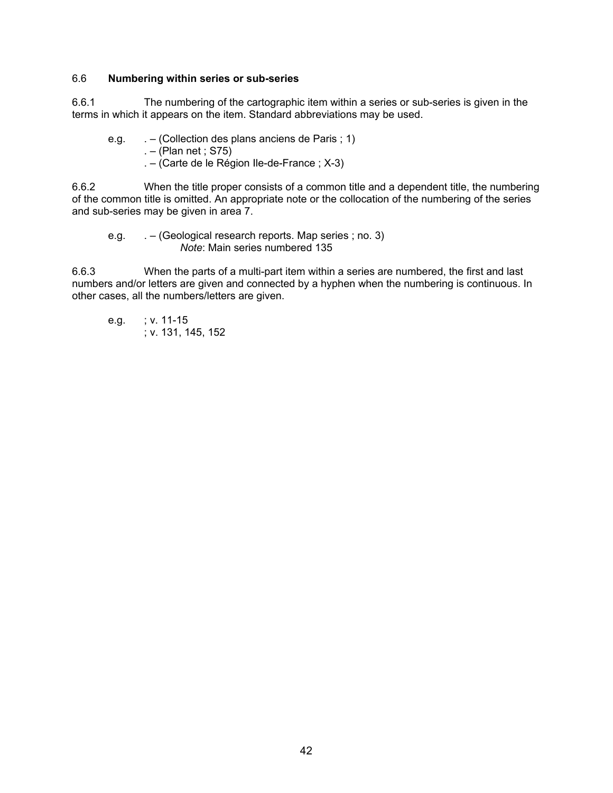# 6.6 **Numbering within series or sub-series**

6.6.1 The numbering of the cartographic item within a series or sub-series is given in the terms in which it appears on the item. Standard abbreviations may be used.

e.g. . – (Collection des plans anciens de Paris ; 1) . – (Plan net ; S75)

. – (Carte de le Région Ile-de-France ; X-3)

6.6.2 When the title proper consists of a common title and a dependent title, the numbering of the common title is omitted. An appropriate note or the collocation of the numbering of the series and sub-series may be given in area 7.

e.g. . – (Geological research reports. Map series ; no. 3) *Note*: Main series numbered 135

6.6.3 When the parts of a multi-part item within a series are numbered, the first and last numbers and/or letters are given and connected by a hyphen when the numbering is continuous. In other cases, all the numbers/letters are given.

e.g. ; v. 11-15 ; v. 131, 145, 152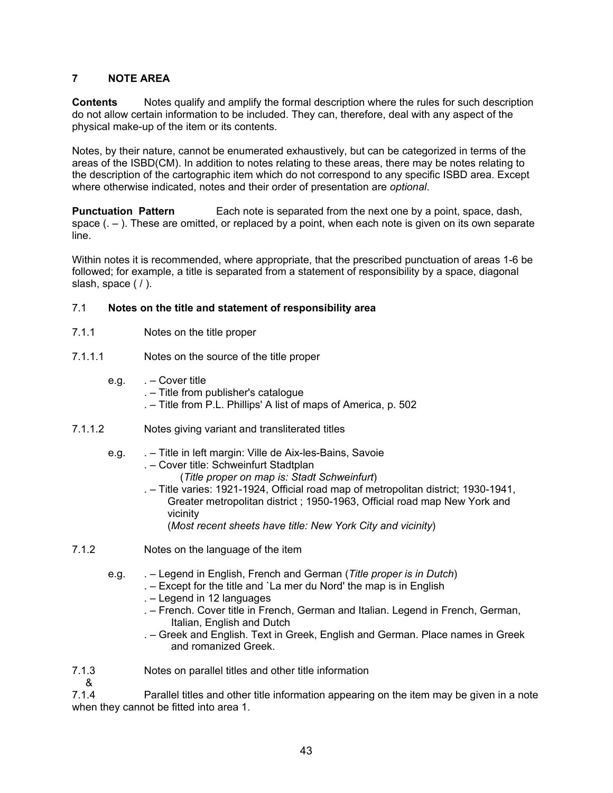# <span id="page-48-0"></span>**7 NOTE AREA**

**Contents** Notes qualify and amplify the formal description where the rules for such description do not allow certain information to be included. They can, therefore, deal with any aspect of the physical make-up of the item or its contents.

Notes, by their nature, cannot be enumerated exhaustively, but can be categorized in terms of the areas of the ISBD(CM). In addition to notes relating to these areas, there may be notes relating to the description of the cartographic item which do not correspond to any specific ISBD area. Except where otherwise indicated, notes and their order of presentation are *optional*.

**Punctuation Pattern** Each note is separated from the next one by a point, space, dash, space  $($ .  $)$ . These are omitted, or replaced by a point, when each note is given on its own separate line.

Within notes it is recommended, where appropriate, that the prescribed punctuation of areas 1-6 be followed; for example, a title is separated from a statement of responsibility by a space, diagonal slash, space  $( / )$ .

# 7.1 **Notes on the title and statement of responsibility area**

- 7.1.1 Notes on the title proper
- 7.1.1.1 Notes on the source of the title proper
	- e.g. . Cover title
		- . Title from publisher's catalogue
		- . Title from P.L. Phillips' A list of maps of America, p. 502
- 7.1.1.2 Notes giving variant and transliterated titles
	- e.g. . Title in left margin: Ville de Aix-les-Bains, Savoie
		- . Cover title: Schweinfurt Stadtplan (*Title proper on map is: Stadt Schweinfurt*)
		- . Title varies: 1921-1924, Official road map of metropolitan district; 1930-1941, Greater metropolitan district ; 1950-1963, Official road map New York and vicinity (*Most recent sheets have title: New York City and vicinity*)
- 7.1.2 Notes on the language of the item
	- e.g. . Legend in English, French and German (*Title proper is in Dutch*)
		- . Except for the title and `La mer du Nord' the map is in English
		- . Legend in 12 languages
		- . French. Cover title in French, German and Italian. Legend in French, German, Italian, English and Dutch
		- . Greek and English. Text in Greek, English and German. Place names in Greek and romanized Greek.

7.1.3 Notes on parallel titles and other title information

&

7.1.4 Parallel titles and other title information appearing on the item may be given in a note when they cannot be fitted into area 1.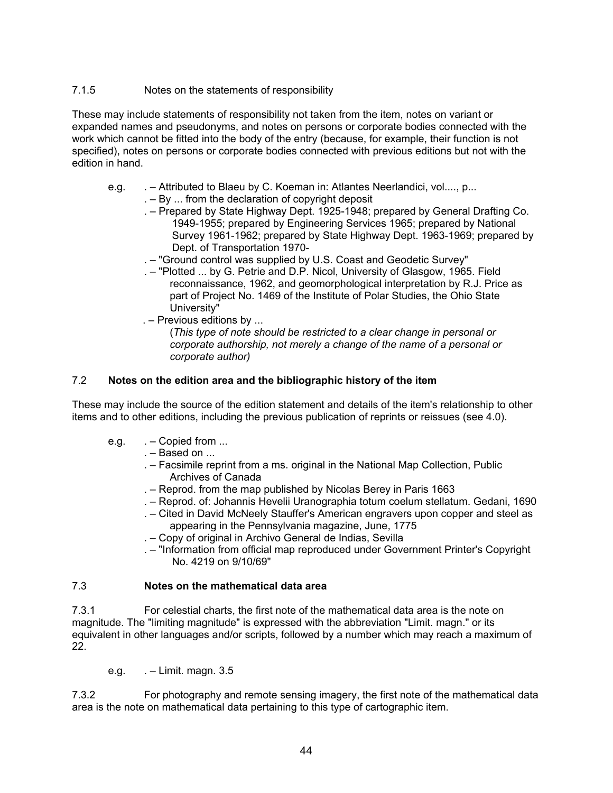# 7.1.5 Notes on the statements of responsibility

These may include statements of responsibility not taken from the item, notes on variant or expanded names and pseudonyms, and notes on persons or corporate bodies connected with the work which cannot be fitted into the body of the entry (because, for example, their function is not specified), notes on persons or corporate bodies connected with previous editions but not with the edition in hand.

- e.g. . Attributed to Blaeu by C. Koeman in: Atlantes Neerlandici, vol...., p...
	- . By ... from the declaration of copyright deposit
	- . Prepared by State Highway Dept. 1925-1948; prepared by General Drafting Co. 1949-1955; prepared by Engineering Services 1965; prepared by National Survey 1961-1962; prepared by State Highway Dept. 1963-1969; prepared by Dept. of Transportation 1970-
	- . "Ground control was supplied by U.S. Coast and Geodetic Survey"
	- . "Plotted ... by G. Petrie and D.P. Nicol, University of Glasgow, 1965. Field reconnaissance, 1962, and geomorphological interpretation by R.J. Price as part of Project No. 1469 of the Institute of Polar Studies, the Ohio State University"
	- . Previous editions by ...

(*This type of note should be restricted to a clear change in personal or corporate authorship, not merely a change of the name of a personal or corporate author)*

# 7.2 **Notes on the edition area and the bibliographic history of the item**

These may include the source of the edition statement and details of the item's relationship to other items and to other editions, including the previous publication of reprints or reissues (see 4.0).

- e.g.  $-$  Copied from  $\dots$ 
	- $. -$  Based on  $. . .$
	- . Facsimile reprint from a ms. original in the National Map Collection, Public Archives of Canada
	- . Reprod. from the map published by Nicolas Berey in Paris 1663
	- . Reprod. of: Johannis Hevelii Uranographia totum coelum stellatum. Gedani, 1690
	- . Cited in David McNeely Stauffer's American engravers upon copper and steel as appearing in the Pennsylvania magazine, June, 1775
	- . Copy of original in Archivo General de Indias, Sevilla
	- . "Information from official map reproduced under Government Printer's Copyright No. 4219 on 9/10/69"

# 7.3 **Notes on the mathematical data area**

7.3.1 For celestial charts, the first note of the mathematical data area is the note on magnitude. The "limiting magnitude" is expressed with the abbreviation "Limit. magn." or its equivalent in other languages and/or scripts, followed by a number which may reach a maximum of 22.

e.g. . – Limit. magn. 3.5

7.3.2 For photography and remote sensing imagery, the first note of the mathematical data area is the note on mathematical data pertaining to this type of cartographic item.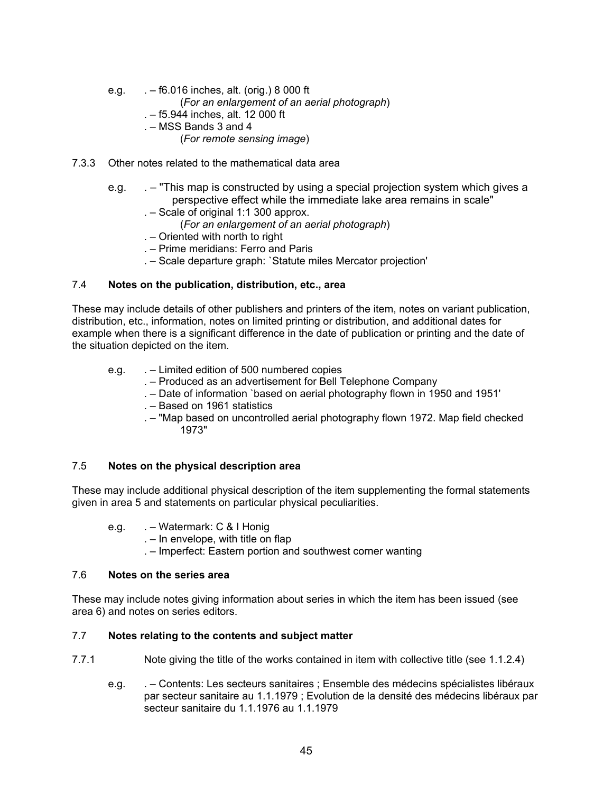- e.g. . f6.016 inches, alt. (orig.) 8 000 ft (*For an enlargement of an aerial photograph*)
	- . f5.944 inches, alt. 12 000 ft
	- . MSS Bands 3 and 4
		- (*For remote sensing image*)
- 7.3.3 Other notes related to the mathematical data area
	- e.g. . "This map is constructed by using a special projection system which gives a perspective effect while the immediate lake area remains in scale"
		- . Scale of original 1:1 300 approx.
			- (*For an enlargement of an aerial photograph*)
		- . Oriented with north to right
		- . Prime meridians: Ferro and Paris
		- . Scale departure graph: `Statute miles Mercator projection'

# 7.4 **Notes on the publication, distribution, etc., area**

These may include details of other publishers and printers of the item, notes on variant publication, distribution, etc., information, notes on limited printing or distribution, and additional dates for example when there is a significant difference in the date of publication or printing and the date of the situation depicted on the item.

- e.g. . Limited edition of 500 numbered copies
	- . Produced as an advertisement for Bell Telephone Company
	- . Date of information `based on aerial photography flown in 1950 and 1951'
	- . Based on 1961 statistics
	- . "Map based on uncontrolled aerial photography flown 1972. Map field checked 1973"

#### 7.5 **Notes on the physical description area**

These may include additional physical description of the item supplementing the formal statements given in area 5 and statements on particular physical peculiarities.

- e.g. . Watermark: C & I Honig
	- . In envelope, with title on flap
	- . Imperfect: Eastern portion and southwest corner wanting

#### 7.6 **Notes on the series area**

These may include notes giving information about series in which the item has been issued (see area 6) and notes on series editors.

#### 7.7 **Notes relating to the contents and subject matter**

- 7.7.1 Note giving the title of the works contained in item with collective title (see 1.1.2.4)
	- e.g. . Contents: Les secteurs sanitaires ; Ensemble des médecins spécialistes libéraux par secteur sanitaire au 1.1.1979 ; Evolution de la densité des médecins libéraux par secteur sanitaire du 1.1.1976 au 1.1.1979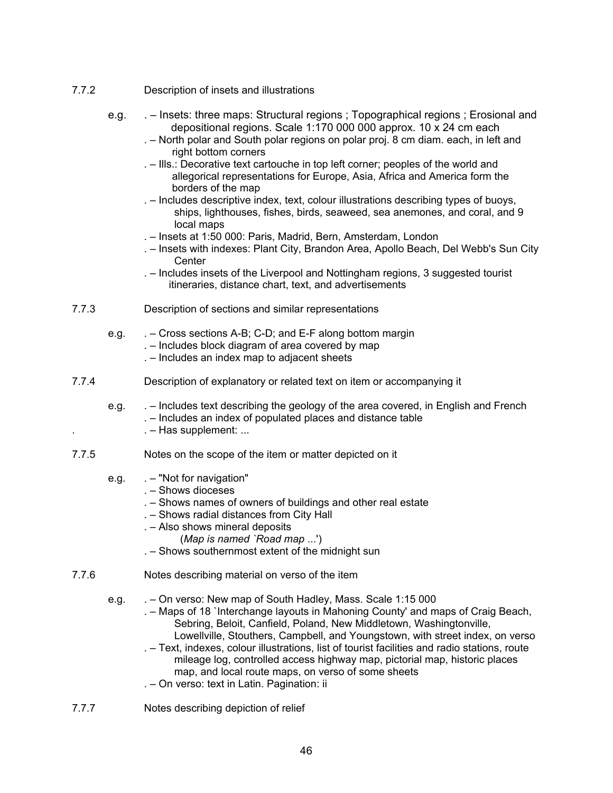- 7.7.2 Description of insets and illustrations
	- e.g. . Insets: three maps: Structural regions ; Topographical regions ; Erosional and depositional regions. Scale 1:170 000 000 approx. 10 x 24 cm each
		- . North polar and South polar regions on polar proj. 8 cm diam. each, in left and right bottom corners
		- . Ills.: Decorative text cartouche in top left corner; peoples of the world and allegorical representations for Europe, Asia, Africa and America form the borders of the map
		- . Includes descriptive index, text, colour illustrations describing types of buoys, ships, lighthouses, fishes, birds, seaweed, sea anemones, and coral, and 9 local maps
		- . Insets at 1:50 000: Paris, Madrid, Bern, Amsterdam, London
		- . Insets with indexes: Plant City, Brandon Area, Apollo Beach, Del Webb's Sun City **Center**
		- . Includes insets of the Liverpool and Nottingham regions, 3 suggested tourist itineraries, distance chart, text, and advertisements
- 7.7.3 Description of sections and similar representations
	- e.g. . Cross sections A-B; C-D; and E-F along bottom margin
		- . Includes block diagram of area covered by map
		- . Includes an index map to adjacent sheets
- 7.7.4 Description of explanatory or related text on item or accompanying it
	- e.g. . Includes text describing the geology of the area covered, in English and French . – Includes an index of populated places and distance table
		- . . Has supplement: ...
- 7.7.5 Notes on the scope of the item or matter depicted on it
	- e.g. . "Not for navigation"
		- . Shows dioceses
		- . Shows names of owners of buildings and other real estate
		- . Shows radial distances from City Hall
		- . Also shows mineral deposits
			- (*Map is named `Road map* ...')
		- . Shows southernmost extent of the midnight sun
- 7.7.6 Notes describing material on verso of the item
	- e.g. . On verso: New map of South Hadley, Mass. Scale 1:15 000
		- . Maps of 18 `Interchange layouts in Mahoning County' and maps of Craig Beach, Sebring, Beloit, Canfield, Poland, New Middletown, Washingtonville, Lowellville, Stouthers, Campbell, and Youngstown, with street index, on verso
		- . Text, indexes, colour illustrations, list of tourist facilities and radio stations, route mileage log, controlled access highway map, pictorial map, historic places map, and local route maps, on verso of some sheets
		- . On verso: text in Latin. Pagination: ii
- 7.7.7 Notes describing depiction of relief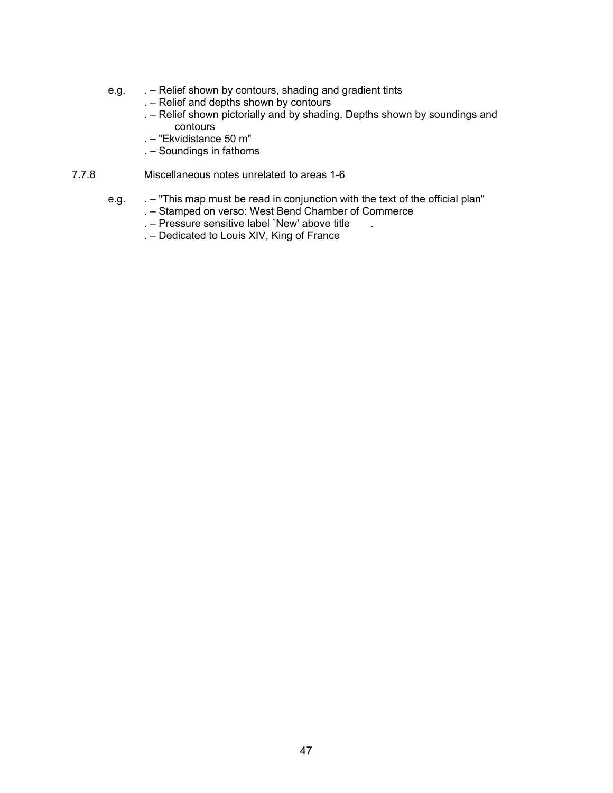- e.g. . Relief shown by contours, shading and gradient tints
	- . Relief and depths shown by contours
	- . Relief shown pictorially and by shading. Depths shown by soundings and contours
	- . "Ekvidistance 50 m"
	- . Soundings in fathoms

#### 7.7.8 Miscellaneous notes unrelated to areas 1-6

- e.g. . "This map must be read in conjunction with the text of the official plan"
	- . Stamped on verso: West Bend Chamber of Commerce
	- . Pressure sensitive label `New' above title .
	- . Dedicated to Louis XIV, King of France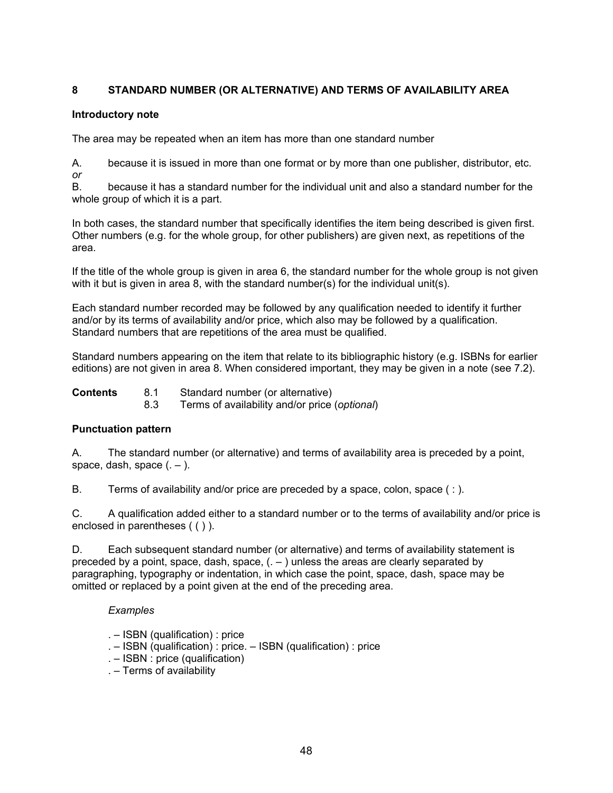# <span id="page-53-0"></span>**8 STANDARD NUMBER (OR ALTERNATIVE) AND TERMS OF AVAILABILITY AREA**

# **Introductory note**

The area may be repeated when an item has more than one standard number

A. because it is issued in more than one format or by more than one publisher, distributor, etc. *or* 

B. because it has a standard number for the individual unit and also a standard number for the whole group of which it is a part.

In both cases, the standard number that specifically identifies the item being described is given first. Other numbers (e.g. for the whole group, for other publishers) are given next, as repetitions of the area.

If the title of the whole group is given in area 6, the standard number for the whole group is not given with it but is given in area 8, with the standard number(s) for the individual unit(s).

Each standard number recorded may be followed by any qualification needed to identify it further and/or by its terms of availability and/or price, which also may be followed by a qualification. Standard numbers that are repetitions of the area must be qualified.

Standard numbers appearing on the item that relate to its bibliographic history (e.g. ISBNs for earlier editions) are not given in area 8. When considered important, they may be given in a note (see 7.2).

**Contents** 8.1 Standard number (or alternative)

8.3 Terms of availability and/or price (*optional*)

# **Punctuation pattern**

A. The standard number (or alternative) and terms of availability area is preceded by a point, space, dash, space  $(.-).$ 

B. Terms of availability and/or price are preceded by a space, colon, space (:).

C. A qualification added either to a standard number or to the terms of availability and/or price is enclosed in parentheses ( ( ) ).

D. Each subsequent standard number (or alternative) and terms of availability statement is preceded by a point, space, dash, space,  $(.-)$  unless the areas are clearly separated by paragraphing, typography or indentation, in which case the point, space, dash, space may be omitted or replaced by a point given at the end of the preceding area.

#### *Examples*

- . ISBN (qualification) : price
- . ISBN (qualification) : price. ISBN (qualification) : price
- . ISBN : price (qualification)
- . Terms of availability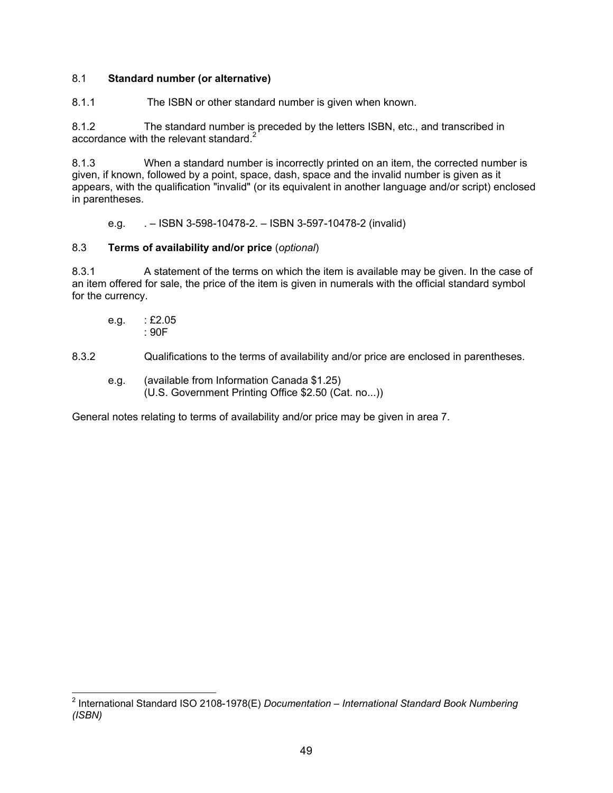# 8.1 **Standard number (or alternative)**

8.1.1The ISBN or other standard number is given when known.

8.1.2 The standard number is preceded by the letters ISBN, etc., and transcribed in accordance with the relevant standard.<sup>2</sup>

8.1.3 When a standard number is incorrectly printed on an item, the corrected number is given, if known, followed by a point, space, dash, space and the invalid number is given as it appears, with the qualification "invalid" (or its equivalent in another language and/or script) enclosed in parentheses.

e.g. . – ISBN 3-598-10478-2. – ISBN 3-597-10478-2 (invalid)

# 8.3 **Terms of availability and/or price** (*optional*)

8.3.1 A statement of the terms on which the item is available may be given. In the case of an item offered for sale, the price of the item is given in numerals with the official standard symbol for the currency.

e.g. : £2.05 : 90F

8.3.2 Qualifications to the terms of availability and/or price are enclosed in parentheses.

e.g. (available from Information Canada \$1.25) (U.S. Government Printing Office \$2.50 (Cat. no...))

General notes relating to terms of availability and/or price may be given in area 7.

 <sup>2</sup> International Standard ISO 2108-1978(E) *Documentation – International Standard Book Numbering (ISBN)*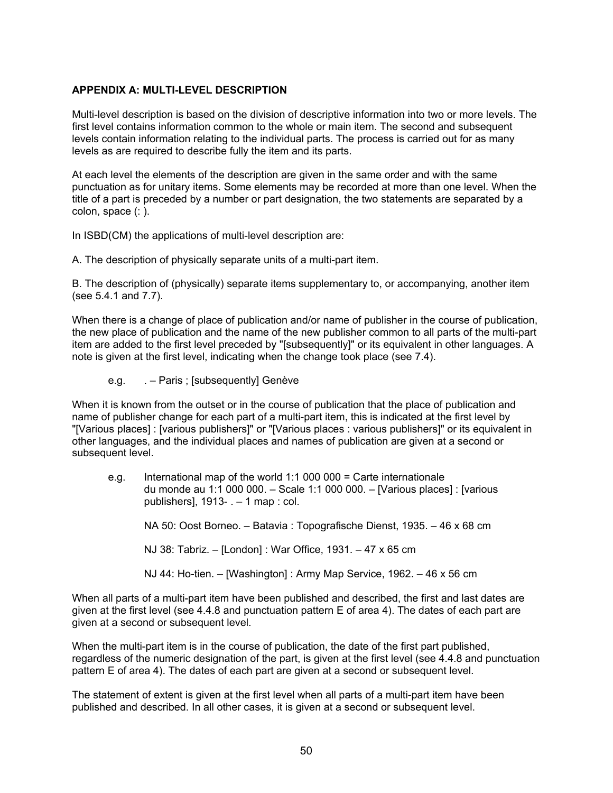# <span id="page-55-0"></span>**APPENDIX A: MULTI-LEVEL DESCRIPTION**

Multi-level description is based on the division of descriptive information into two or more levels. The first level contains information common to the whole or main item. The second and subsequent levels contain information relating to the individual parts. The process is carried out for as many levels as are required to describe fully the item and its parts.

At each level the elements of the description are given in the same order and with the same punctuation as for unitary items. Some elements may be recorded at more than one level. When the title of a part is preceded by a number or part designation, the two statements are separated by a colon, space (: ).

In ISBD(CM) the applications of multi-level description are:

A. The description of physically separate units of a multi-part item.

B. The description of (physically) separate items supplementary to, or accompanying, another item (see 5.4.1 and 7.7).

When there is a change of place of publication and/or name of publisher in the course of publication, the new place of publication and the name of the new publisher common to all parts of the multi-part item are added to the first level preceded by "[subsequently]" or its equivalent in other languages. A note is given at the first level, indicating when the change took place (see 7.4).

e.g. . – Paris ; [subsequently] Genève

When it is known from the outset or in the course of publication that the place of publication and name of publisher change for each part of a multi-part item, this is indicated at the first level by "[Various places] : [various publishers]" or "[Various places : various publishers]" or its equivalent in other languages, and the individual places and names of publication are given at a second or subsequent level.

e.g. International map of the world 1:1 000 000 = Carte internationale du monde au 1:1 000 000. – Scale 1:1 000 000. – [Various places] : [various publishers], 1913- . – 1 map : col.

NA 50: Oost Borneo. – Batavia : Topografische Dienst, 1935. – 46 x 68 cm

NJ 38: Tabriz. – [London] : War Office, 1931. – 47 x 65 cm

NJ 44: Ho-tien. – [Washington] : Army Map Service, 1962. – 46 x 56 cm

When all parts of a multi-part item have been published and described, the first and last dates are given at the first level (see 4.4.8 and punctuation pattern E of area 4). The dates of each part are given at a second or subsequent level.

When the multi-part item is in the course of publication, the date of the first part published, regardless of the numeric designation of the part, is given at the first level (see 4.4.8 and punctuation pattern E of area 4). The dates of each part are given at a second or subsequent level.

The statement of extent is given at the first level when all parts of a multi-part item have been published and described. In all other cases, it is given at a second or subsequent level.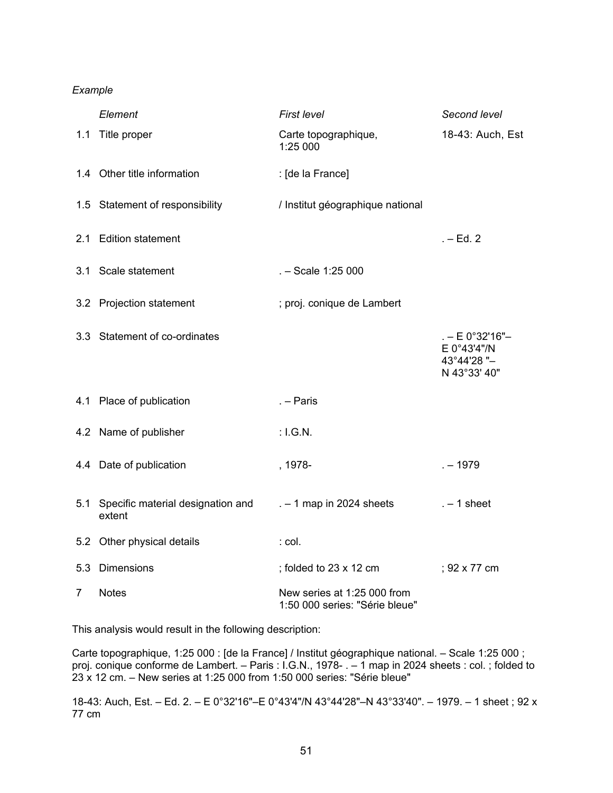#### *Example*

|                | Element                                         | <b>First level</b>                                            | Second level                                                   |
|----------------|-------------------------------------------------|---------------------------------------------------------------|----------------------------------------------------------------|
| 1.1            | Title proper                                    | Carte topographique,<br>1:25 000                              | 18-43: Auch, Est                                               |
|                | 1.4 Other title information                     | : [de la France]                                              |                                                                |
|                | 1.5 Statement of responsibility                 | / Institut géographique national                              |                                                                |
|                | 2.1 Edition statement                           |                                                               | $. - Ed. 2$                                                    |
|                | 3.1 Scale statement                             | . - Scale 1:25 000                                            |                                                                |
|                | 3.2 Projection statement                        | ; proj. conique de Lambert                                    |                                                                |
|                | 3.3 Statement of co-ordinates                   |                                                               | $- E 0°32'16" -$<br>E 0°43'4"/N<br>43°44'28 "-<br>N 43°33' 40" |
|                | 4.1 Place of publication                        | $. - Paris$                                                   |                                                                |
|                | 4.2 Name of publisher                           | $:$ I.G.N.                                                    |                                                                |
|                | 4.4 Date of publication                         | , 1978-                                                       | $. - 1979$                                                     |
|                | 5.1 Specific material designation and<br>extent | $-1$ map in 2024 sheets                                       | $. - 1$ sheet                                                  |
|                | 5.2 Other physical details                      | : col.                                                        |                                                                |
|                | 5.3 Dimensions                                  | ; folded to $23 \times 12$ cm                                 | : 92 x 77 cm                                                   |
| $\overline{7}$ | <b>Notes</b>                                    | New series at 1:25 000 from<br>1:50 000 series: "Série bleue" |                                                                |

This analysis would result in the following description:

Carte topographique, 1:25 000 : [de la France] / Institut géographique national. – Scale 1:25 000 ; proj. conique conforme de Lambert. – Paris : I.G.N., 1978- . – 1 map in 2024 sheets : col. ; folded to 23 x 12 cm. – New series at 1:25 000 from 1:50 000 series: "Série bleue"

18-43: Auch, Est. – Ed. 2. – E 0°32'16"–E 0°43'4"/N 43°44'28"–N 43°33'40". – 1979. – 1 sheet ; 92 x 77 cm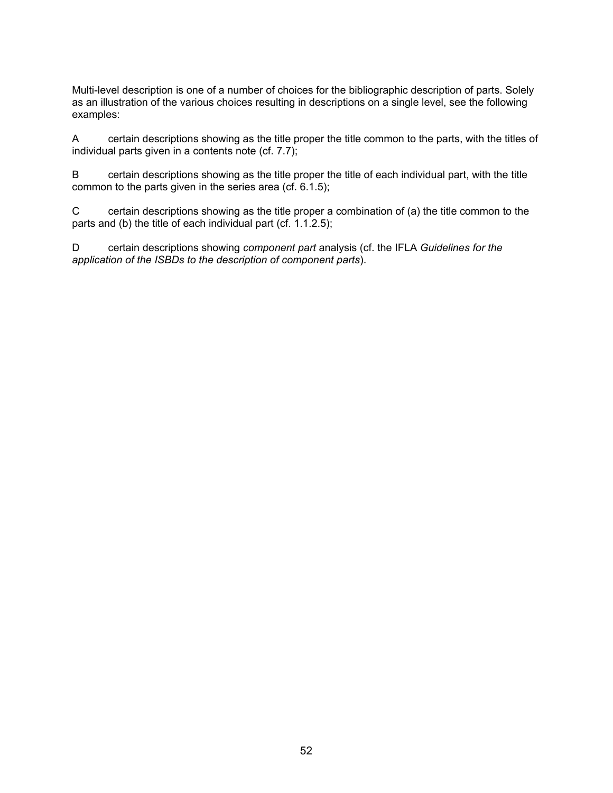Multi-level description is one of a number of choices for the bibliographic description of parts. Solely as an illustration of the various choices resulting in descriptions on a single level, see the following examples:

A certain descriptions showing as the title proper the title common to the parts, with the titles of individual parts given in a contents note (cf. 7.7);

B certain descriptions showing as the title proper the title of each individual part, with the title common to the parts given in the series area (cf. 6.1.5);

C certain descriptions showing as the title proper a combination of (a) the title common to the parts and (b) the title of each individual part (cf. 1.1.2.5);

D certain descriptions showing *component part* analysis (cf. the IFLA *Guidelines for the application of the ISBDs to the description of component parts*).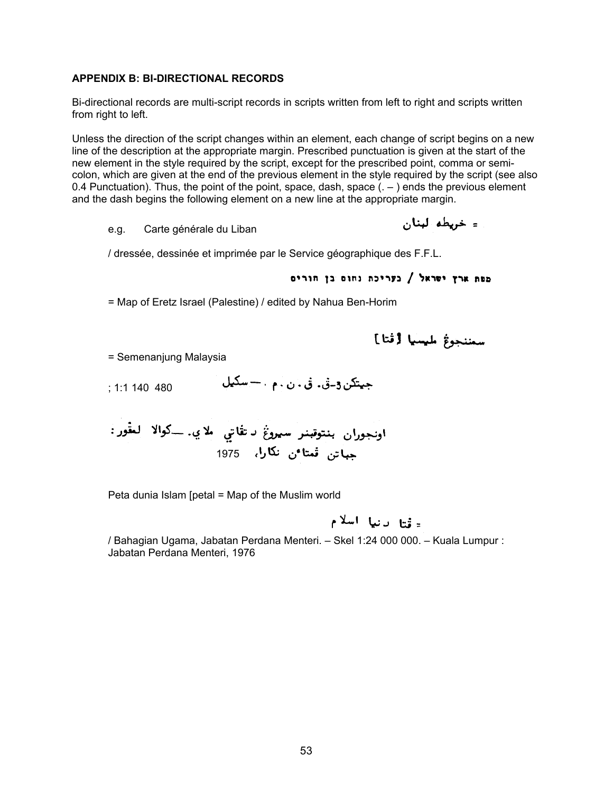#### <span id="page-58-0"></span>**APPENDIX B: BI-DIRECTIONAL RECORDS**

Bi-directional records are multi-script records in scripts written from left to right and scripts written from right to left.

Unless the direction of the script changes within an element, each change of script begins on a new line of the description at the appropriate margin. Prescribed punctuation is given at the start of the new element in the style required by the script, except for the prescribed point, comma or semicolon, which are given at the end of the previous element in the style required by the script (see also 0.4 Punctuation). Thus, the point of the point, space, dash, space  $(.-)$  ends the previous element and the dash begins the following element on a new line at the appropriate margin.

e.g. Carte générale du Liban

 $=$  خريطه لبنان

/ dressée, dessinée et imprimée par le Service géographique des F.F.L.

#### מסת ארד ישראל / בעריכת נחום בן חורים

= Map of Eretz Israel (Palestine) / edited by Nahua Ben-Horim

سمننجوغ مليسيا أرفتا]

= Semenanjung Malaysia

; 1:1 140 480

 $\mathcal{L}$ 

<sup>1975</sup>

Peta dunia Islam [petal = Map of the Muslim world

/ Bahagian Ugama, Jabatan Perdana Menteri. – Skel 1:24 000 000. – Kuala Lumpur : Jabatan Perdana Menteri, 1976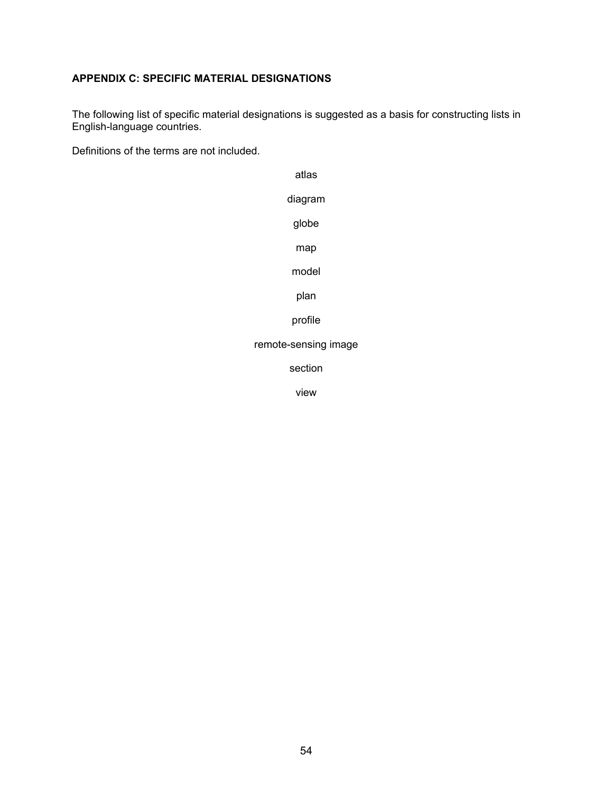# <span id="page-59-0"></span>**APPENDIX C: SPECIFIC MATERIAL DESIGNATIONS**

The following list of specific material designations is suggested as a basis for constructing lists in English-language countries.

Definitions of the terms are not included.

atlas diagram globe map model plan profile remote-sensing image section view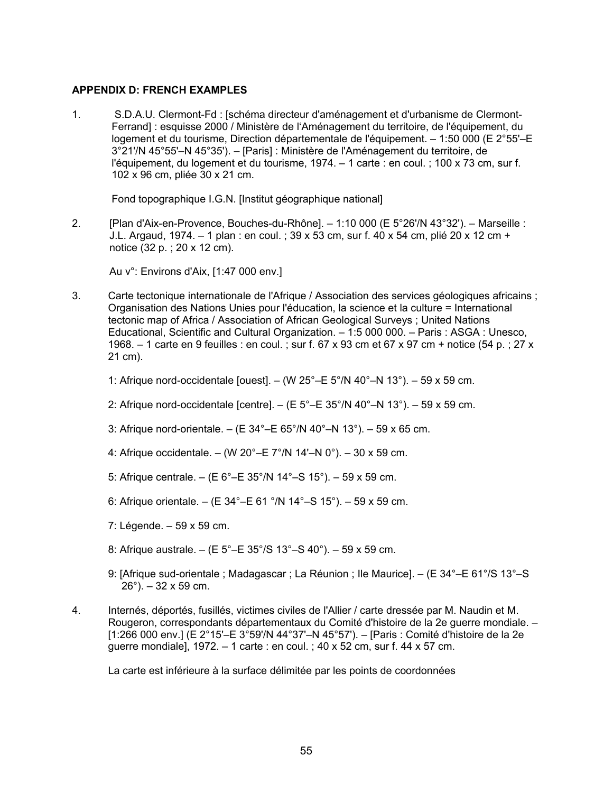#### <span id="page-60-0"></span>**APPENDIX D: FRENCH EXAMPLES**

1. S.D.A.U. Clermont-Fd : [schéma directeur d'aménagement et d'urbanisme de Clermont-Ferrand] : esquisse 2000 / Ministère de l'Aménagement du territoire, de l'équipement, du logement et du tourisme, Direction départementale de l'équipement. – 1:50 000 (E 2°55'–E 3°21'/N 45°55'–N 45°35'). – [Paris] : Ministère de l'Aménagement du territoire, de l'équipement, du logement et du tourisme, 1974. – 1 carte : en coul. ; 100 x 73 cm, sur f. 102 x 96 cm, pliée 30 x 21 cm.

Fond topographique I.G.N. [Institut géographique national]

2. [Plan d'Aix-en-Provence, Bouches-du-Rhône]. – 1:10 000 (E 5°26'/N 43°32'). – Marseille : J.L. Argaud, 1974. – 1 plan : en coul. ; 39 x 53 cm, sur f. 40 x 54 cm, plié 20 x 12 cm + notice (32 p. ; 20 x 12 cm).

Au v°: Environs d'Aix, [1:47 000 env.]

- 3. Carte tectonique internationale de l'Afrique / Association des services géologiques africains ; Organisation des Nations Unies pour l'éducation, la science et la culture = International tectonic map of Africa / Association of African Geological Surveys ; United Nations Educational, Scientific and Cultural Organization. – 1:5 000 000. – Paris : ASGA : Unesco, 1968. – 1 carte en 9 feuilles : en coul. ; sur f. 67 x 93 cm et 67 x 97 cm + notice (54 p. ; 27 x 21 cm).
	- 1: Afrique nord-occidentale [ouest]. (W 25°–E 5°/N 40°–N 13°). 59 x 59 cm.
	- 2: Afrique nord-occidentale [centre].  $-$  (E 5°–E 35°/N 40°–N 13°).  $-$  59 x 59 cm.
	- 3: Afrique nord-orientale. (E  $34^{\circ}$ –E  $65^{\circ}$ /N  $40^{\circ}$ –N  $13^{\circ}$ ). 59 x 65 cm.
	- 4: Afrique occidentale. (W 20°–E  $7^{\circ}/N$  14'–N 0°). 30 x 59 cm.
	- 5: Afrique centrale. (E 6°–E 35°/N 14°–S 15°). 59 x 59 cm.
	- 6: Afrique orientale. (E 34°–E 61 °/N 14°–S 15°). 59 x 59 cm.
	- 7: Légende. 59 x 59 cm.
	- 8: Afrique australe. (E 5°–E 35°/S 13°–S 40°). 59 x 59 cm.
	- 9: [Afrique sud-orientale ; Madagascar ; La Réunion ; Ile Maurice]. (E 34°–E 61°/S 13°–S 26 $^{\circ}$ ). – 32 x 59 cm.
- 4. Internés, déportés, fusillés, victimes civiles de l'Allier / carte dressée par M. Naudin et M. Rougeron, correspondants départementaux du Comité d'histoire de la 2e guerre mondiale. – [1:266 000 env.] (E 2°15'–E 3°59'/N 44°37'–N 45°57'). – [Paris : Comité d'histoire de la 2e guerre mondiale], 1972. – 1 carte : en coul. ; 40 x 52 cm, sur f. 44 x 57 cm.

La carte est inférieure à la surface délimitée par les points de coordonnées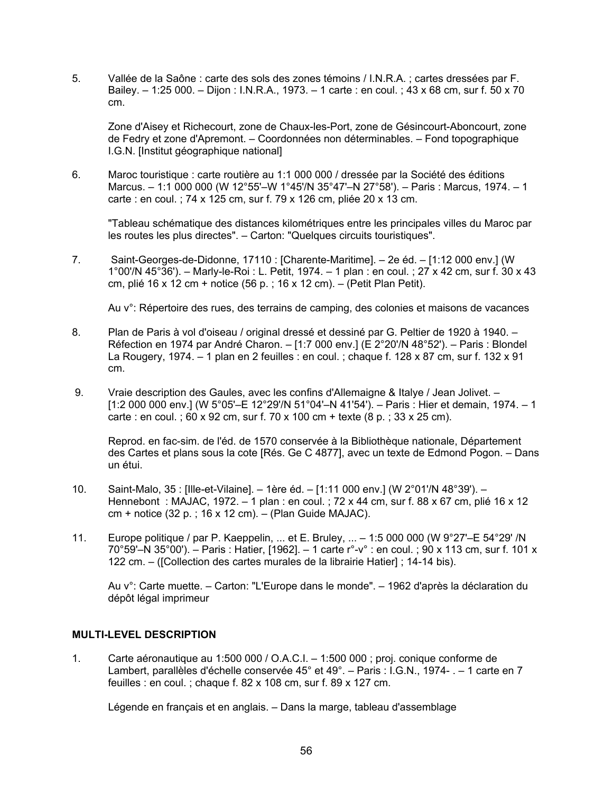5. Vallée de la Saône : carte des sols des zones témoins / I.N.R.A. ; cartes dressées par F. Bailey. – 1:25 000. – Dijon : I.N.R.A., 1973. – 1 carte : en coul. ; 43 x 68 cm, sur f. 50 x 70 cm.

Zone d'Aisey et Richecourt, zone de Chaux-les-Port, zone de Gésincourt-Aboncourt, zone de Fedry et zone d'Apremont. – Coordonnées non déterminables. – Fond topographique I.G.N. [Institut géographique national]

6. Maroc touristique : carte routière au 1:1 000 000 / dressée par la Société des éditions Marcus. – 1:1 000 000 (W 12°55'–W 1°45'/N 35°47'–N 27°58'). – Paris : Marcus, 1974. – 1 carte : en coul. ; 74 x 125 cm, sur f. 79 x 126 cm, pliée 20 x 13 cm.

"Tableau schématique des distances kilométriques entre les principales villes du Maroc par les routes les plus directes". – Carton: "Quelques circuits touristiques".

7. Saint-Georges-de-Didonne, 17110 : [Charente-Maritime]. – 2e éd. – [1:12 000 env.] (W 1°00'/N 45°36'). – Marly-le-Roi : L. Petit, 1974. – 1 plan : en coul. ; 27 x 42 cm, sur f. 30 x 43 cm, plié 16 x 12 cm + notice (56 p. ; 16 x 12 cm). – (Petit Plan Petit).

Au v°: Répertoire des rues, des terrains de camping, des colonies et maisons de vacances

- 8. Plan de Paris à vol d'oiseau / original dressé et dessiné par G. Peltier de 1920 à 1940. Réfection en 1974 par André Charon. – [1:7 000 env.] (E 2°20'/N 48°52'). – Paris : Blondel La Rougery, 1974. – 1 plan en 2 feuilles : en coul. ; chaque f. 128 x 87 cm, sur f. 132 x 91 cm.
- 9. Vraie description des Gaules, avec les confins d'Allemaigne & Italye / Jean Jolivet. [1:2 000 000 env.] (W 5°05'–E 12°29'/N 51°04'–N 41'54'). – Paris : Hier et demain, 1974. – 1 carte : en coul. ; 60 x 92 cm, sur f. 70 x 100 cm + texte (8 p. ; 33 x 25 cm).

Reprod. en fac-sim. de l'éd. de 1570 conservée à la Bibliothèque nationale, Département des Cartes et plans sous la cote [Rés. Ge C 4877], avec un texte de Edmond Pogon. – Dans un étui.

- 10. Saint-Malo, 35 : [Ille-et-Vilaine]. 1ère éd. [1:11 000 env.] (W 2°01'/N 48°39'). Hennebont : MAJAC, 1972. – 1 plan : en coul. ; 72 x 44 cm, sur f. 88 x 67 cm, plié 16 x 12 cm + notice (32 p. ; 16 x 12 cm). – (Plan Guide MAJAC).
- 11. Europe politique / par P. Kaeppelin, ... et E. Bruley, ... 1:5 000 000 (W 9°27'–E 54°29' /N 70°59'–N 35°00'). – Paris : Hatier, [1962]. – 1 carte r°-v° : en coul. ; 90 x 113 cm, sur f. 101 x 122 cm. – ([Collection des cartes murales de la librairie Hatier] ; 14-14 bis).

Au v°: Carte muette. – Carton: "L'Europe dans le monde". – 1962 d'après la déclaration du dépôt légal imprimeur

#### **MULTI-LEVEL DESCRIPTION**

1. Carte aéronautique au 1:500 000 / O.A.C.I. – 1:500 000 ; proj. conique conforme de Lambert, parallèles d'échelle conservée 45° et 49°. – Paris : I.G.N., 1974- . – 1 carte en 7 feuilles : en coul. ; chaque f. 82 x 108 cm, sur f. 89 x 127 cm.

Légende en français et en anglais. – Dans la marge, tableau d'assemblage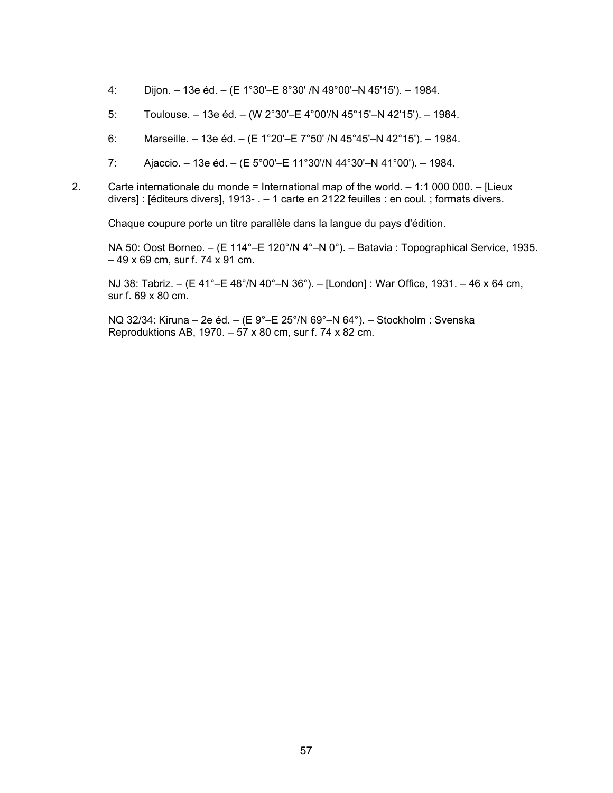- 4: Dijon. 13e éd. (E 1°30'–E 8°30' /N 49°00'–N 45'15'). 1984.
- 5: Toulouse. 13e éd. (W 2°30'–E 4°00'/N 45°15'–N 42'15'). 1984.
- 6: Marseille. 13e éd. (E 1°20'–E 7°50' /N 45°45'–N 42°15'). 1984.
- 7: Ajaccio. 13e éd. (E 5°00'–E 11°30'/N 44°30'–N 41°00'). 1984.
- 2. Carte internationale du monde = International map of the world. 1:1 000 000. [Lieux divers] : [éditeurs divers], 1913- . – 1 carte en 2122 feuilles : en coul. ; formats divers.

Chaque coupure porte un titre parallèle dans la langue du pays d'édition.

NA 50: Oost Borneo. – (E 114°–E 120°/N 4°–N 0°). – Batavia : Topographical Service, 1935. – 49 x 69 cm, sur f. 74 x 91 cm.

NJ 38: Tabriz. – (E 41°–E 48°/N 40°–N 36°). – [London] : War Office, 1931. – 46 x 64 cm, sur f. 69 x 80 cm.

NQ 32/34: Kiruna – 2e éd. – (E 9°–E 25°/N 69°–N 64°). – Stockholm : Svenska Reproduktions AB, 1970. – 57 x 80 cm, sur f. 74 x 82 cm.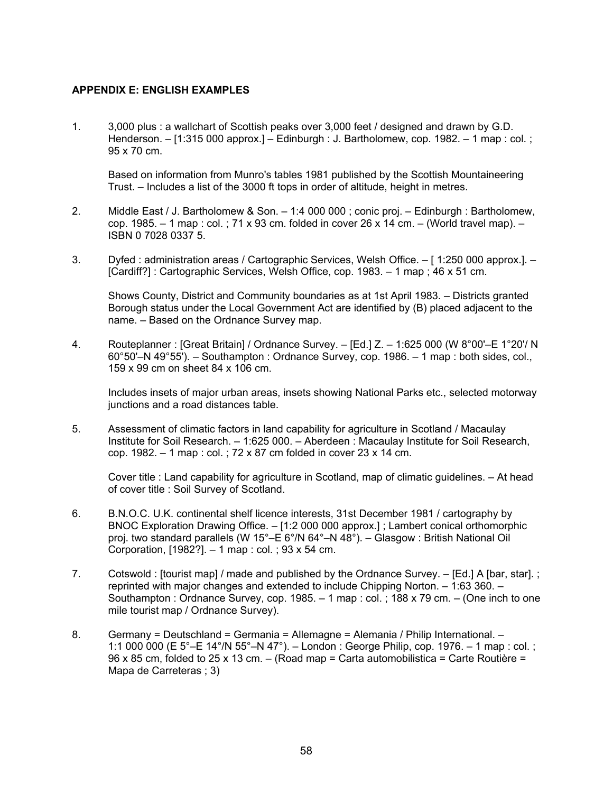#### <span id="page-63-0"></span>**APPENDIX E: ENGLISH EXAMPLES**

1. 3,000 plus : a wallchart of Scottish peaks over 3,000 feet / designed and drawn by G.D. Henderson. – [1:315 000 approx.] – Edinburgh : J. Bartholomew, cop. 1982. – 1 map : col. ; 95 x 70 cm.

Based on information from Munro's tables 1981 published by the Scottish Mountaineering Trust. – Includes a list of the 3000 ft tops in order of altitude, height in metres.

- 2. Middle East / J. Bartholomew & Son. 1:4 000 000 ; conic proj. Edinburgh : Bartholomew, cop. 1985. – 1 map : col. ; 71 x 93 cm. folded in cover  $26 \times 14$  cm. – (World travel map). – ISBN 0 7028 0337 5.
- 3. Dyfed : administration areas / Cartographic Services, Welsh Office. [ 1:250 000 approx.]. [Cardiff?] : Cartographic Services, Welsh Office, cop. 1983. – 1 map ; 46 x 51 cm.

Shows County, District and Community boundaries as at 1st April 1983. – Districts granted Borough status under the Local Government Act are identified by (B) placed adjacent to the name. – Based on the Ordnance Survey map.

4. Routeplanner : [Great Britain] / Ordnance Survey. – [Ed.] Z. – 1:625 000 (W 8°00'–E 1°20'/ N 60°50'–N 49°55'). – Southampton : Ordnance Survey, cop. 1986. – 1 map : both sides, col., 159 x 99 cm on sheet 84 x 106 cm.

Includes insets of major urban areas, insets showing National Parks etc., selected motorway junctions and a road distances table.

5. Assessment of climatic factors in land capability for agriculture in Scotland / Macaulay Institute for Soil Research. – 1:625 000. – Aberdeen : Macaulay Institute for Soil Research, cop. 1982.  $-1$  map : col. ; 72 x 87 cm folded in cover 23 x 14 cm.

Cover title : Land capability for agriculture in Scotland, map of climatic guidelines. – At head of cover title : Soil Survey of Scotland.

- 6. B.N.O.C. U.K. continental shelf licence interests, 31st December 1981 / cartography by BNOC Exploration Drawing Office. – [1:2 000 000 approx.] ; Lambert conical orthomorphic proj. two standard parallels (W 15°–E 6°/N 64°–N 48°). – Glasgow : British National Oil Corporation,  $[1982?] - 1$  map : col. ; 93 x 54 cm.
- 7. Cotswold : [tourist map] / made and published by the Ordnance Survey. [Ed.] A [bar, star]. ; reprinted with major changes and extended to include Chipping Norton. – 1:63 360. – Southampton : Ordnance Survey, cop. 1985. – 1 map : col. ; 188 x 79 cm. – (One inch to one mile tourist map / Ordnance Survey).
- 8. Germany = Deutschland = Germania = Allemagne = Alemania / Philip International. 1:1 000 000 (E 5°–E 14°/N 55°–N 47°). – London : George Philip, cop. 1976. – 1 map : col. ; 96 x 85 cm, folded to 25 x 13 cm.  $-$  (Road map = Carta automobilistica = Carte Routière = Mapa de Carreteras ; 3)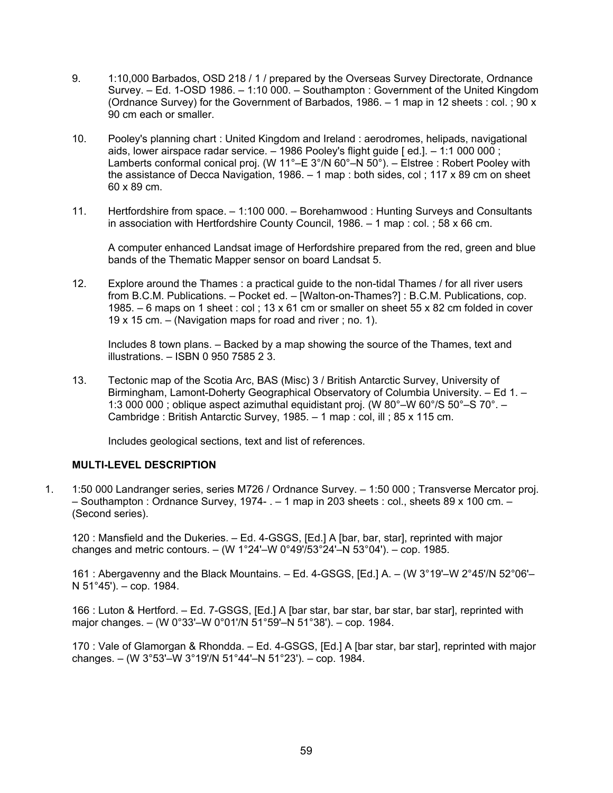- 9. 1:10,000 Barbados, OSD 218 / 1 / prepared by the Overseas Survey Directorate, Ordnance Survey. – Ed. 1-OSD 1986. – 1:10 000. – Southampton : Government of the United Kingdom (Ordnance Survey) for the Government of Barbados, 1986.  $-1$  map in 12 sheets : col. ; 90 x 90 cm each or smaller.
- 10. Pooley's planning chart : United Kingdom and Ireland : aerodromes, helipads, navigational aids, lower airspace radar service. – 1986 Pooley's flight guide [ ed.]. – 1:1 000 000 ; Lamberts conformal conical proj. (W 11°–E 3°/N  $60^{\circ}$ –N 50°). – Elstree : Robert Pooley with the assistance of Decca Navigation, 1986. – 1 map : both sides, col ; 117 x 89 cm on sheet 60 x 89 cm.
- 11. Hertfordshire from space. 1:100 000. Borehamwood : Hunting Surveys and Consultants in association with Hertfordshire County Council, 1986. – 1 map : col. ; 58 x 66 cm.

A computer enhanced Landsat image of Herfordshire prepared from the red, green and blue bands of the Thematic Mapper sensor on board Landsat 5.

12. Explore around the Thames : a practical guide to the non-tidal Thames / for all river users from B.C.M. Publications. – Pocket ed. – [Walton-on-Thames?] : B.C.M. Publications, cop. 1985. – 6 maps on 1 sheet : col ;  $13 \times 61$  cm or smaller on sheet 55 x 82 cm folded in cover 19 x 15 cm. – (Navigation maps for road and river ; no. 1).

Includes 8 town plans. – Backed by a map showing the source of the Thames, text and illustrations. – ISBN 0 950 7585 2 3.

13. Tectonic map of the Scotia Arc, BAS (Misc) 3 / British Antarctic Survey, University of Birmingham, Lamont-Doherty Geographical Observatory of Columbia University. – Ed 1. – 1:3 000 000 ; oblique aspect azimuthal equidistant proj. (W 80°–W 60°/S 50°–S 70°. – Cambridge : British Antarctic Survey, 1985. – 1 map : col, ill ; 85 x 115 cm.

Includes geological sections, text and list of references.

#### **MULTI-LEVEL DESCRIPTION**

1. 1:50 000 Landranger series, series M726 / Ordnance Survey. – 1:50 000 ; Transverse Mercator proj.  $-$  Southampton : Ordnance Survey, 1974-  $-$  1 map in 203 sheets : col., sheets 89 x 100 cm.  $-$ (Second series).

120 : Mansfield and the Dukeries. – Ed. 4-GSGS, [Ed.] A [bar, bar, star], reprinted with major changes and metric contours. – (W 1°24'–W 0°49'/53°24'–N 53°04'). – cop. 1985.

161 : Abergavenny and the Black Mountains. – Ed. 4-GSGS, [Ed.] A. – (W 3°19'–W 2°45'/N 52°06'– N 51°45'). – cop. 1984.

166 : Luton & Hertford. – Ed. 7-GSGS, [Ed.] A [bar star, bar star, bar star, bar star], reprinted with major changes. – (W 0°33'–W 0°01'/N 51°59'–N 51°38'). – cop. 1984.

170 : Vale of Glamorgan & Rhondda. – Ed. 4-GSGS, [Ed.] A [bar star, bar star], reprinted with major changes. – (W 3°53'–W 3°19'/N 51°44'–N 51°23'). – cop. 1984.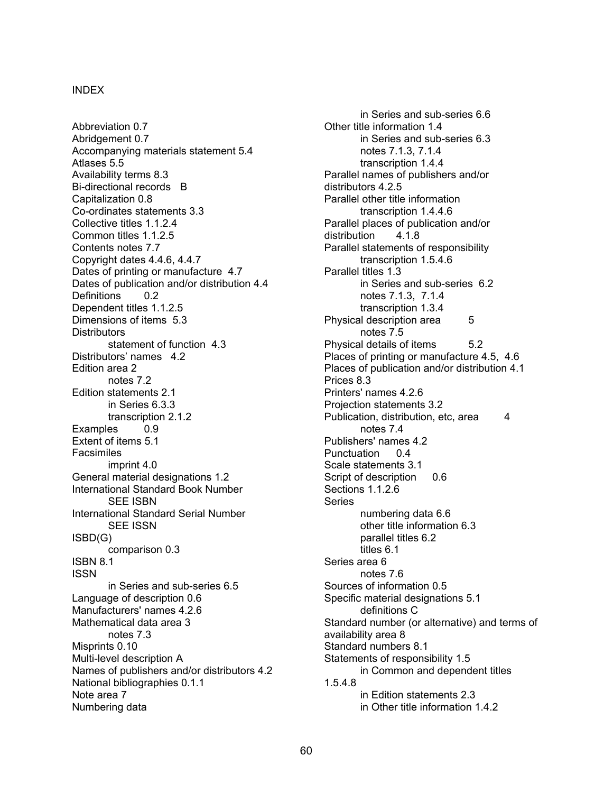#### <span id="page-65-0"></span>INDEX

Abbreviation 0.7 Channel Communication 1.4 Channel Communication 1.4 Abridgement 0.7 in Series and sub-series 6.3 Accompanying materials statement 5.4 notes 7.1.3, 7.1.4 Atlases 5.5 transcription 1.4.4 Availability terms 8.3 Parallel names of publishers and/or Bi-directional records B distributors 4.2.5 Capitalization 0.8 Parallel other title information Co-ordinates statements 3.3 transcription 1.4.4.6 Collective titles 1.1.2.4 Parallel places of publication and/or Common titles 1.1.2.5 distribution 4.1.8 Contents notes 7.7 Parallel statements of responsibility Copyright dates 4.4.6, 4.4.7 transcription 1.5.4.6 Dates of printing or manufacture 4.7 Parallel titles 1.3 Dates of publication and/or distribution 4.4 in Series and sub-series 6.2 Definitions 0.2 notes 7.1.3, 7.1.4 Dependent titles 1.1.2.5 transcription 1.3.4 Dimensions of items 5.3 Physical description area 5 Distributors **notes** 7.5 statement of function 4.3 **Physical details of items** 5.2 Distributors' names 4.2 Places of printing or manufacture 4.5, 4.6 notes 7.2 Prices 8.3 Edition statements 2.1 Printers' names 4.2.6 in Series 6.3.3 Projection statements 3.2 Examples 0.9 notes 7.4 Extent of items 5.1 **Publishers' names 4.2** Facsimiles Punctuation 0.4 imprint 4.0 Scale statements 3.1 General material designations 1.2 Script of description 0.6 International Standard Book Number Sections 1.1.2.6 SEE ISBN Series International Standard Serial Number number numbering data 6.6 SEE ISSN other title information 6.3 ISBD(G) parallel titles 6.2 comparison 0.3 titles 6.1 ISBN 8.1 Series area 6 ISSN notes 7.6 in Series and sub-series 6.5 Sources of information 0.5 Language of description 0.6 Specific material designations 5.1 Manufacturers' names 4.2.6 definitions C notes 7.3 availability area 8 Misprints 0.10 Standard numbers 8.1 Multi-level description A Statements of responsibility 1.5 Names of publishers and/or distributors 4.2 in Common and dependent titles National bibliographies 0.1.1 1.5.4.8 Note area 7 in Edition statements 2.3 Numbering data in Other title information 1.4.2

in Series and sub-series 6.6 Edition area 2 Places of publication and/or distribution 4.1 transcription 2.1.2 Publication, distribution, etc, area 4 Mathematical data area 3 Standard number (or alternative) and terms of